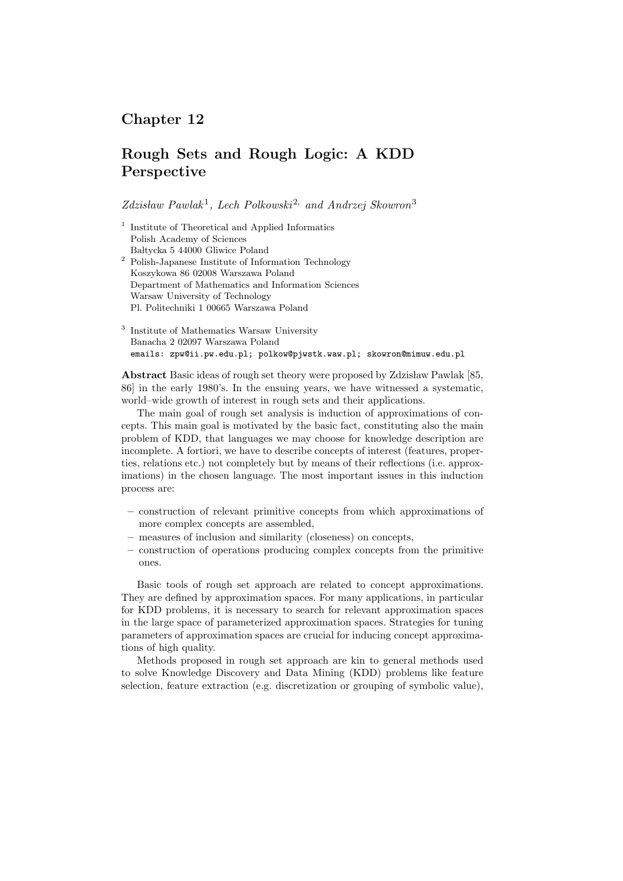# Chapter 12

# Rough Sets and Rough Logic: A KDD Perspective

# $Zdz$ isław Pawlak<sup>1</sup>, Lech Polkowski<sup>2,</sup> and Andrzej Skowron<sup>3</sup>

- <sup>1</sup> Institute of Theoretical and Applied Informatics Polish Academy of Sciences Bałtycka 5 44000 Gliwice Poland <sup>2</sup> Polish-Japanese Institute of Information Technology Koszykowa 86 02008 Warszawa Poland Department of Mathematics and Information Sciences Warsaw University of Technology Pl. Politechniki 1 00665 Warszawa Poland
- 3 Institute of Mathematics Warsaw University Banacha 2 02097 Warszawa Poland emails: zpw@ii.pw.edu.pl; polkow@pjwstk.waw.pl; skowron@mimuw.edu.pl

Abstract Basic ideas of rough set theory were proposed by Zdzisław Pawlak [85, 86] in the early 1980's. In the ensuing years, we have witnessed a systematic, world–wide growth of interest in rough sets and their applications.

The main goal of rough set analysis is induction of approximations of concepts. This main goal is motivated by the basic fact, constituting also the main problem of KDD, that languages we may choose for knowledge description are incomplete. A fortiori, we have to describe concepts of interest (features, properties, relations etc.) not completely but by means of their reflections (i.e. approximations) in the chosen language. The most important issues in this induction process are:

- construction of relevant primitive concepts from which approximations of more complex concepts are assembled,
- measures of inclusion and similarity (closeness) on concepts,
- construction of operations producing complex concepts from the primitive ones.

Basic tools of rough set approach are related to concept approximations. They are defined by approximation spaces. For many applications, in particular for KDD problems, it is necessary to search for relevant approximation spaces in the large space of parameterized approximation spaces. Strategies for tuning parameters of approximation spaces are crucial for inducing concept approximations of high quality.

Methods proposed in rough set approach are kin to general methods used to solve Knowledge Discovery and Data Mining (KDD) problems like feature selection, feature extraction (e.g. discretization or grouping of symbolic value),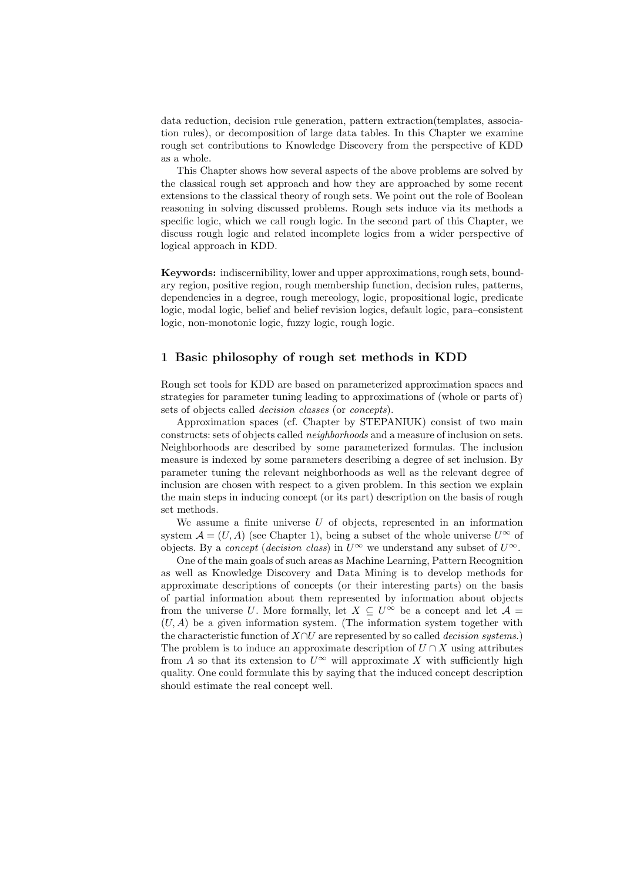data reduction, decision rule generation, pattern extraction(templates, association rules), or decomposition of large data tables. In this Chapter we examine rough set contributions to Knowledge Discovery from the perspective of KDD as a whole.

This Chapter shows how several aspects of the above problems are solved by the classical rough set approach and how they are approached by some recent extensions to the classical theory of rough sets. We point out the role of Boolean reasoning in solving discussed problems. Rough sets induce via its methods a specific logic, which we call rough logic. In the second part of this Chapter, we discuss rough logic and related incomplete logics from a wider perspective of logical approach in KDD.

Keywords: indiscernibility, lower and upper approximations, rough sets, boundary region, positive region, rough membership function, decision rules, patterns, dependencies in a degree, rough mereology, logic, propositional logic, predicate logic, modal logic, belief and belief revision logics, default logic, para–consistent logic, non-monotonic logic, fuzzy logic, rough logic.

## 1 Basic philosophy of rough set methods in KDD

Rough set tools for KDD are based on parameterized approximation spaces and strategies for parameter tuning leading to approximations of (whole or parts of) sets of objects called decision classes (or concepts).

Approximation spaces (cf. Chapter by STEPANIUK) consist of two main constructs: sets of objects called neighborhoods and a measure of inclusion on sets. Neighborhoods are described by some parameterized formulas. The inclusion measure is indexed by some parameters describing a degree of set inclusion. By parameter tuning the relevant neighborhoods as well as the relevant degree of inclusion are chosen with respect to a given problem. In this section we explain the main steps in inducing concept (or its part) description on the basis of rough set methods.

We assume a finite universe  $U$  of objects, represented in an information system  $A = (U, A)$  (see Chapter 1), being a subset of the whole universe  $U^{\infty}$  of objects. By a *concept* (*decision class*) in  $U^{\infty}$  we understand any subset of  $U^{\infty}$ .

One of the main goals of such areas as Machine Learning, Pattern Recognition as well as Knowledge Discovery and Data Mining is to develop methods for approximate descriptions of concepts (or their interesting parts) on the basis of partial information about them represented by information about objects from the universe U. More formally, let  $X \subseteq U^{\infty}$  be a concept and let  $\mathcal{A} =$  $(U, A)$  be a given information system. (The information system together with the characteristic function of  $X \cap U$  are represented by so called *decision systems*.) The problem is to induce an approximate description of  $U \cap X$  using attributes from A so that its extension to  $U^{\infty}$  will approximate X with sufficiently high quality. One could formulate this by saying that the induced concept description should estimate the real concept well.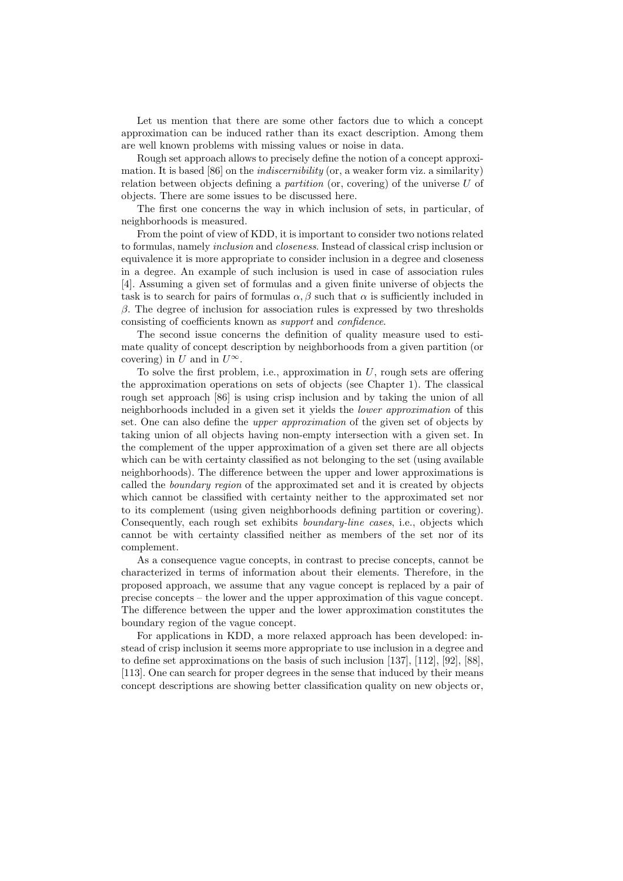Let us mention that there are some other factors due to which a concept approximation can be induced rather than its exact description. Among them are well known problems with missing values or noise in data.

Rough set approach allows to precisely define the notion of a concept approximation. It is based [86] on the indiscernibility (or, a weaker form viz. a similarity) relation between objects defining a *partition* (or, covering) of the universe  $U$  of objects. There are some issues to be discussed here.

The first one concerns the way in which inclusion of sets, in particular, of neighborhoods is measured.

From the point of view of KDD, it is important to consider two notions related to formulas, namely inclusion and closeness. Instead of classical crisp inclusion or equivalence it is more appropriate to consider inclusion in a degree and closeness in a degree. An example of such inclusion is used in case of association rules [4]. Assuming a given set of formulas and a given finite universe of objects the task is to search for pairs of formulas  $\alpha$ ,  $\beta$  such that  $\alpha$  is sufficiently included in  $β$ . The degree of inclusion for association rules is expressed by two thresholds consisting of coefficients known as support and confidence.

The second issue concerns the definition of quality measure used to estimate quality of concept description by neighborhoods from a given partition (or covering) in U and in  $U^{\infty}$ .

To solve the first problem, i.e., approximation in  $U$ , rough sets are offering the approximation operations on sets of objects (see Chapter 1). The classical rough set approach [86] is using crisp inclusion and by taking the union of all neighborhoods included in a given set it yields the lower approximation of this set. One can also define the upper approximation of the given set of objects by taking union of all objects having non-empty intersection with a given set. In the complement of the upper approximation of a given set there are all objects which can be with certainty classified as not belonging to the set (using available neighborhoods). The difference between the upper and lower approximations is called the boundary region of the approximated set and it is created by objects which cannot be classified with certainty neither to the approximated set nor to its complement (using given neighborhoods defining partition or covering). Consequently, each rough set exhibits *boundary-line cases*, i.e., objects which cannot be with certainty classified neither as members of the set nor of its complement.

As a consequence vague concepts, in contrast to precise concepts, cannot be characterized in terms of information about their elements. Therefore, in the proposed approach, we assume that any vague concept is replaced by a pair of precise concepts – the lower and the upper approximation of this vague concept. The difference between the upper and the lower approximation constitutes the boundary region of the vague concept.

For applications in KDD, a more relaxed approach has been developed: instead of crisp inclusion it seems more appropriate to use inclusion in a degree and to define set approximations on the basis of such inclusion [137], [112], [92], [88], [113]. One can search for proper degrees in the sense that induced by their means concept descriptions are showing better classification quality on new objects or,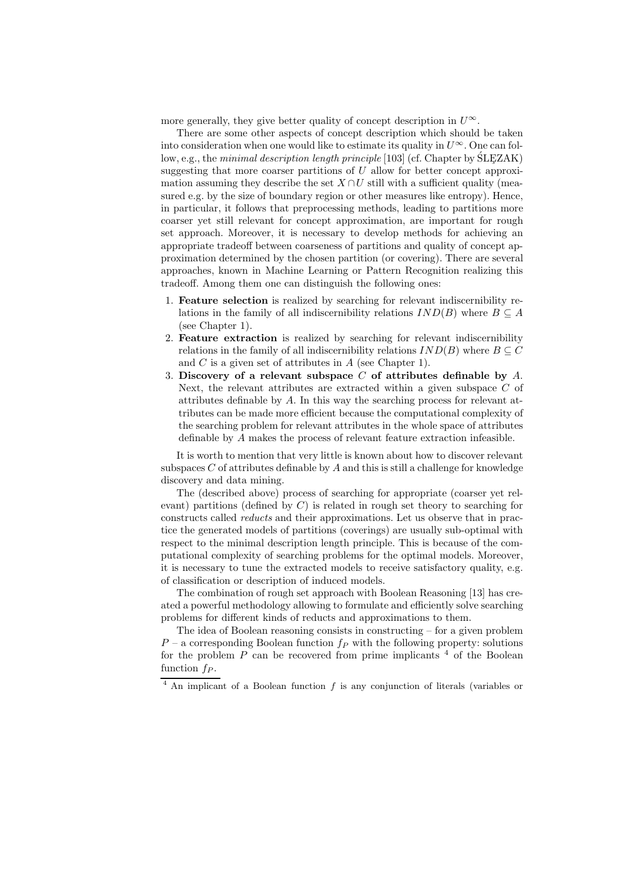more generally, they give better quality of concept description in  $U^{\infty}$ .

There are some other aspects of concept description which should be taken into consideration when one would like to estimate its quality in  $U^{\infty}$ . One can follow, e.g., the *minimal description length principle* [103] (cf. Chapter by  $SLEZAK$ ) suggesting that more coarser partitions of  $U$  allow for better concept approximation assuming they describe the set  $X \cap U$  still with a sufficient quality (measured e.g. by the size of boundary region or other measures like entropy). Hence, in particular, it follows that preprocessing methods, leading to partitions more coarser yet still relevant for concept approximation, are important for rough set approach. Moreover, it is necessary to develop methods for achieving an appropriate tradeoff between coarseness of partitions and quality of concept approximation determined by the chosen partition (or covering). There are several approaches, known in Machine Learning or Pattern Recognition realizing this tradeoff. Among them one can distinguish the following ones:

- 1. Feature selection is realized by searching for relevant indiscernibility relations in the family of all indiscernibility relations  $IND(B)$  where  $B \subseteq A$ (see Chapter 1).
- 2. Feature extraction is realized by searching for relevant indiscernibility relations in the family of all indiscernibility relations  $IND(B)$  where  $B \subseteq C$ and C is a given set of attributes in A (see Chapter 1).
- 3. Discovery of a relevant subspace  $C$  of attributes definable by A. Next, the relevant attributes are extracted within a given subspace  $C$  of attributes definable by A. In this way the searching process for relevant attributes can be made more efficient because the computational complexity of the searching problem for relevant attributes in the whole space of attributes definable by A makes the process of relevant feature extraction infeasible.

It is worth to mention that very little is known about how to discover relevant subspaces  $C$  of attributes definable by  $A$  and this is still a challenge for knowledge discovery and data mining.

The (described above) process of searching for appropriate (coarser yet relevant) partitions (defined by  $C$ ) is related in rough set theory to searching for constructs called reducts and their approximations. Let us observe that in practice the generated models of partitions (coverings) are usually sub-optimal with respect to the minimal description length principle. This is because of the computational complexity of searching problems for the optimal models. Moreover, it is necessary to tune the extracted models to receive satisfactory quality, e.g. of classification or description of induced models.

The combination of rough set approach with Boolean Reasoning [13] has created a powerful methodology allowing to formulate and efficiently solve searching problems for different kinds of reducts and approximations to them.

The idea of Boolean reasoning consists in constructing – for a given problem  $P$  – a corresponding Boolean function  $f_P$  with the following property: solutions for the problem  $P$  can be recovered from prime implicants  $4$  of the Boolean function  $f_P$ .

 $\frac{4}{4}$  An implicant of a Boolean function f is any conjunction of literals (variables or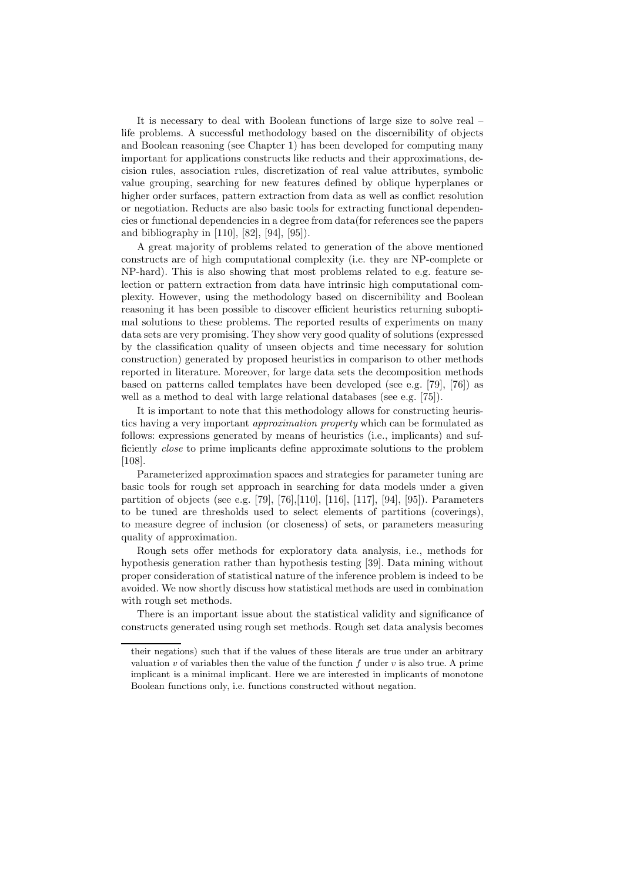It is necessary to deal with Boolean functions of large size to solve real – life problems. A successful methodology based on the discernibility of objects and Boolean reasoning (see Chapter 1) has been developed for computing many important for applications constructs like reducts and their approximations, decision rules, association rules, discretization of real value attributes, symbolic value grouping, searching for new features defined by oblique hyperplanes or higher order surfaces, pattern extraction from data as well as conflict resolution or negotiation. Reducts are also basic tools for extracting functional dependencies or functional dependencies in a degree from data(for references see the papers and bibliography in [110], [82], [94], [95]).

A great majority of problems related to generation of the above mentioned constructs are of high computational complexity (i.e. they are NP-complete or NP-hard). This is also showing that most problems related to e.g. feature selection or pattern extraction from data have intrinsic high computational complexity. However, using the methodology based on discernibility and Boolean reasoning it has been possible to discover efficient heuristics returning suboptimal solutions to these problems. The reported results of experiments on many data sets are very promising. They show very good quality of solutions (expressed by the classification quality of unseen objects and time necessary for solution construction) generated by proposed heuristics in comparison to other methods reported in literature. Moreover, for large data sets the decomposition methods based on patterns called templates have been developed (see e.g. [79], [76]) as well as a method to deal with large relational databases (see e.g. [75]).

It is important to note that this methodology allows for constructing heuristics having a very important approximation property which can be formulated as follows: expressions generated by means of heuristics (i.e., implicants) and sufficiently close to prime implicants define approximate solutions to the problem [108].

Parameterized approximation spaces and strategies for parameter tuning are basic tools for rough set approach in searching for data models under a given partition of objects (see e.g. [79], [76],[110], [116], [117], [94], [95]). Parameters to be tuned are thresholds used to select elements of partitions (coverings), to measure degree of inclusion (or closeness) of sets, or parameters measuring quality of approximation.

Rough sets offer methods for exploratory data analysis, i.e., methods for hypothesis generation rather than hypothesis testing [39]. Data mining without proper consideration of statistical nature of the inference problem is indeed to be avoided. We now shortly discuss how statistical methods are used in combination with rough set methods.

There is an important issue about the statistical validity and significance of constructs generated using rough set methods. Rough set data analysis becomes

their negations) such that if the values of these literals are true under an arbitrary valuation v of variables then the value of the function f under v is also true. A prime implicant is a minimal implicant. Here we are interested in implicants of monotone Boolean functions only, i.e. functions constructed without negation.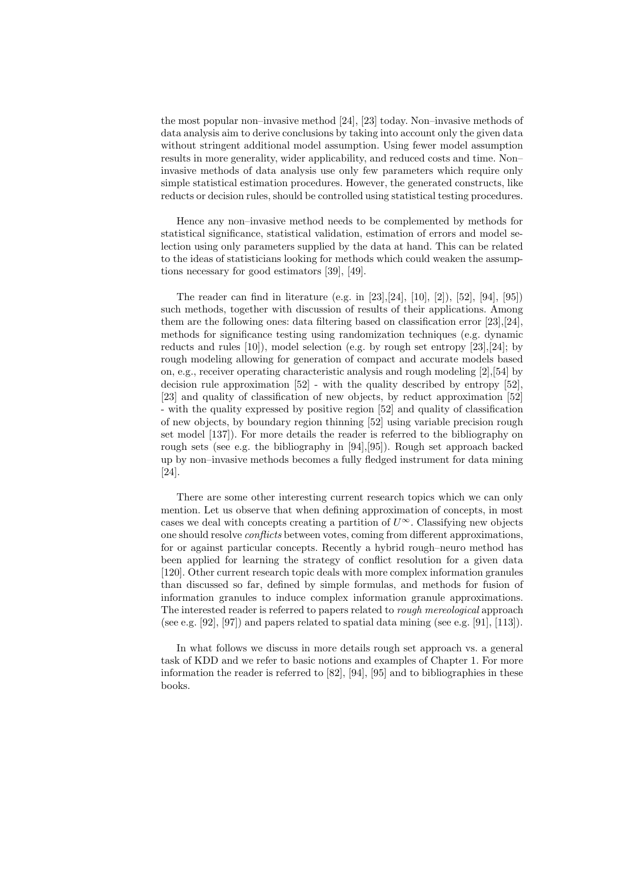the most popular non–invasive method [24], [23] today. Non–invasive methods of data analysis aim to derive conclusions by taking into account only the given data without stringent additional model assumption. Using fewer model assumption results in more generality, wider applicability, and reduced costs and time. Non– invasive methods of data analysis use only few parameters which require only simple statistical estimation procedures. However, the generated constructs, like reducts or decision rules, should be controlled using statistical testing procedures.

Hence any non–invasive method needs to be complemented by methods for statistical significance, statistical validation, estimation of errors and model selection using only parameters supplied by the data at hand. This can be related to the ideas of statisticians looking for methods which could weaken the assumptions necessary for good estimators [39], [49].

The reader can find in literature (e.g. in [23],[24], [10], [2]), [52], [94], [95]) such methods, together with discussion of results of their applications. Among them are the following ones: data filtering based on classification error [23],[24], methods for significance testing using randomization techniques (e.g. dynamic reducts and rules [10]), model selection (e.g. by rough set entropy [23],[24]; by rough modeling allowing for generation of compact and accurate models based on, e.g., receiver operating characteristic analysis and rough modeling [2],[54] by decision rule approximation [52] - with the quality described by entropy [52], [23] and quality of classification of new objects, by reduct approximation [52] - with the quality expressed by positive region [52] and quality of classification of new objects, by boundary region thinning [52] using variable precision rough set model [137]). For more details the reader is referred to the bibliography on rough sets (see e.g. the bibliography in [94],[95]). Rough set approach backed up by non–invasive methods becomes a fully fledged instrument for data mining [24].

There are some other interesting current research topics which we can only mention. Let us observe that when defining approximation of concepts, in most cases we deal with concepts creating a partition of  $U^{\infty}$ . Classifying new objects one should resolve conflicts between votes, coming from different approximations, for or against particular concepts. Recently a hybrid rough–neuro method has been applied for learning the strategy of conflict resolution for a given data [120]. Other current research topic deals with more complex information granules than discussed so far, defined by simple formulas, and methods for fusion of information granules to induce complex information granule approximations. The interested reader is referred to papers related to rough mereological approach (see e.g. [92], [97]) and papers related to spatial data mining (see e.g. [91], [113]).

In what follows we discuss in more details rough set approach vs. a general task of KDD and we refer to basic notions and examples of Chapter 1. For more information the reader is referred to [82], [94], [95] and to bibliographies in these books.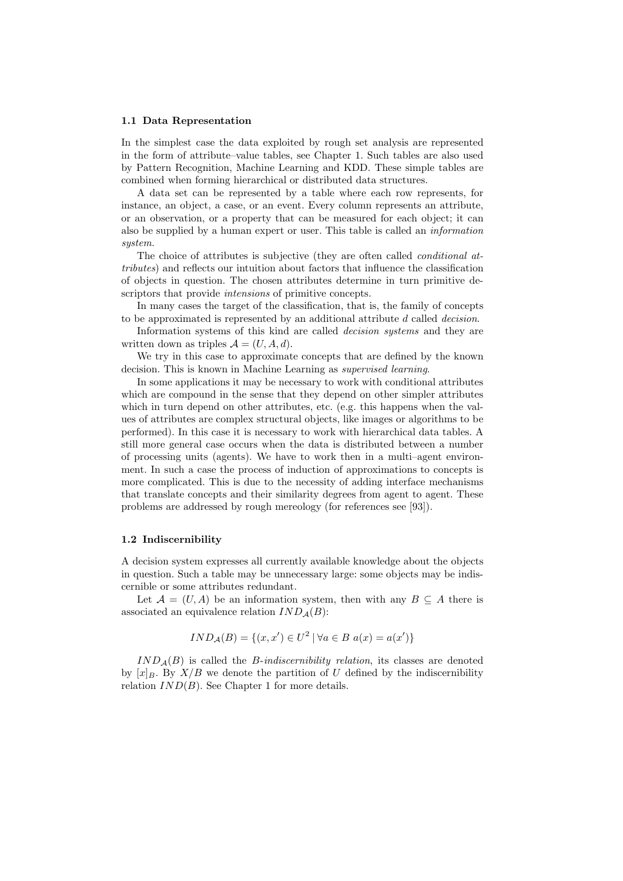## 1.1 Data Representation

In the simplest case the data exploited by rough set analysis are represented in the form of attribute–value tables, see Chapter 1. Such tables are also used by Pattern Recognition, Machine Learning and KDD. These simple tables are combined when forming hierarchical or distributed data structures.

A data set can be represented by a table where each row represents, for instance, an object, a case, or an event. Every column represents an attribute, or an observation, or a property that can be measured for each object; it can also be supplied by a human expert or user. This table is called an information system.

The choice of attributes is subjective (they are often called *conditional at*tributes) and reflects our intuition about factors that influence the classification of objects in question. The chosen attributes determine in turn primitive descriptors that provide *intensions* of primitive concepts.

In many cases the target of the classification, that is, the family of concepts to be approximated is represented by an additional attribute d called decision.

Information systems of this kind are called decision systems and they are written down as triples  $\mathcal{A} = (U, A, d)$ .

We try in this case to approximate concepts that are defined by the known decision. This is known in Machine Learning as supervised learning.

In some applications it may be necessary to work with conditional attributes which are compound in the sense that they depend on other simpler attributes which in turn depend on other attributes, etc. (e.g. this happens when the values of attributes are complex structural objects, like images or algorithms to be performed). In this case it is necessary to work with hierarchical data tables. A still more general case occurs when the data is distributed between a number of processing units (agents). We have to work then in a multi–agent environment. In such a case the process of induction of approximations to concepts is more complicated. This is due to the necessity of adding interface mechanisms that translate concepts and their similarity degrees from agent to agent. These problems are addressed by rough mereology (for references see [93]).

#### 1.2 Indiscernibility

A decision system expresses all currently available knowledge about the objects in question. Such a table may be unnecessary large: some objects may be indiscernible or some attributes redundant.

Let  $\mathcal{A} = (U, A)$  be an information system, then with any  $B \subseteq A$  there is associated an equivalence relation  $IND_{\mathcal{A}}(B)$ :

$$
IND_{\mathcal{A}}(B) = \{(x, x') \in U^2 \mid \forall a \in B \ a(x) = a(x')\}
$$

 $IND_{\mathcal{A}}(B)$  is called the *B*-indiscernibility relation, its classes are denoted by  $[x]_B$ . By  $X/B$  we denote the partition of U defined by the indiscernibility relation  $IND(B)$ . See Chapter 1 for more details.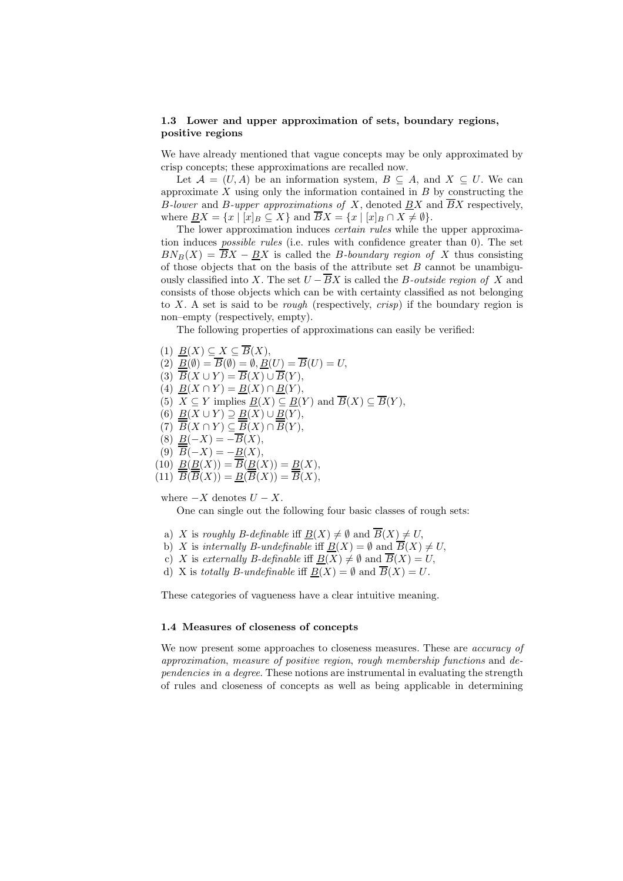# 1.3 Lower and upper approximation of sets, boundary regions, positive regions

We have already mentioned that vague concepts may be only approximated by crisp concepts; these approximations are recalled now.

Let  $\mathcal{A} = (U, A)$  be an information system,  $B \subseteq A$ , and  $X \subseteq U$ . We can approximate  $X$  using only the information contained in  $B$  by constructing the B-lower and B-upper approximations of X, denoted  $BX$  and  $\overline{B}X$  respectively, where  $\underline{BX} = \{x \mid [x]_B \subseteq X\}$  and  $\overline{BX} = \{x \mid [x]_B \cap X \neq \emptyset\}.$ 

The lower approximation induces *certain rules* while the upper approximation induces possible rules (i.e. rules with confidence greater than 0). The set  $BN_B(X) = \overline{B}X - \underline{B}X$  is called the *B*-boundary region of X thus consisting of those objects that on the basis of the attribute set  $B$  cannot be unambiguously classified into X. The set  $U - \overline{B}X$  is called the B-outside region of X and consists of those objects which can be with certainty classified as not belonging to X. A set is said to be *rough* (respectively,  $crisp$ ) if the boundary region is non–empty (respectively, empty).

The following properties of approximations can easily be verified:

(1)  $\underline{B}(X) \subseteq X \subseteq \overline{B}(X)$ , (2)  $\underline{B}(\emptyset) = \overline{B}(\emptyset) = \emptyset, \underline{B}(U) = \overline{B}(U) = U,$ (3)  $\overline{B}(X \cup Y) = \overline{B}(X) \cup \overline{B}(Y)$ , (4)  $\underline{B}(X \cap Y) = \underline{B}(X) \cap \underline{B}(Y),$ (5)  $X \subseteq Y$  implies  $\underline{B}(X) \subseteq \underline{B}(Y)$  and  $\overline{B}(X) \subseteq \overline{B}(Y)$ , (6)  $\underline{B}(X \cup Y) \supseteq \underline{B}(X) \cup \underline{B}(Y)$ ,  $(7)$   $B(X \cap Y) \subseteq B(X) \cap B(Y),$ (8)  $\underline{B}(-X) = -B(X),$ (9)  $B(-X) = -B(X)$ , (10)  $\underline{B(B(X))} = \overline{B(B(X))} = \underline{B(X)},$ (11)  $\overline{B}(\overline{B}(X)) = B(\overline{B}(X)) = \overline{B}(X),$ 

where  $-X$  denotes  $U - X$ .

One can single out the following four basic classes of rough sets:

- a) X is roughly B-definable iff  $B(X) \neq \emptyset$  and  $\overline{B}(X) \neq U$ ,
- b) X is internally B-undefinable iff  $\underline{B}(X) = \emptyset$  and  $\overline{B}(X) \neq U$ ,
- c) X is externally B-definable iff  $B(X) \neq \emptyset$  and  $\overline{B}(X) = U$ ,
- d) X is totally B-undefinable iff  $B(X) = \emptyset$  and  $\overline{B}(X) = U$ .

These categories of vagueness have a clear intuitive meaning.

#### 1.4 Measures of closeness of concepts

We now present some approaches to closeness measures. These are *accuracy of* approximation, measure of positive region, rough membership functions and dependencies in a degree. These notions are instrumental in evaluating the strength of rules and closeness of concepts as well as being applicable in determining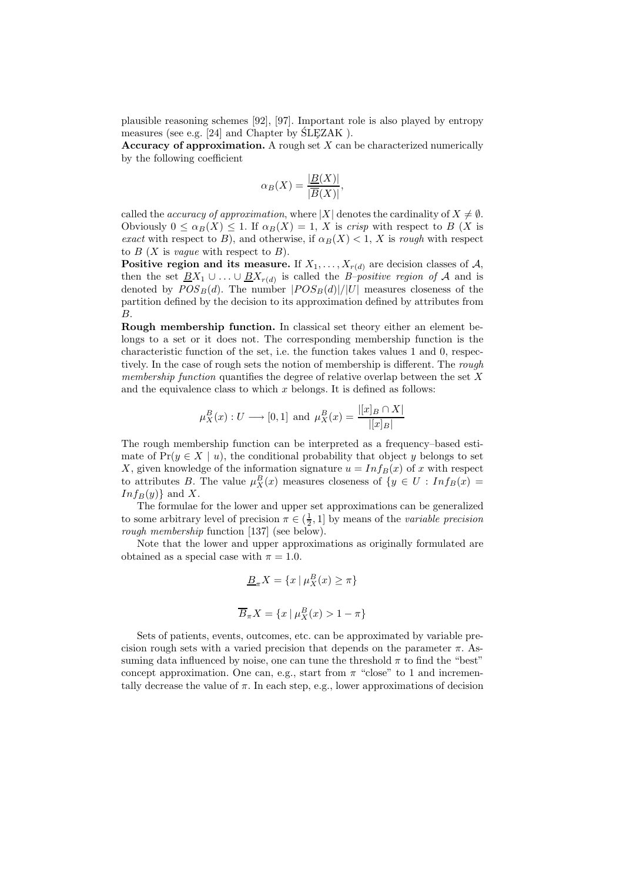plausible reasoning schemes [92], [97]. Important role is also played by entropy measures (see e.g.  $[24]$  and Chapter by  $SLEZAK$ ).

Accuracy of approximation. A rough set  $X$  can be characterized numerically by the following coefficient

$$
\alpha_B(X) = \frac{|B(X)|}{|\overline{B}(X)|},
$$

called the *accuracy of approximation*, where |X| denotes the cardinality of  $X \neq \emptyset$ . Obviously  $0 \le \alpha_B(X) \le 1$ . If  $\alpha_B(X) = 1$ , X is crisp with respect to B (X is exact with respect to B), and otherwise, if  $\alpha_B(X) < 1$ , X is rough with respect to  $B(X)$  is vague with respect to  $B$ ).

Positive region and its measure. If  $X_1, \ldots, X_{r(d)}$  are decision classes of A, then the set  $\underline{B}X_1 \cup \ldots \cup \underline{B}X_{r(d)}$  is called the *B-positive region of* A and is denoted by  $POS_B(d)$ . The number  $|POS_B(d)|/|U|$  measures closeness of the partition defined by the decision to its approximation defined by attributes from B.

Rough membership function. In classical set theory either an element belongs to a set or it does not. The corresponding membership function is the characteristic function of the set, i.e. the function takes values 1 and 0, respectively. In the case of rough sets the notion of membership is different. The rough membership function quantifies the degree of relative overlap between the set  $X$ and the equivalence class to which  $x$  belongs. It is defined as follows:

$$
\mu_X^B(x) : U \longrightarrow [0,1]
$$
 and  $\mu_X^B(x) = \frac{|[x]_B \cap X|}{|[x]_B|}$ 

The rough membership function can be interpreted as a frequency–based estimate of  $Pr(y \in X | u)$ , the conditional probability that object y belongs to set X, given knowledge of the information signature  $u = Inf_B(x)$  of x with respect to attributes B. The value  $\mu_X^B(x)$  measures closeness of  $\{y \in U : Inf_B(x) =$  $Inf_B(y)$  and X.

The formulae for the lower and upper set approximations can be generalized to some arbitrary level of precision  $\pi \in (\frac{1}{2}, 1]$  by means of the *variable precision* rough membership function [137] (see below).

Note that the lower and upper approximations as originally formulated are obtained as a special case with  $\pi = 1.0$ .

$$
\underline{B}_{\pi}X = \{x \mid \mu_X^B(x) \ge \pi\}
$$

$$
\overline{B}_{\pi}X = \{x \mid \mu_X^B(x) > 1 - \pi\}
$$

Sets of patients, events, outcomes, etc. can be approximated by variable precision rough sets with a varied precision that depends on the parameter  $\pi$ . Assuming data influenced by noise, one can tune the threshold  $\pi$  to find the "best" concept approximation. One can, e.g., start from  $\pi$  "close" to 1 and incrementally decrease the value of  $\pi$ . In each step, e.g., lower approximations of decision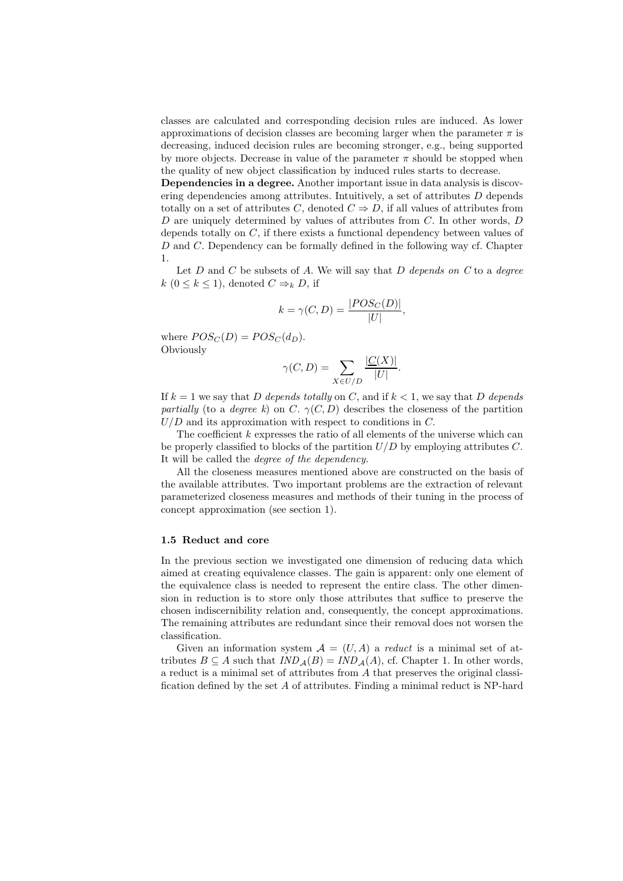classes are calculated and corresponding decision rules are induced. As lower approximations of decision classes are becoming larger when the parameter  $\pi$  is decreasing, induced decision rules are becoming stronger, e.g., being supported by more objects. Decrease in value of the parameter  $\pi$  should be stopped when the quality of new object classification by induced rules starts to decrease.

Dependencies in a degree. Another important issue in data analysis is discovering dependencies among attributes. Intuitively, a set of attributes D depends totally on a set of attributes C, denoted  $C \Rightarrow D$ , if all values of attributes from  $D$  are uniquely determined by values of attributes from  $C$ . In other words,  $D$ depends totally on C, if there exists a functional dependency between values of D and C. Dependency can be formally defined in the following way cf. Chapter 1.

Let  $D$  and  $C$  be subsets of  $A$ . We will say that  $D$  depends on  $C$  to a degree k (0  $\leq$  k  $\leq$  1), denoted  $C \Rightarrow_k D$ , if

$$
k = \gamma(C, D) = \frac{|POS_C(D)|}{|U|},
$$

where  $POS_{C}(D)=POS_{C}(d_{D}).$ Obviously

$$
\gamma(C,D) = \sum_{X \in U/D} \frac{|C(X)|}{|U|}.
$$

If  $k = 1$  we say that D depends totally on C, and if  $k < 1$ , we say that D depends partially (to a degree k) on C.  $\gamma(C, D)$  describes the closeness of the partition  $U/D$  and its approximation with respect to conditions in  $C$ .

The coefficient  $k$  expresses the ratio of all elements of the universe which can be properly classified to blocks of the partition  $U/D$  by employing attributes  $C$ . It will be called the degree of the dependency.

All the closeness measures mentioned above are constructed on the basis of the available attributes. Two important problems are the extraction of relevant parameterized closeness measures and methods of their tuning in the process of concept approximation (see section 1).

## 1.5 Reduct and core

In the previous section we investigated one dimension of reducing data which aimed at creating equivalence classes. The gain is apparent: only one element of the equivalence class is needed to represent the entire class. The other dimension in reduction is to store only those attributes that suffice to preserve the chosen indiscernibility relation and, consequently, the concept approximations. The remaining attributes are redundant since their removal does not worsen the classification.

Given an information system  $A = (U, A)$  a reduct is a minimal set of attributes  $B \subseteq A$  such that  $IND_A(B) = IND_A(A)$ , cf. Chapter 1. In other words, a reduct is a minimal set of attributes from A that preserves the original classification defined by the set A of attributes. Finding a minimal reduct is NP-hard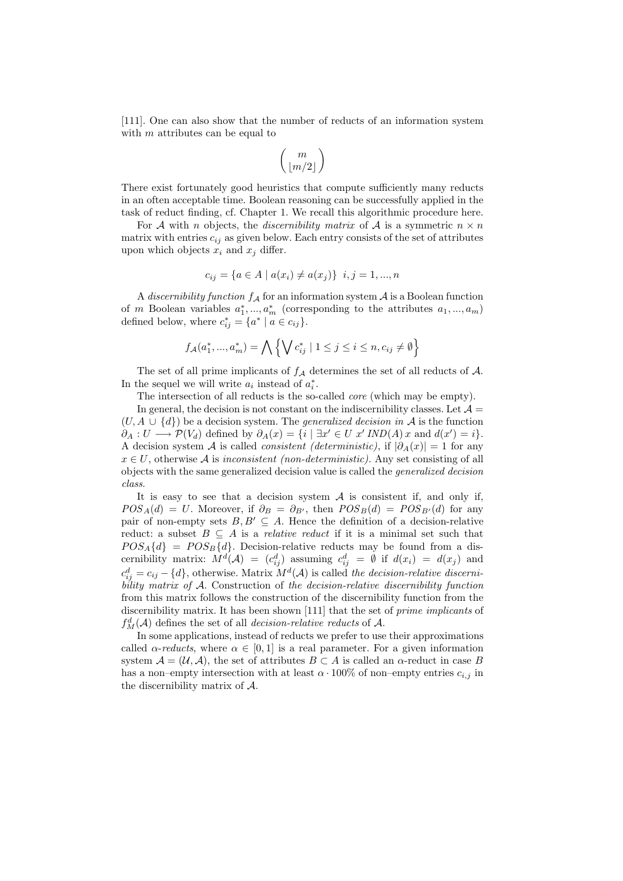[111]. One can also show that the number of reducts of an information system with  $m$  attributes can be equal to

$$
\binom{m}{\lfloor m/2\rfloor}
$$

There exist fortunately good heuristics that compute sufficiently many reducts in an often acceptable time. Boolean reasoning can be successfully applied in the task of reduct finding, cf. Chapter 1. We recall this algorithmic procedure here.

For A with n objects, the discernibility matrix of A is a symmetric  $n \times n$ matrix with entries  $c_{ij}$  as given below. Each entry consists of the set of attributes upon which objects  $x_i$  and  $x_j$  differ.

$$
c_{ij} = \{a \in A \mid a(x_i) \neq a(x_j)\} \quad i, j = 1, ..., n
$$

A discernibility function  $f_{\mathcal{A}}$  for an information system  $\mathcal{A}$  is a Boolean function of m Boolean variables  $a_1^*,...,a_m^*$  (corresponding to the attributes  $a_1,...,a_m$ ) defined below, where  $c_{ij}^* = \{a^* \mid a \in c_{ij}\}.$ 

$$
f_{\mathcal{A}}(a_1^*,...,a_m^*) = \bigwedge \left\{ \bigvee c_{ij}^* \mid 1 \leq j \leq i \leq n, c_{ij} \neq \emptyset \right\}
$$

The set of all prime implicants of  $f_A$  determines the set of all reducts of  $A$ . In the sequel we will write  $a_i$  instead of  $a_i^*$ .

The intersection of all reducts is the so-called core (which may be empty).

In general, the decision is not constant on the indiscernibility classes. Let  $\mathcal{A} =$  $(U, A \cup \{d\})$  be a decision system. The *generalized decision in* A is the function  $\partial_A: U \longrightarrow \mathcal{P}(V_d)$  defined by  $\partial_A(x) = \{i \mid \exists x' \in U \ x' \text{ IND}(A) x \text{ and } d(x') = i\}.$ A decision system A is called *consistent (deterministic)*, if  $|\partial_A(x)| = 1$  for any  $x \in U$ , otherwise A is inconsistent (non-deterministic). Any set consisting of all objects with the same generalized decision value is called the generalized decision class.

It is easy to see that a decision system  $A$  is consistent if, and only if,  $POS_A(d) = U$ . Moreover, if  $\partial_B = \partial_{B'}$ , then  $POS_B(d) = POS_{B'}(d)$  for any pair of non-empty sets  $B, B' \subseteq A$ . Hence the definition of a decision-relative reduct: a subset  $B \subseteq A$  is a *relative reduct* if it is a minimal set such that  $POS_{A}{d} = POS_{B}{d}$ . Decision-relative reducts may be found from a discernibility matrix:  $M^d(\mathcal{A}) = (c_{ij}^d)$  assuming  $c_{ij}^d = \emptyset$  if  $d(x_i) = d(x_j)$  and  $c_{ij}^d = c_{ij} - \{d\}$ , otherwise. Matrix  $M^d(A)$  is called the decision-relative discernibility matrix of A. Construction of the decision-relative discernibility function from this matrix follows the construction of the discernibility function from the discernibility matrix. It has been shown [111] that the set of *prime implicants* of  $f_M^d(\mathcal{A})$  defines the set of all *decision-relative reducts* of  $\mathcal{A}$ .

In some applications, instead of reducts we prefer to use their approximations called  $\alpha$ -reducts, where  $\alpha \in [0, 1]$  is a real parameter. For a given information system  $\mathcal{A} = (\mathcal{U}, \mathcal{A})$ , the set of attributes  $B \subset \mathcal{A}$  is called an  $\alpha$ -reduct in case B has a non–empty intersection with at least  $\alpha \cdot 100\%$  of non–empty entries  $c_{i,j}$  in the discernibility matrix of A.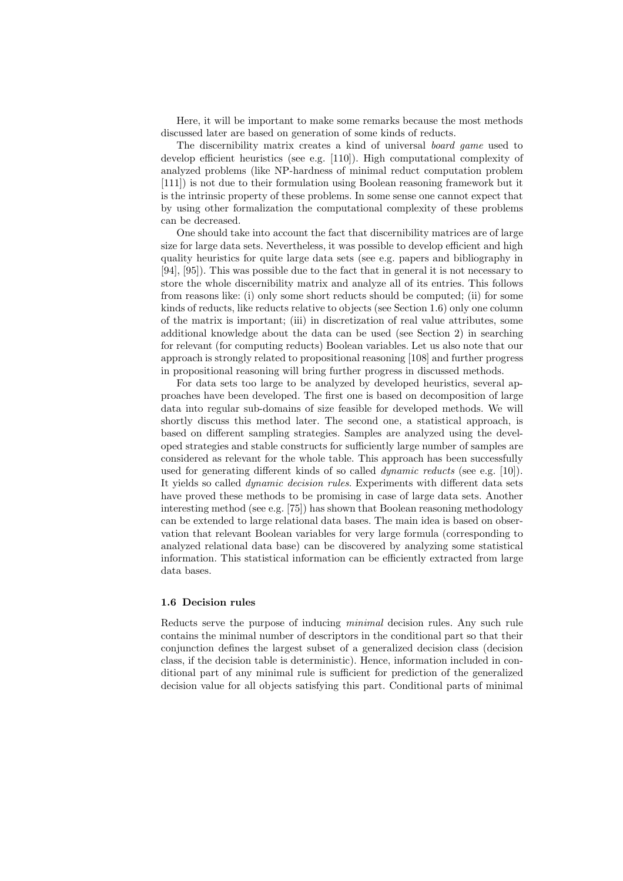Here, it will be important to make some remarks because the most methods discussed later are based on generation of some kinds of reducts.

The discernibility matrix creates a kind of universal board game used to develop efficient heuristics (see e.g. [110]). High computational complexity of analyzed problems (like NP-hardness of minimal reduct computation problem [111]) is not due to their formulation using Boolean reasoning framework but it is the intrinsic property of these problems. In some sense one cannot expect that by using other formalization the computational complexity of these problems can be decreased.

One should take into account the fact that discernibility matrices are of large size for large data sets. Nevertheless, it was possible to develop efficient and high quality heuristics for quite large data sets (see e.g. papers and bibliography in [94], [95]). This was possible due to the fact that in general it is not necessary to store the whole discernibility matrix and analyze all of its entries. This follows from reasons like: (i) only some short reducts should be computed; (ii) for some kinds of reducts, like reducts relative to objects (see Section 1.6) only one column of the matrix is important; (iii) in discretization of real value attributes, some additional knowledge about the data can be used (see Section 2) in searching for relevant (for computing reducts) Boolean variables. Let us also note that our approach is strongly related to propositional reasoning [108] and further progress in propositional reasoning will bring further progress in discussed methods.

For data sets too large to be analyzed by developed heuristics, several approaches have been developed. The first one is based on decomposition of large data into regular sub-domains of size feasible for developed methods. We will shortly discuss this method later. The second one, a statistical approach, is based on different sampling strategies. Samples are analyzed using the developed strategies and stable constructs for sufficiently large number of samples are considered as relevant for the whole table. This approach has been successfully used for generating different kinds of so called dynamic reducts (see e.g. [10]). It yields so called dynamic decision rules. Experiments with different data sets have proved these methods to be promising in case of large data sets. Another interesting method (see e.g. [75]) has shown that Boolean reasoning methodology can be extended to large relational data bases. The main idea is based on observation that relevant Boolean variables for very large formula (corresponding to analyzed relational data base) can be discovered by analyzing some statistical information. This statistical information can be efficiently extracted from large data bases.

# 1.6 Decision rules

Reducts serve the purpose of inducing minimal decision rules. Any such rule contains the minimal number of descriptors in the conditional part so that their conjunction defines the largest subset of a generalized decision class (decision class, if the decision table is deterministic). Hence, information included in conditional part of any minimal rule is sufficient for prediction of the generalized decision value for all objects satisfying this part. Conditional parts of minimal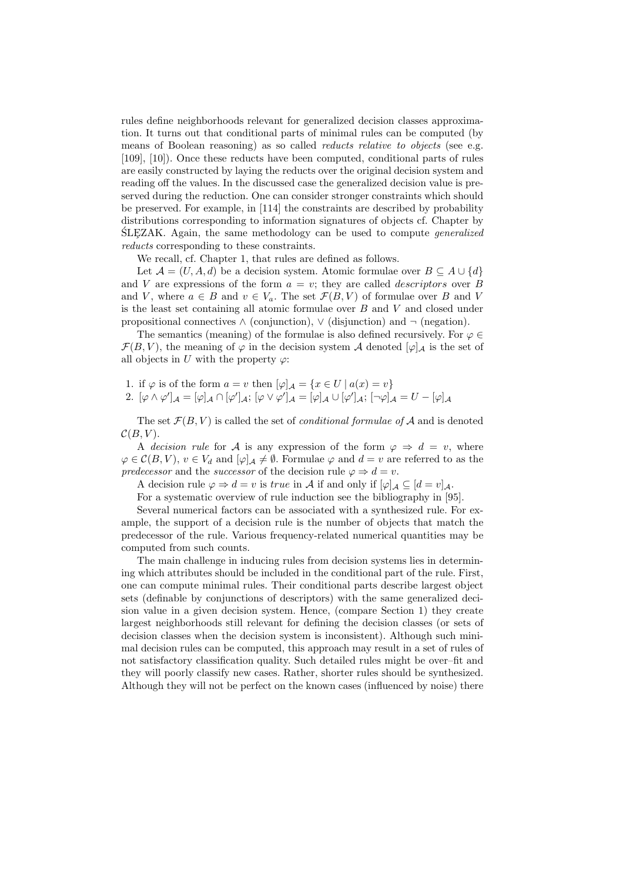rules define neighborhoods relevant for generalized decision classes approximation. It turns out that conditional parts of minimal rules can be computed (by means of Boolean reasoning) as so called reducts relative to objects (see e.g. [109], [10]). Once these reducts have been computed, conditional parts of rules are easily constructed by laying the reducts over the original decision system and reading off the values. In the discussed case the generalized decision value is preserved during the reduction. One can consider stronger constraints which should be preserved. For example, in [114] the constraints are described by probability distributions corresponding to information signatures of objects cf. Chapter by SLEZAK. Again, the same methodology can be used to compute *generalized* reducts corresponding to these constraints.

We recall, cf. Chapter 1, that rules are defined as follows.

Let  $\mathcal{A} = (U, A, d)$  be a decision system. Atomic formulae over  $B \subseteq A \cup \{d\}$ and V are expressions of the form  $a = v$ ; they are called *descriptors* over B and V, where  $a \in B$  and  $v \in V_a$ . The set  $\mathcal{F}(B, V)$  of formulae over B and V is the least set containing all atomic formulae over B and V and closed under propositional connectives  $\land$  (conjunction),  $\lor$  (disjunction) and  $\neg$  (negation).

The semantics (meaning) of the formulae is also defined recursively. For  $\varphi \in$  $\mathcal{F}(B, V)$ , the meaning of  $\varphi$  in the decision system A denoted  $[\varphi]_{\mathcal{A}}$  is the set of all objects in U with the property  $\varphi$ :

1. if  $\varphi$  is of the form  $a = v$  then  $[\varphi]_{\mathcal{A}} = \{x \in U \mid a(x) = v\}$ 

 $2. \; [\varphi \wedge \varphi']_\mathcal{A} = [\varphi]_\mathcal{A} \cap [\varphi']_\mathcal{A}; \, [\varphi \vee \varphi']_\mathcal{A} = [\varphi]_\mathcal{A} \cup [\varphi']_\mathcal{A}; \, [\neg \varphi]_\mathcal{A} = U - [\varphi]_\mathcal{A}$ 

 $\mathcal{C}(B,V).$ The set  $\mathcal{F}(B, V)$  is called the set of *conditional formulae of*  $A$  and is denoted  $\mathcal{C}(B, V)$ .

A decision rule for A is any expression of the form  $\varphi \Rightarrow d = v$ , where  $\varphi \in \mathcal{C}(B, V), v \in V_d$  and  $[\varphi]_{\mathcal{A}} \neq \emptyset$ . Formulae  $\varphi$  and  $d = v$  are referred to as the predecessor and the successor of the decision rule  $\varphi \Rightarrow d = v$ .

A decision rule  $\varphi \Rightarrow d = v$  is *true* in A if and only if  $[\varphi]_{A} \subseteq [d = v]_{A}$ .

For a systematic overview of rule induction see the bibliography in [95].

Several numerical factors can be associated with a synthesized rule. For example, the support of a decision rule is the number of objects that match the predecessor of the rule. Various frequency-related numerical quantities may be computed from such counts.

The main challenge in inducing rules from decision systems lies in determining which attributes should be included in the conditional part of the rule. First, one can compute minimal rules. Their conditional parts describe largest object sets (definable by conjunctions of descriptors) with the same generalized decision value in a given decision system. Hence, (compare Section 1) they create largest neighborhoods still relevant for defining the decision classes (or sets of decision classes when the decision system is inconsistent). Although such minimal decision rules can be computed, this approach may result in a set of rules of not satisfactory classification quality. Such detailed rules might be over–fit and they will poorly classify new cases. Rather, shorter rules should be synthesized. Although they will not be perfect on the known cases (influenced by noise) there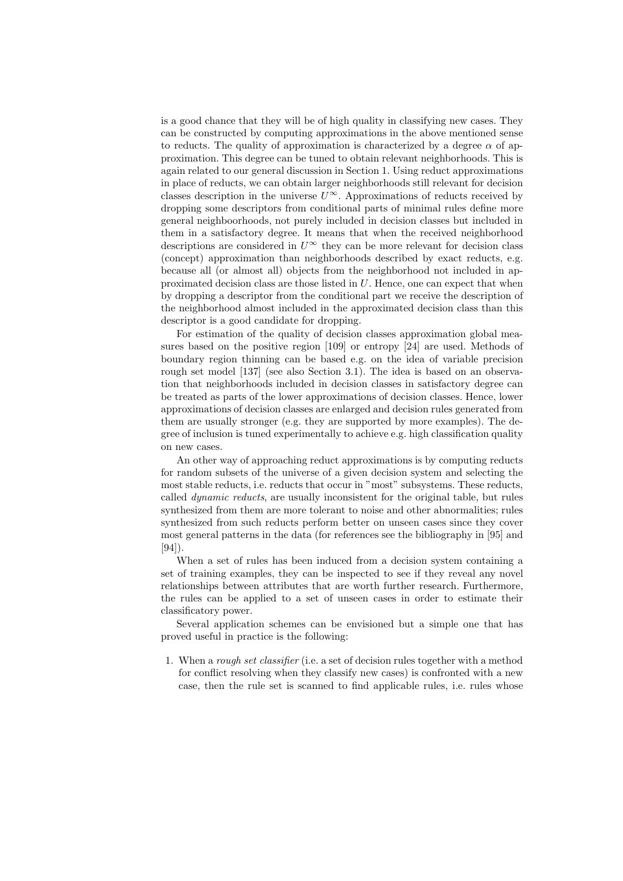is a good chance that they will be of high quality in classifying new cases. They can be constructed by computing approximations in the above mentioned sense to reducts. The quality of approximation is characterized by a degree  $\alpha$  of approximation. This degree can be tuned to obtain relevant neighborhoods. This is again related to our general discussion in Section 1. Using reduct approximations in place of reducts, we can obtain larger neighborhoods still relevant for decision classes description in the universe  $U^{\infty}$ . Approximations of reducts received by dropping some descriptors from conditional parts of minimal rules define more general neighboorhoods, not purely included in decision classes but included in them in a satisfactory degree. It means that when the received neighborhood descriptions are considered in  $U^{\infty}$  they can be more relevant for decision class (concept) approximation than neighborhoods described by exact reducts, e.g. because all (or almost all) objects from the neighborhood not included in approximated decision class are those listed in U. Hence, one can expect that when by dropping a descriptor from the conditional part we receive the description of the neighborhood almost included in the approximated decision class than this descriptor is a good candidate for dropping.

For estimation of the quality of decision classes approximation global measures based on the positive region [109] or entropy [24] are used. Methods of boundary region thinning can be based e.g. on the idea of variable precision rough set model [137] (see also Section 3.1). The idea is based on an observation that neighborhoods included in decision classes in satisfactory degree can be treated as parts of the lower approximations of decision classes. Hence, lower approximations of decision classes are enlarged and decision rules generated from them are usually stronger (e.g. they are supported by more examples). The degree of inclusion is tuned experimentally to achieve e.g. high classification quality on new cases.

An other way of approaching reduct approximations is by computing reducts for random subsets of the universe of a given decision system and selecting the most stable reducts, i.e. reducts that occur in "most" subsystems. These reducts, called dynamic reducts, are usually inconsistent for the original table, but rules synthesized from them are more tolerant to noise and other abnormalities; rules synthesized from such reducts perform better on unseen cases since they cover most general patterns in the data (for references see the bibliography in [95] and [94]).

When a set of rules has been induced from a decision system containing a set of training examples, they can be inspected to see if they reveal any novel relationships between attributes that are worth further research. Furthermore, the rules can be applied to a set of unseen cases in order to estimate their classificatory power.

Several application schemes can be envisioned but a simple one that has proved useful in practice is the following:

1. When a rough set classifier (i.e. a set of decision rules together with a method for conflict resolving when they classify new cases) is confronted with a new case, then the rule set is scanned to find applicable rules, i.e. rules whose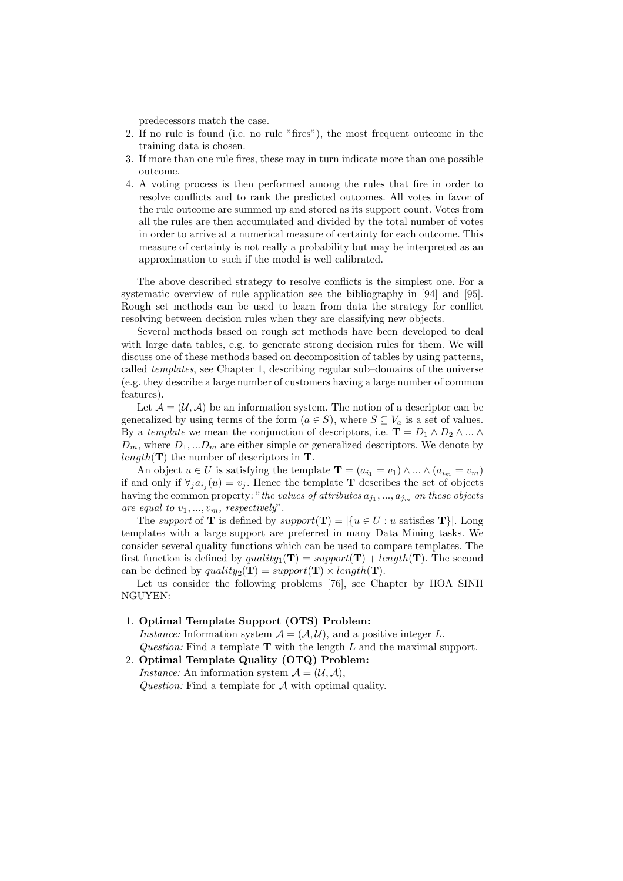predecessors match the case.

- 2. If no rule is found (i.e. no rule "fires"), the most frequent outcome in the training data is chosen.
- 3. If more than one rule fires, these may in turn indicate more than one possible outcome.
- 4. A voting process is then performed among the rules that fire in order to resolve conflicts and to rank the predicted outcomes. All votes in favor of the rule outcome are summed up and stored as its support count. Votes from all the rules are then accumulated and divided by the total number of votes in order to arrive at a numerical measure of certainty for each outcome. This measure of certainty is not really a probability but may be interpreted as an approximation to such if the model is well calibrated.

The above described strategy to resolve conflicts is the simplest one. For a systematic overview of rule application see the bibliography in [94] and [95]. Rough set methods can be used to learn from data the strategy for conflict resolving between decision rules when they are classifying new objects.

Several methods based on rough set methods have been developed to deal with large data tables, e.g. to generate strong decision rules for them. We will discuss one of these methods based on decomposition of tables by using patterns, called templates, see Chapter 1, describing regular sub–domains of the universe (e.g. they describe a large number of customers having a large number of common features).

Let  $\mathcal{A} = (\mathcal{U}, \mathcal{A})$  be an information system. The notion of a descriptor can be generalized by using terms of the form  $(a \in S)$ , where  $S \subseteq V_a$  is a set of values. By a template we mean the conjunction of descriptors, i.e.  $\mathbf{T} = D_1 \wedge D_2 \wedge ... \wedge D_n$  $D_m$ , where  $D_1,...D_m$  are either simple or generalized descriptors. We denote by length( $\mathbf{T}$ ) the number of descriptors in  $\mathbf{T}$ .

An object  $u \in U$  is satisfying the template  $\mathbf{T} = (a_{i_1} = v_1) \wedge ... \wedge (a_{i_m} = v_m)$ if and only if  $\forall_j a_{i_j}(u) = v_j$ . Hence the template **T** describes the set of objects having the common property: " the values of attributes  $a_{j_1},...,a_{j_m}$  on these objects are equal to  $v_1, ..., v_m$ , respectively".

The support of **T** is defined by  $support(T) = |\{u \in U : u \text{ satisfies } T\}|$ . Long templates with a large support are preferred in many Data Mining tasks. We consider several quality functions which can be used to compare templates. The first function is defined by  $quality_1(\mathbf{T}) = support(\mathbf{T}) + length(\mathbf{T})$ . The second can be defined by  $quality_2(\mathbf{T}) = support(\mathbf{T}) \times length(\mathbf{T}).$ 

Let us consider the following problems [76], see Chapter by HOA SINH NGUYEN:

## 1. Optimal Template Support (OTS) Problem:

*Instance:* Information system  $A = (A, U)$ , and a positive integer L.

Question: Find a template  $\mathbf T$  with the length  $L$  and the maximal support. 2. Optimal Template Quality (OTQ) Problem:

*Instance:* An information system  $A = (\mathcal{U}, \mathcal{A})$ , Question: Find a template for A with optimal quality.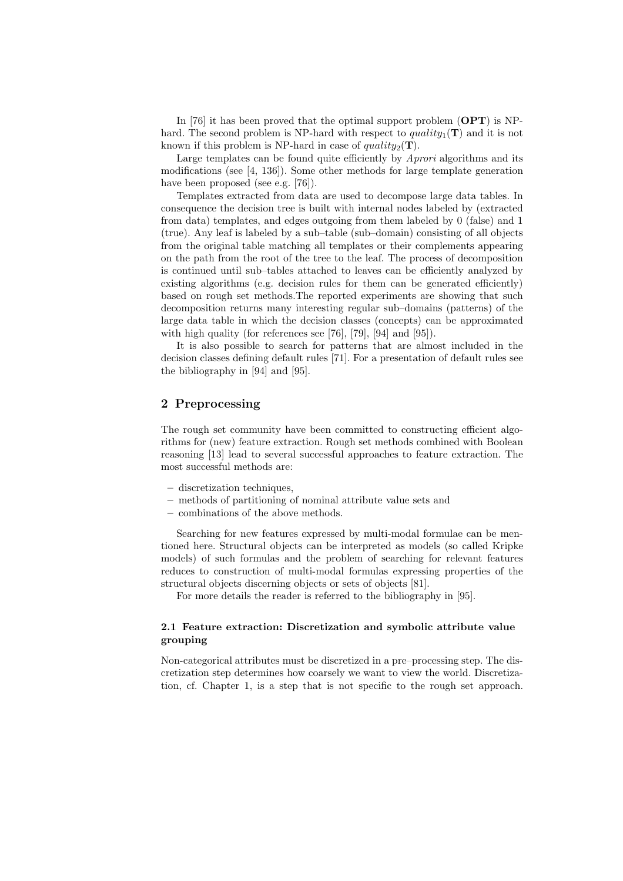In [76] it has been proved that the optimal support problem (OPT) is NPhard. The second problem is NP-hard with respect to  $quality_1(\mathbf{T})$  and it is not known if this problem is NP-hard in case of quality<sub>2</sub>(T).

Large templates can be found quite efficiently by *Aprori* algorithms and its modifications (see [4, 136]). Some other methods for large template generation have been proposed (see e.g. [76]).

Templates extracted from data are used to decompose large data tables. In consequence the decision tree is built with internal nodes labeled by (extracted from data) templates, and edges outgoing from them labeled by 0 (false) and 1 (true). Any leaf is labeled by a sub–table (sub–domain) consisting of all objects from the original table matching all templates or their complements appearing on the path from the root of the tree to the leaf. The process of decomposition is continued until sub–tables attached to leaves can be efficiently analyzed by existing algorithms (e.g. decision rules for them can be generated efficiently) based on rough set methods.The reported experiments are showing that such decomposition returns many interesting regular sub–domains (patterns) of the large data table in which the decision classes (concepts) can be approximated with high quality (for references see [76], [79], [94] and [95]).

It is also possible to search for patterns that are almost included in the decision classes defining default rules [71]. For a presentation of default rules see the bibliography in [94] and [95].

# 2 Preprocessing

The rough set community have been committed to constructing efficient algorithms for (new) feature extraction. Rough set methods combined with Boolean reasoning [13] lead to several successful approaches to feature extraction. The most successful methods are:

- discretization techniques,
- methods of partitioning of nominal attribute value sets and
- combinations of the above methods.

Searching for new features expressed by multi-modal formulae can be mentioned here. Structural objects can be interpreted as models (so called Kripke models) of such formulas and the problem of searching for relevant features reduces to construction of multi-modal formulas expressing properties of the structural objects discerning objects or sets of objects [81].

For more details the reader is referred to the bibliography in [95].

# 2.1 Feature extraction: Discretization and symbolic attribute value grouping

Non-categorical attributes must be discretized in a pre–processing step. The discretization step determines how coarsely we want to view the world. Discretization, cf. Chapter 1, is a step that is not specific to the rough set approach.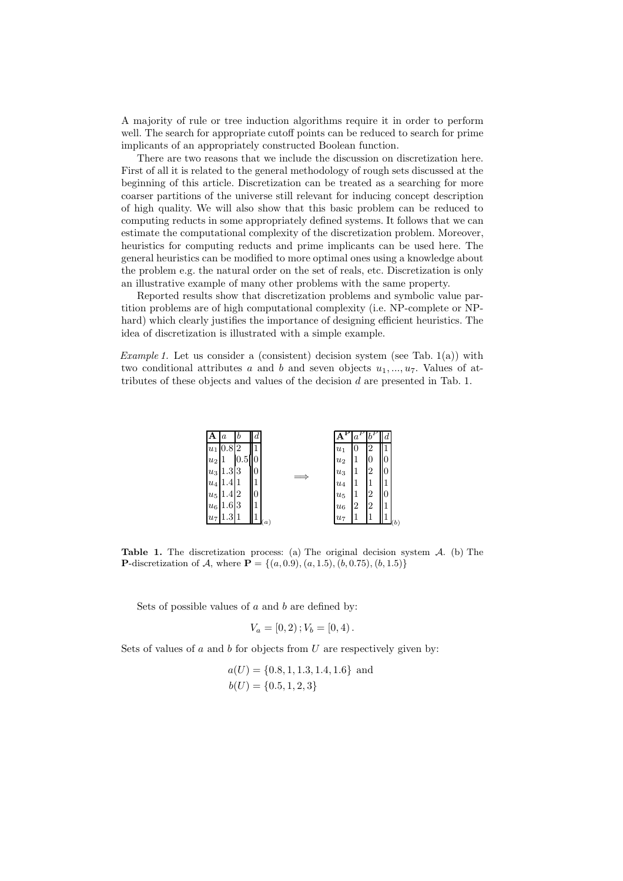A majority of rule or tree induction algorithms require it in order to perform well. The search for appropriate cutoff points can be reduced to search for prime implicants of an appropriately constructed Boolean function.

There are two reasons that we include the discussion on discretization here. First of all it is related to the general methodology of rough sets discussed at the beginning of this article. Discretization can be treated as a searching for more coarser partitions of the universe still relevant for inducing concept description of high quality. We will also show that this basic problem can be reduced to computing reducts in some appropriately defined systems. It follows that we can estimate the computational complexity of the discretization problem. Moreover, heuristics for computing reducts and prime implicants can be used here. The general heuristics can be modified to more optimal ones using a knowledge about the problem e.g. the natural order on the set of reals, etc. Discretization is only an illustrative example of many other problems with the same property.

Reported results show that discretization problems and symbolic value partition problems are of high computational complexity (i.e. NP-complete or NPhard) which clearly justifies the importance of designing efficient heuristics. The idea of discretization is illustrated with a simple example.

*Example 1.* Let us consider a (consistent) decision system (see Tab.  $1(a)$ ) with two conditional attributes a and b and seven objects  $u_1, \ldots, u_7$ . Values of attributes of these objects and values of the decision d are presented in Tab. 1.



Table 1. The discretization process: (a) The original decision system A. (b) The **P**-discretization of A, where  $P = \{(a, 0.9), (a, 1.5), (b, 0.75), (b, 1.5)\}\$ 

Sets of possible values of  $a$  and  $b$  are defined by:

$$
V_a = [0, 2); V_b = [0, 4).
$$

Sets of values of  $a$  and  $b$  for objects from  $U$  are respectively given by:

$$
a(U) = \{0.8, 1, 1.3, 1.4, 1.6\} \text{ and } b(U) = \{0.5, 1, 2, 3\}
$$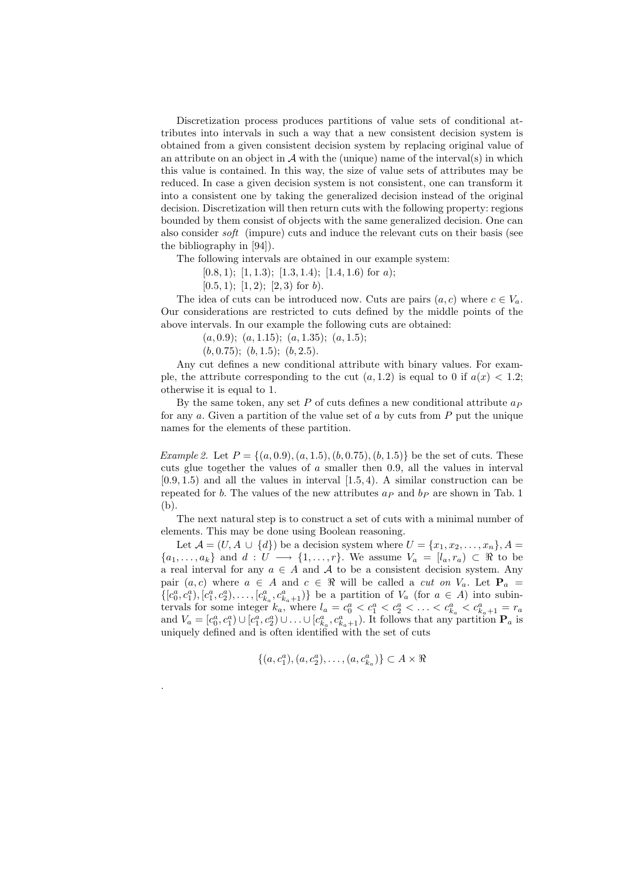Discretization process produces partitions of value sets of conditional attributes into intervals in such a way that a new consistent decision system is obtained from a given consistent decision system by replacing original value of an attribute on an object in  $\mathcal A$  with the (unique) name of the interval(s) in which this value is contained. In this way, the size of value sets of attributes may be reduced. In case a given decision system is not consistent, one can transform it into a consistent one by taking the generalized decision instead of the original decision. Discretization will then return cuts with the following property: regions bounded by them consist of objects with the same generalized decision. One can also consider soft (impure) cuts and induce the relevant cuts on their basis (see the bibliography in [94]).

The following intervals are obtained in our example system:

 $[0.8, 1); [1, 1.3]; [1.3, 1.4]; [1.4, 1.6]$  for a);

 $[0.5, 1); [1, 2); [2, 3]$  for b).

The idea of cuts can be introduced now. Cuts are pairs  $(a, c)$  where  $c \in V_a$ . Our considerations are restricted to cuts defined by the middle points of the above intervals. In our example the following cuts are obtained:

 $(a, 0.9); (a, 1.15); (a, 1.35); (a, 1.5);$ 

 $(b, 0.75); (b, 1.5); (b, 2.5).$ 

.

Any cut defines a new conditional attribute with binary values. For example, the attribute corresponding to the cut  $(a, 1.2)$  is equal to 0 if  $a(x) < 1.2$ ; otherwise it is equal to 1.

By the same token, any set P of cuts defines a new conditional attribute  $a_P$ for any  $a$ . Given a partition of the value set of  $a$  by cuts from  $P$  put the unique names for the elements of these partition.

*Example 2.* Let  $P = \{(a, 0.9), (a, 1.5), (b, 0.75), (b, 1.5)\}\)$  be the set of cuts. These cuts glue together the values of a smaller then 0.9, all the values in interval  $[0.9, 1.5)$  and all the values in interval  $[1.5, 4)$ . A similar construction can be repeated for b. The values of the new attributes  $a_P$  and  $b_P$  are shown in Tab. 1 (b).

The next natural step is to construct a set of cuts with a minimal number of elements. This may be done using Boolean reasoning.

Let  $\mathcal{A} = (U, A \cup \{d\})$  be a decision system where  $U = \{x_1, x_2, \ldots, x_n\}, A =$  ${a_1, \ldots, a_k}$  and  $d: U \longrightarrow {1, \ldots, r}$ . We assume  $V_a = [l_a, r_a) \subset \Re$  to be a real interval for any  $a \in A$  and  $A$  to be a consistent decision system. Any pair  $(a, c)$  where  $a \in A$  and  $c \in \Re$  will be called a *cut on*  $V_a$ . Let  $P_a =$  $\{[c_0^a, c_1^a], [c_1^a, c_2^a], \ldots, [c_{k_a}^a, c_{k_a+1}^a]\}\$ be a partition of  $V_a$  (for  $a \in A$ ) into subintervals for some integer  $k_a$ , where  $l_a = c_0^a < c_1^a < c_2^a < \ldots < c_{k_a}^a < c_{k_a+1}^a = r_a$ and  $V_a = [c_0^a, c_1^a] \cup [c_1^a, c_2^a] \cup \ldots \cup [c_{k_a}^a, c_{k_a+1}^a]$ . It follows that any partition  $P_a$  is uniquely defined and is often identified with the set of cuts

$$
\{(a, c_1^a), (a, c_2^a), \dots, (a, c_{k_a}^a)\} \subset A \times \Re
$$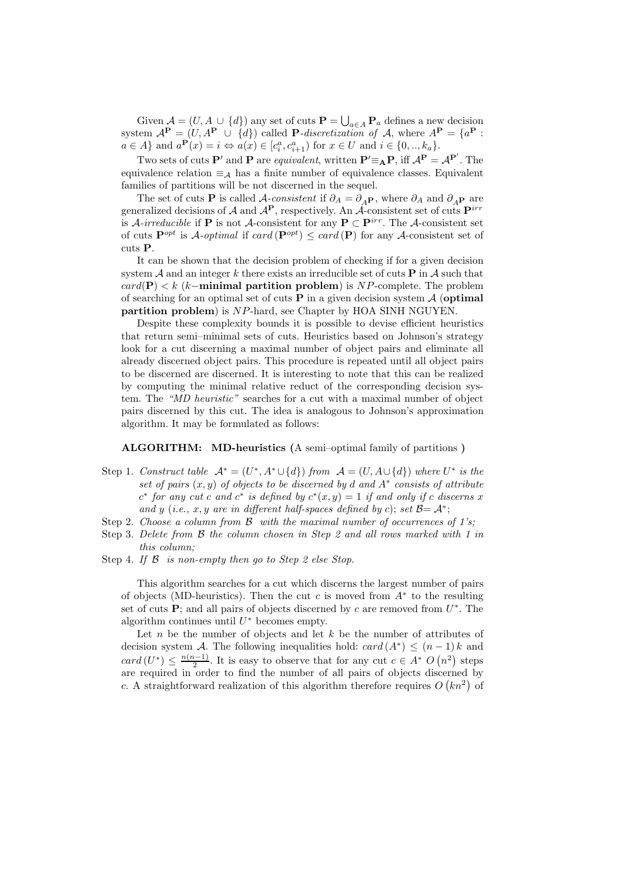Given  $\mathcal{A} = (U, A \cup \{d\})$  any set of cuts  $\mathbf{P} = \bigcup_{a \in A} \mathbf{P}_a$  defines a new decision system  $A^{\mathbf{P}} = (U, A^{\mathbf{P}} \cup \{d\})$  called  $\mathbf{P}$ -discretization of A, where  $A^{\mathbf{P}} = \{a^{\mathbf{P}} :$  $a \in A$  and  $a^{\mathbf{P}}(x) = i \Leftrightarrow a(x) \in [c_i^a, c_{i+1}^a)$  for  $x \in U$  and  $i \in \{0, ..., k_a\}$ .

Two sets of cuts P' and P are *equivalent*, written  $P' \equiv_A P$ , iff  $A^P = A^{P'}$ . The equivalence relation  $\equiv_A$  has a finite number of equivalence classes. Equivalent families of partitions will be not discerned in the sequel.

The set of cuts **P** is called A-consistent if  $\partial_A = \partial_A \mathbf{P}$ , where  $\partial_A$  and  $\partial_A \mathbf{P}$  are generalized decisions of A and  $A^{\mathbf{P}}$ , respectively. An A-consistent set of cuts  $\mathbf{P}^{irr}$ is A-irreducible if P is not A-consistent for any  $P \subset P^{irr}$ . The A-consistent set of cuts  $\mathbf{P}^{opt}$  is A-optimal if card  $(\mathbf{P}^{opt}) \leq card(\mathbf{P})$  for any A-consistent set of cuts P.

It can be shown that the decision problem of checking if for a given decision system A and an integer k there exists an irreducible set of cuts  $P$  in A such that  $card(\mathbf{P}) < k$  (k–minimal partition problem) is NP-complete. The problem of searching for an optimal set of cuts  $P$  in a given decision system  $\mathcal A$  (optimal partition problem) is NP-hard, see Chapter by HOA SINH NGUYEN.

Despite these complexity bounds it is possible to devise efficient heuristics that return semi–minimal sets of cuts. Heuristics based on Johnson's strategy look for a cut discerning a maximal number of object pairs and eliminate all already discerned object pairs. This procedure is repeated until all object pairs to be discerned are discerned. It is interesting to note that this can be realized by computing the minimal relative reduct of the corresponding decision system. The "MD heuristic" searches for a cut with a maximal number of object pairs discerned by this cut. The idea is analogous to Johnson's approximation algorithm. It may be formulated as follows:

ALGORITHM: MD-heuristics (A semi–optimal family of partitions )

- Step 1. Construct table  $\mathcal{A}^* = (U^*, A^* \cup \{d\})$  from  $\mathcal{A} = (U, A \cup \{d\})$  where  $U^*$  is the set of pairs  $(x, y)$  of objects to be discerned by d and  $A^*$  consists of attribute  $c^*$  for any cut c and  $c^*$  is defined by  $c^*(x, y) = 1$  if and only if c discerns x and y (i.e., x, y are in different half-spaces defined by c); set  $\mathcal{B} = \mathcal{A}^*$ ;
- Step 2. Choose a column from  $\beta$  with the maximal number of occurrences of 1's;
- Step 3. Delete from B the column chosen in Step 2 and all rows marked with 1 in this column;
- Step 4. If  $\beta$  is non-empty then go to Step 2 else Stop.

This algorithm searches for a cut which discerns the largest number of pairs of objects (MD-heuristics). Then the cut c is moved from  $A^*$  to the resulting set of cuts  $P$ ; and all pairs of objects discerned by c are removed from  $U^*$ . The algorithm continues until  $U^*$  becomes empty.

Let  $n$  be the number of objects and let  $k$  be the number of attributes of decision system A. The following inequalities hold:  $card(A^*) \leq (n-1)k$  and  $card(U^*) \leq \frac{n(n-1)}{2}$  $\frac{1}{2}$ . It is easy to observe that for any cut  $c \in A^*$   $O(n^2)$  steps are required in order to find the number of all pairs of objects discerned by c. A straightforward realization of this algorithm therefore requires  $O(kn^2)$  of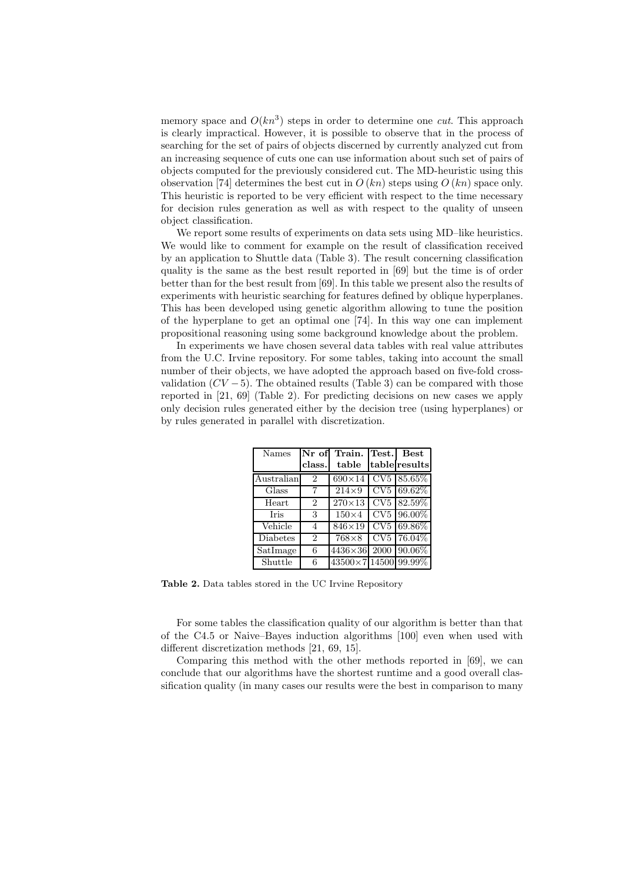memory space and  $O(kn^3)$  steps in order to determine one *cut*. This approach is clearly impractical. However, it is possible to observe that in the process of searching for the set of pairs of objects discerned by currently analyzed cut from an increasing sequence of cuts one can use information about such set of pairs of objects computed for the previously considered cut. The MD-heuristic using this observation [74] determines the best cut in  $O(kn)$  steps using  $O(kn)$  space only. This heuristic is reported to be very efficient with respect to the time necessary for decision rules generation as well as with respect to the quality of unseen object classification.

We report some results of experiments on data sets using MD–like heuristics. We would like to comment for example on the result of classification received by an application to Shuttle data (Table 3). The result concerning classification quality is the same as the best result reported in [69] but the time is of order better than for the best result from [69]. In this table we present also the results of experiments with heuristic searching for features defined by oblique hyperplanes. This has been developed using genetic algorithm allowing to tune the position of the hyperplane to get an optimal one [74]. In this way one can implement propositional reasoning using some background knowledge about the problem.

In experiments we have chosen several data tables with real value attributes from the U.C. Irvine repository. For some tables, taking into account the small number of their objects, we have adopted the approach based on five-fold crossvalidation  $(CV - 5)$ . The obtained results (Table 3) can be compared with those reported in [21, 69] (Table 2). For predicting decisions on new cases we apply only decision rules generated either by the decision tree (using hyperplanes) or by rules generated in parallel with discretization.

| Names       | Nr ofl         | Train.               | Test. Best    |
|-------------|----------------|----------------------|---------------|
|             | class.         | table                | table results |
| Australian  | $\overline{2}$ | $690\times14$        | CV5 85.65%    |
| Glass       | 7              | $214\times9$         | CV5 69.62\%   |
| Heart       | $\overline{2}$ | $270\times13$        | CV5 82.59%    |
| <b>Iris</b> | 3              | $150\times4$         | CV5 96.00%    |
| Vehicle     | 4              | $846\times19$        | CV5 69.86%    |
| Diabetes    | $\overline{2}$ | $768\times8$         | CV5 76.04\%   |
| SatImage    | 6              | $4436\times36$ 2000  | 90.06\%       |
| Shuttle     | 6              | 43500×7 14500 99.99% |               |

Table 2. Data tables stored in the UC Irvine Repository

For some tables the classification quality of our algorithm is better than that of the C4.5 or Naive–Bayes induction algorithms [100] even when used with different discretization methods [21, 69, 15].

Comparing this method with the other methods reported in [69], we can conclude that our algorithms have the shortest runtime and a good overall classification quality (in many cases our results were the best in comparison to many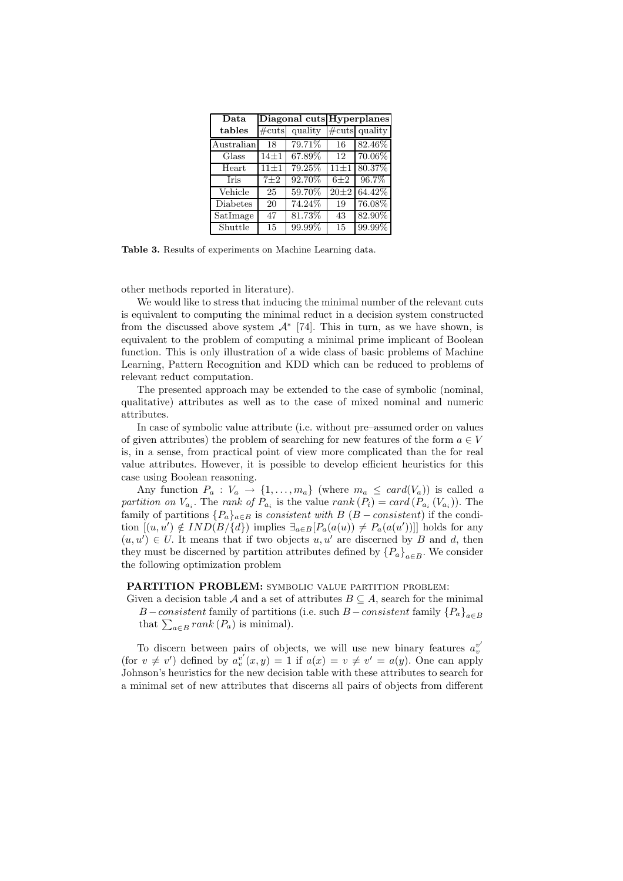| Data            |                 |         | Diagonal cuts Hyperplanes |                  |  |  |
|-----------------|-----------------|---------|---------------------------|------------------|--|--|
| tables          | $\#\text{cuts}$ | quality |                           | $\#cuts$ quality |  |  |
| Australian      | 18              | 79.71%  | 16                        | 82.46%           |  |  |
| Glass           | $14 + 1$        | 67.89%  | 12                        | 70.06%           |  |  |
| Heart           | $11 + 1$        | 79.25%  | $11 + 1$                  | 80.37%           |  |  |
| <b>Tris</b>     | $7\pm2$         | 92.70%  | $6 + 2$                   | 96.7%            |  |  |
| Vehicle         | 25              | 59.70%  | $20\pm2$                  | 64.42%           |  |  |
| <b>Diabetes</b> | 20              | 74.24%  | 19                        | 76.08%           |  |  |
| SatImage        | 47              | 81.73%  | 43                        | 82.90%           |  |  |
| Shuttle         | 15              | 99.99%  | 15                        | 99.99%           |  |  |

Table 3. Results of experiments on Machine Learning data.

other methods reported in literature).

We would like to stress that inducing the minimal number of the relevant cuts is equivalent to computing the minimal reduct in a decision system constructed from the discussed above system  $\mathcal{A}^*$  [74]. This in turn, as we have shown, is equivalent to the problem of computing a minimal prime implicant of Boolean function. This is only illustration of a wide class of basic problems of Machine Learning, Pattern Recognition and KDD which can be reduced to problems of relevant reduct computation.

The presented approach may be extended to the case of symbolic (nominal, qualitative) attributes as well as to the case of mixed nominal and numeric attributes.

In case of symbolic value attribute (i.e. without pre–assumed order on values of given attributes) the problem of searching for new features of the form  $a \in V$ is, in a sense, from practical point of view more complicated than the for real value attributes. However, it is possible to develop efficient heuristics for this case using Boolean reasoning.

Any function  $P_a: V_a \to \{1, \ldots, m_a\}$  (where  $m_a \leq card(V_a)$ ) is called a partition on  $V_{a_i}$ . The rank of  $P_{a_i}$  is the value rank  $(P_i) = card(P_{a_i}(V_{a_i}))$ . The family of partitions  $\{P_a\}_{a \in B}$  is consistent with B (B – consistent) if the condition  $[(u, u') \notin IND(B/\lbrace d \rbrace)$  implies  $\exists_{a \in B} [P_a(a(u)) \neq P_a(a(u'))]$  holds for any  $(u, u') \in U$ . It means that if two objects  $u, u'$  are discerned by B and d, then they must be discerned by partition attributes defined by  ${P_a}_{a \in B}$ . We consider the following optimization problem

#### PARTITION PROBLEM: SYMBOLIC VALUE PARTITION PROBLEM:

Given a decision table A and a set of attributes  $B \subseteq A$ , search for the minimal B – consistent family of partitions (i.e. such B – consistent family  ${P_a}_{a \in B}$ that  $\sum_{a \in B} rank(P_a)$  is minimal).

To discern between pairs of objects, we will use new binary features  $a_v^{v'}$ v (for  $v \neq v'$ ) defined by  $a_v^{v'}$  $v'(x,y) = 1$  if  $a(x) = v \neq v' = a(y)$ . One can apply Johnson's heuristics for the new decision table with these attributes to search for a minimal set of new attributes that discerns all pairs of objects from different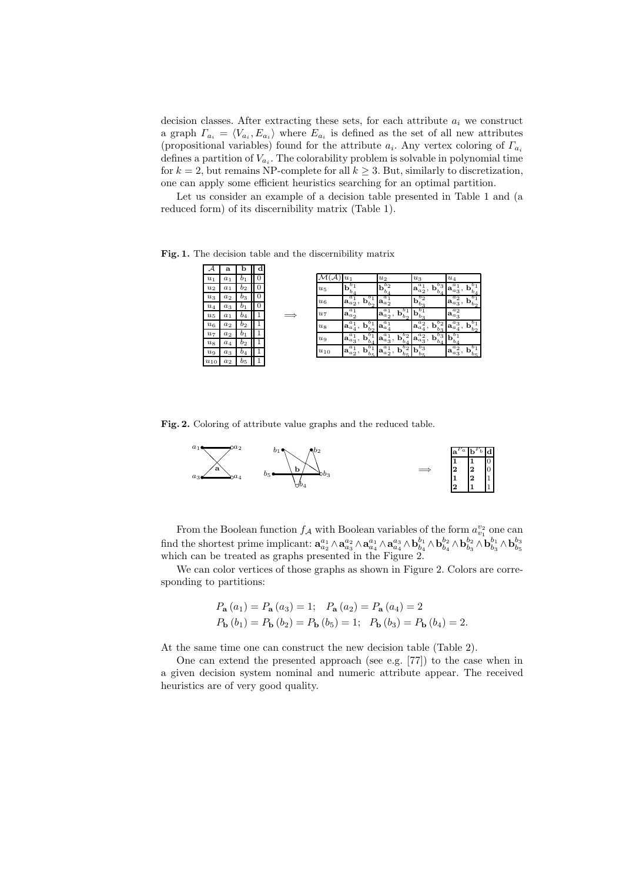decision classes. After extracting these sets, for each attribute  $a_i$  we construct a graph  $\Gamma_{a_i} = \langle V_{a_i}, E_{a_i} \rangle$  where  $E_{a_i}$  is defined as the set of all new attributes (propositional variables) found for the attribute  $a_i$ . Any vertex coloring of  $\Gamma_{a_i}$ defines a partition of  $V_{a_i}$ . The colorability problem is solvable in polynomial time for  $k = 2$ , but remains NP-complete for all  $k \geq 3$ . But, similarly to discretization, one can apply some efficient heuristics searching for an optimal partition.

Let us consider an example of a decision table presented in Table 1 and (a reduced form) of its discernibility matrix (Table 1).

Fig. 1. The decision table and the discernibility matrix

| А        | a              | b              | d  |  |
|----------|----------------|----------------|----|--|
| $u_1$    | $a_1$          | $b_1$          | 11 |  |
| $u_2$    | $a_1$          | $b_2$          | 0  |  |
| $u_3$    | $a_2$          | $b_3$          | 0  |  |
| $u_4$    | $a_3$          | $b_1$          |    |  |
| $u_5$    | a <sub>1</sub> | $b_4$          | 1  |  |
| $u_6$    | $a_2$          | $b_2$          |    |  |
| $u_7$    | $a_2$          | $b_1$          | 1  |  |
| $u_{8}$  | a <sub>4</sub> | b <sub>2</sub> | 1  |  |
| $u_{9}$  | $a_3$          | $b_4$          | 1  |  |
| $u_{10}$ | $a_2$          | $_{b_5}$       |    |  |

|          | $u_1$                                                   | $u_2$                                         | $u_3$                                                                                           | $u_4$                                                           |
|----------|---------------------------------------------------------|-----------------------------------------------|-------------------------------------------------------------------------------------------------|-----------------------------------------------------------------|
| $u_{5}$  | $b_1$<br>$bb4}$                                         | b <sub>2</sub><br>$\mathbf{b}_{b_4}$          | $a_1$<br>$\mathbf{b}_{\underline{b_4}}$<br>$\mathbf{a}_{a_2}$                                   | $^{b_1}$<br>$b_3$<br>$a_1$<br>$\mathbf{b}_{b_4}$<br>$a_{a_3}$   |
| $u_6$    | $a_1$<br>$bb2$<br>$a_{a_2}$ .                           | $a_1$<br>b <sub>1</sub><br>$\mathbf{a}_{a_2}$ | $^{b_2}$<br>b<br>$b_{3}$                                                                        | $^{b_1}$<br>$a_2$<br>$bb2$<br>$a_{a_3}$                         |
| $u_7$    | $a_1$<br>$a_{a_2}$                                      | $a_1$<br>$\mathbf{a}_{a_2}$ ,                 | b <sub>1</sub><br>$^{b_1}$<br>$b$ <sub>b<sub>2</sub></sub><br>b<br>$b_3$                        | $a_2$<br>$a_{a_3}$                                              |
| $u_8$    | $a_1$<br>$b$ <sub><math>b_2</math></sub><br>$a_{a_4}$ . | $a_1$<br>$^{b_1}$<br>$\mathbf{a}_{a_4}$       | $a_2$<br>$bb3$<br>$\mathbf{a}_{a_4},$                                                           | $b_2$<br>b <sub>1</sub><br>$a_3$<br>$bb2$<br>$\mathbf{a}_{a_4}$ |
| $u_{9}$  | $a_1$<br>$\mathbf{b}_{\underline{b_4}}$<br>$a_{a_3}$    | $a_1$<br>$b_1$<br>$\mathbf{a}_{a_3}$          | $b_2$<br>$a_2$<br>$\mathbf{b}_{\underline{b_4}}$<br>$\mathbf{b}_{\underline{b_4}}$<br>$a_{a_3}$ | $b_3$<br>61<br>$\mathbf{b}_{b_4}$                               |
| $u_{10}$ | $a_1$<br>$\mathbf{b}_{b_5}$<br>$a_{a_2}$                | $a_1$<br>$^{b_1}$<br>$\mathbf{a}_{a_2}$       | $^{b_3}$<br>$b_{2}$<br>b<br>b,<br>$b_{\overline{5}}$<br>$b_{5}$                                 | $a_2$<br>$b_1$<br>b<br>$a_{a_3}$<br>$b_{5}$                     |

Fig. 2. Coloring of attribute value graphs and the reduced table.



From the Boolean function  $f_A$  with Boolean variables of the form  $a_{v_1}^{v_2}$  one can find the shortest prime implicant:  $\mathbf{a}_{a_2}^{a_1} \wedge \mathbf{a}_{a_3}^{a_2} \wedge \mathbf{a}_{a_4}^{a_1} \wedge \mathbf{b}_{b_4}^{b_1} \wedge \mathbf{b}_{b_4}^{b_2} \wedge \mathbf{b}_{b_3}^{b_2} \wedge \mathbf{b}_{b_5}^{b_1} \wedge \mathbf{b}_{b_5}^{b_3}$ <br>which can be treated as graphs presented i

We can color vertices of those graphs as shown in Figure 2. Colors are corresponding to partitions:

$$
P_{\mathbf{a}}(a_1) = P_{\mathbf{a}}(a_3) = 1;
$$
  $P_{\mathbf{a}}(a_2) = P_{\mathbf{a}}(a_4) = 2$   
\n $P_{\mathbf{b}}(b_1) = P_{\mathbf{b}}(b_2) = P_{\mathbf{b}}(b_5) = 1;$   $P_{\mathbf{b}}(b_3) = P_{\mathbf{b}}(b_4) = 2.$ 

At the same time one can construct the new decision table (Table 2).

One can extend the presented approach (see e.g. [77]) to the case when in a given decision system nominal and numeric attribute appear. The received heuristics are of very good quality.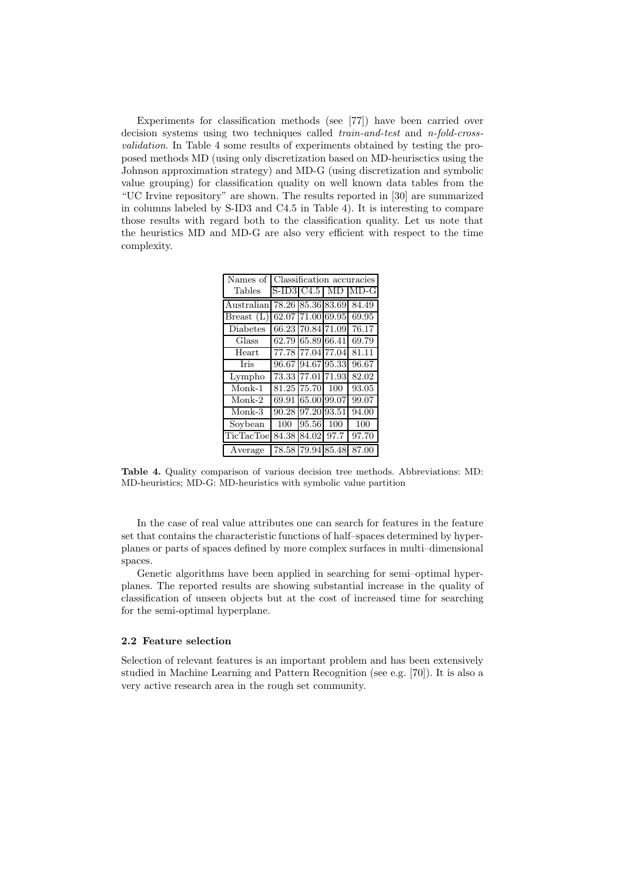Experiments for classification methods (see [77]) have been carried over decision systems using two techniques called train-and-test and n-fold-crossvalidation. In Table 4 some results of experiments obtained by testing the proposed methods MD (using only discretization based on MD-heurisctics using the Johnson approximation strategy) and MD-G (using discretization and symbolic value grouping) for classification quality on well known data tables from the "UC Irvine repository" are shown. The results reported in [30] are summarized in columns labeled by S-ID3 and C4.5 in Table 4). It is interesting to compare those results with regard both to the classification quality. Let us note that the heuristics MD and MD-G are also very efficient with respect to the time complexity.

| Names of   |                   |             |       | Classification accuracies |
|------------|-------------------|-------------|-------|---------------------------|
| Tables     | S-ID3             | C4.5        | MD    | MD-G                      |
| Australian | 78.26             | 85.36 83.69 |       | 84.49                     |
| Breat (L)  | 62.07 71.00 69.95 |             |       | 69.95                     |
| Diabetes   | 66.23             | 70.84 71.09 |       | 76.17                     |
| Glass      | 62.79             | 65.89 66.41 |       | 69.79                     |
| Heart      | 77.78             | 77.04 77.04 |       | 81.11                     |
| Iris       | 96.67             | 94.67 95.33 |       | 96.67                     |
| Lympho     | 73.33             | 77.01       | 71.93 | 82.02                     |
| Monk-1     | 81.25             | 75.70       | 100   | 93.05                     |
| $Monk-2$   | 69.91             | 65.00 99.07 |       | 99.07                     |
| Monk-3     | 90.28             | 97.20 93.51 |       | 94.00                     |
| Sovbean    | 100               | 95.56       | 100   | 100                       |
| TicTacToe  | 84.38             | 84.02       | 97.7  | 97.70                     |
| Average    | 78.58 79.94 85.48 |             |       | 87.00                     |

Table 4. Quality comparison of various decision tree methods. Abbreviations: MD: MD-heuristics; MD-G: MD-heuristics with symbolic value partition

In the case of real value attributes one can search for features in the feature set that contains the characteristic functions of half–spaces determined by hyperplanes or parts of spaces defined by more complex surfaces in multi–dimensional spaces.

Genetic algorithms have been applied in searching for semi–optimal hyperplanes. The reported results are showing substantial increase in the quality of classification of unseen objects but at the cost of increased time for searching for the semi-optimal hyperplane.

#### 2.2 Feature selection

Selection of relevant features is an important problem and has been extensively studied in Machine Learning and Pattern Recognition (see e.g. [70]). It is also a very active research area in the rough set community.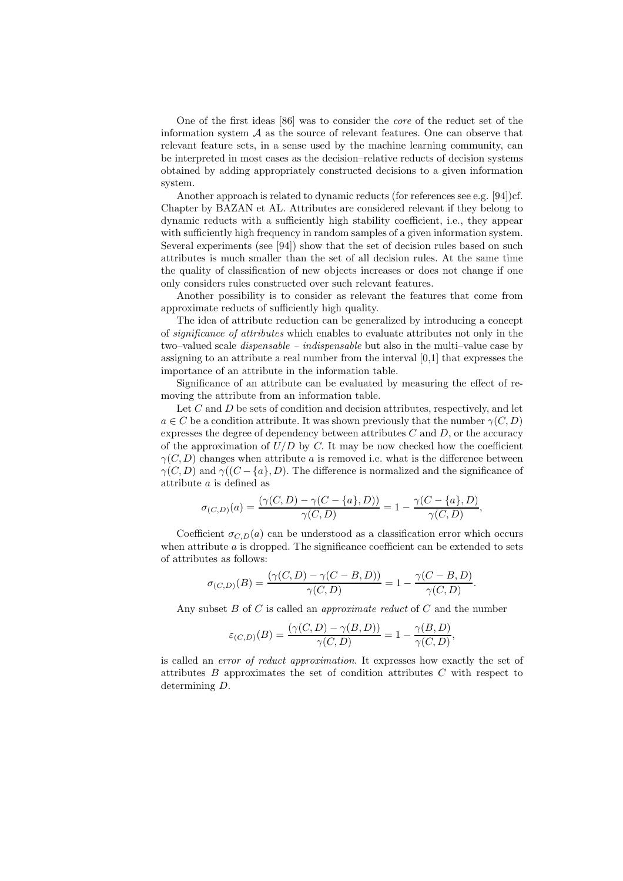One of the first ideas [86] was to consider the core of the reduct set of the information system  $A$  as the source of relevant features. One can observe that relevant feature sets, in a sense used by the machine learning community, can be interpreted in most cases as the decision–relative reducts of decision systems obtained by adding appropriately constructed decisions to a given information system.

Another approach is related to dynamic reducts (for references see e.g. [94])cf. Chapter by BAZAN et AL. Attributes are considered relevant if they belong to dynamic reducts with a sufficiently high stability coefficient, i.e., they appear with sufficiently high frequency in random samples of a given information system. Several experiments (see [94]) show that the set of decision rules based on such attributes is much smaller than the set of all decision rules. At the same time the quality of classification of new objects increases or does not change if one only considers rules constructed over such relevant features.

Another possibility is to consider as relevant the features that come from approximate reducts of sufficiently high quality.

The idea of attribute reduction can be generalized by introducing a concept of significance of attributes which enables to evaluate attributes not only in the two–valued scale dispensable – indispensable but also in the multi–value case by assigning to an attribute a real number from the interval [0,1] that expresses the importance of an attribute in the information table.

Significance of an attribute can be evaluated by measuring the effect of removing the attribute from an information table.

Let  $C$  and  $D$  be sets of condition and decision attributes, respectively, and let  $a \in C$  be a condition attribute. It was shown previously that the number  $\gamma(C, D)$ expresses the degree of dependency between attributes  $C$  and  $D$ , or the accuracy of the approximation of  $U/D$  by C. It may be now checked how the coefficient  $\gamma(C, D)$  changes when attribute a is removed i.e. what is the difference between  $\gamma(C, D)$  and  $\gamma((C - \{a\}, D))$ . The difference is normalized and the significance of attribute a is defined as

$$
\sigma_{(C,D)}(a)=\frac{(\gamma(C,D)-\gamma(C-\{a\},D))}{\gamma(C,D)}=1-\frac{\gamma(C-\{a\},D)}{\gamma(C,D)},
$$

Coefficient  $\sigma_{CD}(\alpha)$  can be understood as a classification error which occurs when attribute  $a$  is dropped. The significance coefficient can be extended to sets of attributes as follows:

$$
\sigma_{(C,D)}(B) = \frac{(\gamma(C,D) - \gamma(C-B,D))}{\gamma(C,D)} = 1 - \frac{\gamma(C-B,D)}{\gamma(C,D)}.
$$

Any subset  $B$  of  $C$  is called an *approximate reduct* of  $C$  and the number

$$
\varepsilon_{(C,D)}(B) = \frac{(\gamma(C,D) - \gamma(B,D))}{\gamma(C,D)} = 1 - \frac{\gamma(B,D)}{\gamma(C,D)},
$$

is called an error of reduct approximation. It expresses how exactly the set of attributes B approximates the set of condition attributes C with respect to determining D.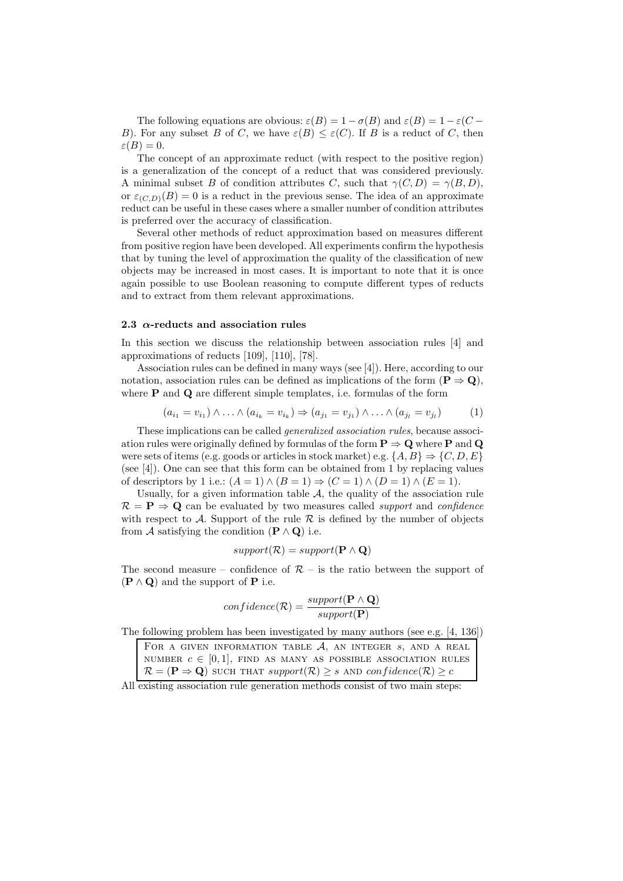The following equations are obvious:  $\varepsilon(B) = 1 - \sigma(B)$  and  $\varepsilon(B) = 1 - \varepsilon(C -$ B). For any subset B of C, we have  $\varepsilon(B) \leq \varepsilon(C)$ . If B is a reduct of C, then  $\varepsilon(B)=0.$ 

The concept of an approximate reduct (with respect to the positive region) is a generalization of the concept of a reduct that was considered previously. A minimal subset B of condition attributes C, such that  $\gamma(C, D) = \gamma(B, D)$ , or  $\varepsilon_{(C,D)}(B) = 0$  is a reduct in the previous sense. The idea of an approximate reduct can be useful in these cases where a smaller number of condition attributes is preferred over the accuracy of classification.

Several other methods of reduct approximation based on measures different from positive region have been developed. All experiments confirm the hypothesis that by tuning the level of approximation the quality of the classification of new objects may be increased in most cases. It is important to note that it is once again possible to use Boolean reasoning to compute different types of reducts and to extract from them relevant approximations.

## 2.3  $\alpha$ -reducts and association rules

In this section we discuss the relationship between association rules [4] and approximations of reducts [109], [110], [78].

Association rules can be defined in many ways (see [4]). Here, according to our notation, association rules can be defined as implications of the form  $(\mathbf{P} \Rightarrow \mathbf{Q})$ , where **P** and **Q** are different simple templates, i.e. formulas of the form

$$
(a_{i_1} = v_{i_1}) \wedge \ldots \wedge (a_{i_k} = v_{i_k}) \Rightarrow (a_{j_1} = v_{j_1}) \wedge \ldots \wedge (a_{j_l} = v_{j_l}) \tag{1}
$$

These implications can be called generalized association rules, because association rules were originally defined by formulas of the form  $P \Rightarrow Q$  where P and Q were sets of items (e.g. goods or articles in stock market) e.g.  $\{A, B\} \Rightarrow \{C, D, E\}$ (see [4]). One can see that this form can be obtained from 1 by replacing values of descriptors by 1 i.e.:  $(A = 1) \wedge (B = 1) \Rightarrow (C = 1) \wedge (D = 1) \wedge (E = 1)$ .

Usually, for a given information table  $A$ , the quality of the association rule  $\mathcal{R} = \mathbf{P} \Rightarrow \mathbf{Q}$  can be evaluated by two measures called *support* and *confidence* with respect to A. Support of the rule  $R$  is defined by the number of objects from A satisfying the condition ( $P \wedge Q$ ) i.e.

$$
support(\mathcal{R}) = support(\mathbf{P} \wedge \mathbf{Q})
$$

The second measure – confidence of  $\mathcal{R}$  – is the ratio between the support of  $({\bf P} \wedge {\bf Q})$  and the support of  ${\bf P}$  i.e.

$$
confidence(\mathcal{R})=\frac{support(\mathbf{P} \wedge \mathbf{Q})}{support(\mathbf{P})}
$$

The following problem has been investigated by many authors (see e.g. [4, 136])

FOR A GIVEN INFORMATION TABLE  $A$ , AN INTEGER  $s$ , AND A REAL NUMBER  $c \in [0, 1]$ , find as many as possible association rules  $\mathcal{R} = (\mathbf{P} \Rightarrow \mathbf{Q})$  such that support $(\mathcal{R}) \geq s$  and confidence  $(\mathcal{R}) \geq c$ 

All existing association rule generation methods consist of two main steps: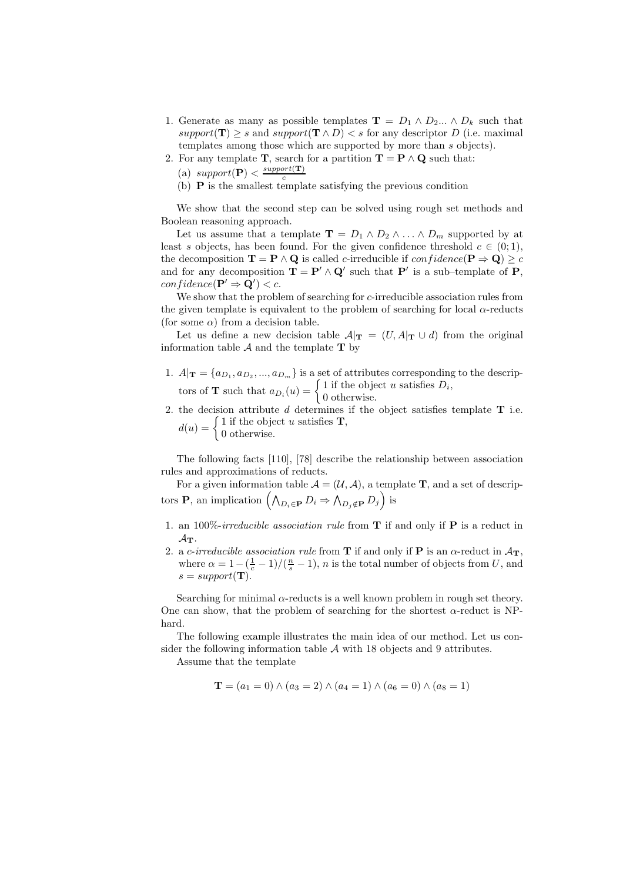- 1. Generate as many as possible templates  $\mathbf{T} = D_1 \wedge D_2 ... \wedge D_k$  such that support( $\mathbf{T}$ ) ≥ s and support( $\mathbf{T} \wedge D$ ) < s for any descriptor D (i.e. maximal templates among those which are supported by more than s objects).
- 2. For any template T, search for a partition  $T = P \wedge Q$  such that:
	- (a)  $support(P) < \frac{support(T)}{c}$ c
	- (b) P is the smallest template satisfying the previous condition

We show that the second step can be solved using rough set methods and Boolean reasoning approach.

Let us assume that a template  $\mathbf{T} = D_1 \wedge D_2 \wedge \ldots \wedge D_m$  supported by at least s objects, has been found. For the given confidence threshold  $c \in (0,1)$ , the decomposition  $\mathbf{T} = \mathbf{P} \wedge \mathbf{Q}$  is called c-irreducible if  $confidence(\mathbf{P} \Rightarrow \mathbf{Q}) \geq c$ and for any decomposition  $\mathbf{T} = \mathbf{P}' \wedge \mathbf{Q}'$  such that  $\mathbf{P}'$  is a sub-template of  $\mathbf{P}$ ,  $confidence(\mathbf{P'} \Rightarrow \mathbf{Q'}) < c.$ 

We show that the problem of searching for c-irreducible association rules from the given template is equivalent to the problem of searching for local  $\alpha$ -reducts (for some  $\alpha$ ) from a decision table.

Let us define a new decision table  $\mathcal{A}|_{\mathbf{T}} = (U, A|_{\mathbf{T}} \cup d)$  from the original information table  $A$  and the template  $T$  by

- 1.  $A|_{\mathbf{T}} = \{a_{D_1}, a_{D_2}, ..., a_{D_m}\}\$ is a set of attributes corresponding to the descriptors of **T** such that  $a_{D_i}(u) = \begin{cases} 1 \text{ if the object } u \text{ satisfies } D_i, \\ 0 \text{ otherwise.} \end{cases}$ 0 otherwise.
- 2. the decision attribute  $d$  determines if the object satisfies template  $T$  i.e.  $d(u) = \begin{cases} 1 \text{ if the object } u \text{ satisfies } \mathbf{T}, \\ 0 \text{ otherwise.} \end{cases}$

0 otherwise.

The following facts [110], [78] describe the relationship between association rules and approximations of reducts.

For a given information table  $\mathcal{A} = (\mathcal{U}, \mathcal{A})$ , a template **T**, and a set of descriptors **P**, an implication  $\left(\bigwedge_{D_i \in \mathbf{P}} D_i \Rightarrow \bigwedge_{D_j \notin \mathbf{P}} D_j\right)$  is

- 1. an 100%-irreducible association rule from  $\bf{T}$  if and only if  $\bf{P}$  is a reduct in  $\mathcal{A}_{\mathbf{T}}$ .
- 2. a c-irreducible association rule from **T** if and only if **P** is an  $\alpha$ -reduct in  $\mathcal{A}_{\mathbf{T}}$ , where  $\alpha = 1 - \left(\frac{1}{c} - 1\right) / \left(\frac{n}{s} - 1\right)$ , *n* is the total number of objects from U, and  $s = support(T).$

Searching for minimal  $\alpha$ -reducts is a well known problem in rough set theory. One can show, that the problem of searching for the shortest  $\alpha$ -reduct is NPhard.

The following example illustrates the main idea of our method. Let us consider the following information table  $A$  with 18 objects and 9 attributes.

Assume that the template

$$
\mathbf{T} = (a_1 = 0) \land (a_3 = 2) \land (a_4 = 1) \land (a_6 = 0) \land (a_8 = 1)
$$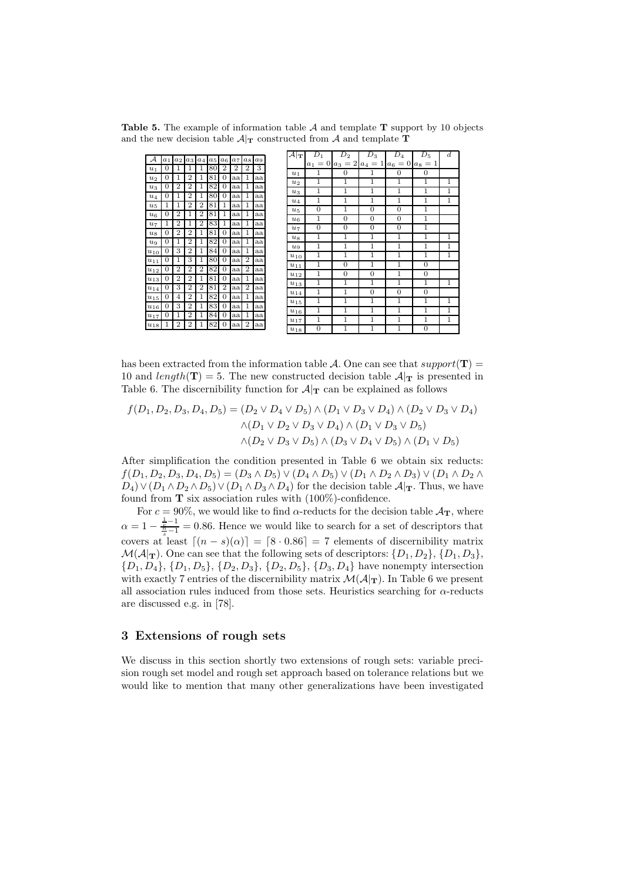**Table 5.** The example of information table  $A$  and template **T** support by 10 objects and the new decision table  $\mathcal{A}|_{\mathbf{T}}$  constructed from  $\mathcal{A}$  and template **T** 

|                |                |                |                |                |            |                |                |                |       | $\mathcal{A} \mathbf{T} $ | $D_1$          | $D_2$          | $D_3$                                             | $D_4$          | $D_5$          | $\boldsymbol{d}$ |
|----------------|----------------|----------------|----------------|----------------|------------|----------------|----------------|----------------|-------|---------------------------|----------------|----------------|---------------------------------------------------|----------------|----------------|------------------|
| $\mathcal{A}$  | $a_1$          | a <sub>2</sub> | $a_3$          | a <sub>4</sub> | $a_5\ a_6$ |                | a <sub>7</sub> | as             | $a_9$ |                           |                |                | $a_1 = 0   a_3 = 2   a_4 = 1   a_6 = 0   a_8 = 1$ |                |                |                  |
| $u_1$          | $\Omega$       | 1              |                | 1              | 80         | $\overline{2}$ | $\overline{2}$ | $\overline{2}$ | 3     | $u_1$                     | 1              | $\overline{0}$ | $\mathbf{1}$                                      | $\overline{0}$ | $\overline{0}$ |                  |
| $u_2$          | $\overline{0}$ | 1              | $\overline{2}$ | 1              | 81         | $\theta$       | aa             |                | aa    | $u_2$                     | 1              | 1              | 1                                                 | 1              | 1              | $\mathbf{1}$     |
| $u_3$          | $\overline{0}$ | $\overline{2}$ | $\overline{2}$ | 1              | 82         | $\theta$       | aa             |                | aa    |                           | 1              | 1              | 1                                                 | $\mathbf{1}$   | 1              | $\mathbf{1}$     |
| $u_4$          | 0              | 1              | $\overline{2}$ |                | 80         | $\theta$       | aa             |                | aa    | $u_3$                     | 1              | 1              | 1                                                 | 1              | 1              | $\mathbf{1}$     |
| $u_5$          | 1              | 1              | $\overline{2}$ | $\overline{2}$ | 81         | $\mathbf{1}$   | aa             |                | aa    | $u_4$                     | $\overline{0}$ |                | $\overline{0}$                                    | $\overline{0}$ | $\mathbf{1}$   |                  |
| $u_6$          | $\overline{0}$ | $\overline{2}$ | 1              | $\overline{2}$ | 81         | $\mathbf{1}$   | aa             |                | aa    | $u_{5}$                   |                | 1              |                                                   |                |                |                  |
| $u_7$          | 1              | $\overline{2}$ | $\mathbf{1}$   | $\overline{2}$ | 83         | $\mathbf{1}$   | aa             |                | aa    | $u_{6}$                   | 1              | $\overline{0}$ | $\overline{0}$                                    | $\overline{0}$ | $\mathbf{1}$   |                  |
| $u_8$          | $\Omega$       | $\overline{2}$ | $\overline{2}$ | 1              | 81         | $\theta$       | aa             |                | aa    | $u_7$                     | $\theta$       | $\overline{0}$ | $\overline{0}$                                    | $\overline{0}$ | 1              |                  |
| u <sub>9</sub> | $\theta$       | 1              | $\overline{2}$ | 1              | 82         | $\theta$       | aa             |                | aa    | $u_{8}$                   | 1              | 1              | 1                                                 | 1              | 1              | 1                |
| $u_{10}$       | $\theta$       | 3              | $\overline{2}$ | 1              | 84         | $\theta$       | aa             |                | aa    | $u_{9}$                   | 1              | 1              | 1                                                 | 1              | 1              | 1                |
|                | $\theta$       | 1              | 3              | 1              | 80         | $\theta$       | aa             | $\overline{2}$ | aa    | $u_{10}$                  | 1              | 1              | $\mathbf{1}$                                      | $\mathbf{1}$   | 1              | $\mathbf{1}$     |
| $u_{11}$       | $\theta$       | $\overline{2}$ | $\overline{2}$ | $\overline{2}$ |            | $\theta$       |                | $\overline{2}$ |       | $u_{11}$                  | 1              | $\overline{0}$ | 1                                                 | 1              | $\overline{0}$ |                  |
| $u_{12}$       |                |                |                |                | 82         |                | aa             |                | aa    | $u_{12}$                  | 1              | $\overline{0}$ | $\overline{0}$                                    | 1              | $\overline{0}$ |                  |
| $u_{13}$       | $\overline{0}$ | $\overline{2}$ | $\overline{2}$ | 1              | 81         | $\theta$       | aa             |                | aa    | $u_{13}$                  | 1              | 1              | 1                                                 | 1              | 1              | $\mathbf{1}$     |
| $u_{14}$       | $\theta$       | 3              | $\overline{2}$ | $\overline{2}$ | 81         | $\overline{2}$ | aa             | $\overline{2}$ | aa    | $u_{14}$                  | 1              | 1              | $\theta$                                          | $\overline{0}$ | $\overline{0}$ |                  |
| $u_{15}$       | $\theta$       | 4              | $\overline{2}$ | 1              | 82         | $\theta$       | aa             |                | aa    | $u_{15}$                  | 1              | 1              | 1                                                 | 1              | 1              | $\mathbf{1}$     |
| $u_{16}$       | $\Omega$       | 3              | $\overline{2}$ | 1              | 83         | $\theta$       | aa             |                | aa    | $u_{16}$                  | 1              | 1              | 1                                                 | 1              | 1              | 1                |
| $u_{17}$       | $\theta$       | 1              | $\overline{2}$ | 1              | 84         | $\theta$       | aa             |                | aa    | $u_{17}$                  | 1              | 1              | 1                                                 | 1              | 1              | $\mathbf{1}$     |
| $u_{18}$       | 1              | $\overline{2}$ | $\overline{2}$ |                | 82         | $\theta$       | aa             | $\overline{2}$ | aa    | $u_{18}$                  | $\overline{0}$ | 1              | $\mathbf{1}$                                      | $\mathbf{1}$   | $\overline{0}$ |                  |
|                |                |                |                |                |            |                |                |                |       |                           |                |                |                                                   |                |                |                  |

has been extracted from the information table A. One can see that  $support(T) =$ 10 and length(T) = 5. The new constructed decision table  $A|_{\mathbf{T}}$  is presented in Table 6. The discernibility function for  $A|_{\mathbf{T}}$  can be explained as follows

$$
f(D_1, D_2, D_3, D_4, D_5) = (D_2 \vee D_4 \vee D_5) \wedge (D_1 \vee D_3 \vee D_4) \wedge (D_2 \vee D_3 \vee D_4) \wedge (D_1 \vee D_2 \vee D_3 \vee D_4) \wedge (D_1 \vee D_3 \vee D_5) \wedge (D_2 \vee D_3 \vee D_5) \wedge (D_3 \vee D_4 \vee D_5) \wedge (D_1 \vee D_5)
$$

After simplification the condition presented in Table 6 we obtain six reducts:  $f(D_1, D_2, D_3, D_4, D_5) = (D_3 \wedge D_5) \vee (D_4 \wedge D_5) \vee (D_1 \wedge D_2 \wedge D_3) \vee (D_1 \wedge D_2 \wedge D_4)$  $(D_4) \vee (D_1 \wedge D_2 \wedge D_5) \vee (D_1 \wedge D_3 \wedge D_4)$  for the decision table  $\mathcal{A}|_{\mathbf{T}}$ . Thus, we have found from  $\mathbf T$  six association rules with (100%)-confidence.

For  $c = 90\%$ , we would like to find  $\alpha$ -reducts for the decision table  $\mathcal{A}_{\mathbf{T}}$ , where  $\alpha = 1 - \frac{\frac{1}{2} - 1}{\frac{2}{3} - 1} = 0.86$ . Hence we would like to search for a set of descriptors that covers at least  $\lceil (n - s)(\alpha) \rceil = \lceil 8 \cdot 0.86 \rceil = 7$  elements of discernibility matrix  $\mathcal{M}(\mathcal{A}|_{\mathbf{T}})$ . One can see that the following sets of descriptors:  $\{D_1, D_2\}$ ,  $\{D_1, D_3\}$ ,  ${D_1, D_4}, {D_1, D_5}, {D_2, D_3}, {D_2, D_5}, {D_3, D_4}$  have nonempty intersection with exactly 7 entries of the discernibility matrix  $\mathcal{M}(\mathcal{A}|_{\mathbf{T}})$ . In Table 6 we present all association rules induced from those sets. Heuristics searching for  $\alpha$ -reducts are discussed e.g. in [78].

# 3 Extensions of rough sets

We discuss in this section shortly two extensions of rough sets: variable precision rough set model and rough set approach based on tolerance relations but we would like to mention that many other generalizations have been investigated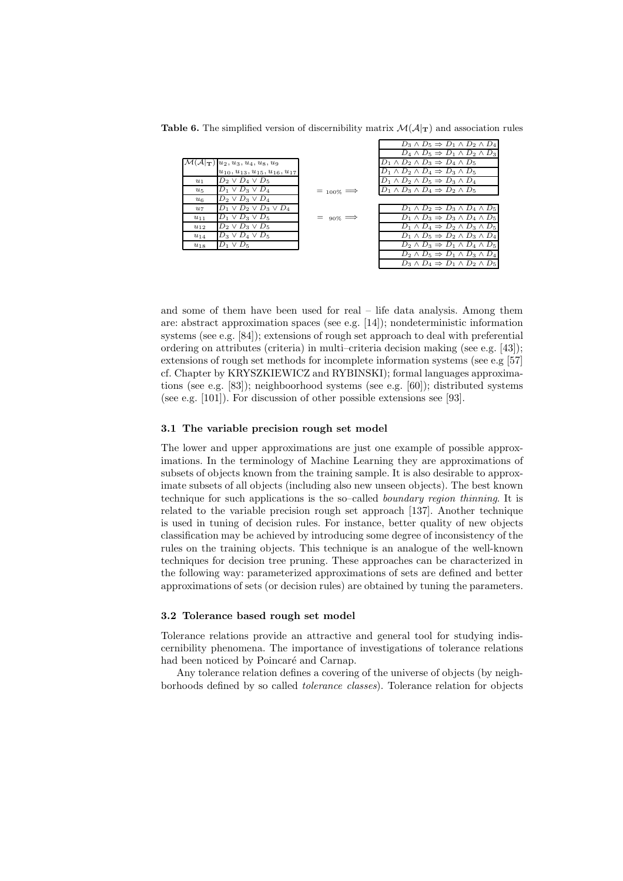|                |                                                                  |                            | $E_1 \cap E_2 \cap E_3 \rightarrow E_1 \cap E_2 \cap E_4$ |
|----------------|------------------------------------------------------------------|----------------------------|-----------------------------------------------------------|
|                |                                                                  |                            | $D_4 \wedge D_5 \Rightarrow D_1 \wedge D_2 \wedge D_3$    |
|                | $\mathcal{M}(\mathcal{A} _{\mathbf{T}}) u_2, u_3, u_4, u_8, u_9$ |                            | $D_1 \wedge D_2 \wedge D_3 \Rightarrow D_4 \wedge D_5$    |
|                | $u_{10}, u_{13}, u_{15}, u_{16}, u_{17}$                         |                            | $D_1 \wedge D_2 \wedge D_4 \Rightarrow D_3 \wedge D_5$    |
| $u_1$          | $D_2 \vee D_4 \vee D_5$                                          |                            | $D_1 \wedge D_2 \wedge D_5 \Rightarrow D_3 \wedge D_4$    |
| $u_{5}$        | $D_1 \vee D_3 \vee D_4$                                          | $=$ 100% $\Longrightarrow$ | $D_1 \wedge D_3 \wedge D_4 \Rightarrow D_2 \wedge D_5$    |
| $u_{6}$        | $D_2 \vee D_3 \vee D_4$                                          |                            |                                                           |
| u <sub>7</sub> | $D_1 \vee D_2 \vee D_3 \vee D_4$                                 |                            | $D_1 \wedge D_2 \Rightarrow D_3 \wedge D_4 \wedge D_5$    |
| $u_{11}$       | $D_1 \vee D_3 \vee D_5$                                          | $= 90\% \implies$          | $D_1 \wedge D_3 \Rightarrow D_3 \wedge D_4 \wedge D_5$    |
| $u_{12}$       | $D_2 \vee D_3 \vee D_5$                                          |                            | $D_1 \wedge D_4 \Rightarrow D_2 \wedge D_3 \wedge D_5$    |
| $u_{14}$       | $D_3 \vee D_4 \vee D_5$                                          |                            | $D_1 \wedge D_5 \Rightarrow D_2 \wedge D_3 \wedge D_4$    |
| $u_{18}$       | $D_1 \vee D_5$                                                   |                            | $D_2 \wedge D_3 \Rightarrow D_1 \wedge D_4 \wedge D_5$    |
|                |                                                                  |                            | $D_2 \wedge D_5 \Rightarrow D_1 \wedge D_3 \wedge D_4$    |
|                |                                                                  |                            | $D_3 \wedge D_4 \Rightarrow D_1 \wedge D_2 \wedge D_5$    |

**Table 6.** The simplified version of discernibility matrix  $\mathcal{M}(\mathcal{A}|\mathbf{T})$  and association rules

 $\blacksquare$ 

 $D_2 \wedge D_5 \rightarrow D_1 \wedge D_2 \wedge D_4$ 

and some of them have been used for real – life data analysis. Among them are: abstract approximation spaces (see e.g. [14]); nondeterministic information systems (see e.g. [84]); extensions of rough set approach to deal with preferential ordering on attributes (criteria) in multi–criteria decision making (see e.g. [43]); extensions of rough set methods for incomplete information systems (see e.g [57] cf. Chapter by KRYSZKIEWICZ and RYBINSKI); formal languages approximations (see e.g. [83]); neighboorhood systems (see e.g. [60]); distributed systems (see e.g. [101]). For discussion of other possible extensions see [93].

### 3.1 The variable precision rough set model

The lower and upper approximations are just one example of possible approximations. In the terminology of Machine Learning they are approximations of subsets of objects known from the training sample. It is also desirable to approximate subsets of all objects (including also new unseen objects). The best known technique for such applications is the so–called boundary region thinning. It is related to the variable precision rough set approach [137]. Another technique is used in tuning of decision rules. For instance, better quality of new objects classification may be achieved by introducing some degree of inconsistency of the rules on the training objects. This technique is an analogue of the well-known techniques for decision tree pruning. These approaches can be characterized in the following way: parameterized approximations of sets are defined and better approximations of sets (or decision rules) are obtained by tuning the parameters.

## 3.2 Tolerance based rough set model

Tolerance relations provide an attractive and general tool for studying indiscernibility phenomena. The importance of investigations of tolerance relations had been noticed by Poincaré and Carnap.

Any tolerance relation defines a covering of the universe of objects (by neighborhoods defined by so called tolerance classes). Tolerance relation for objects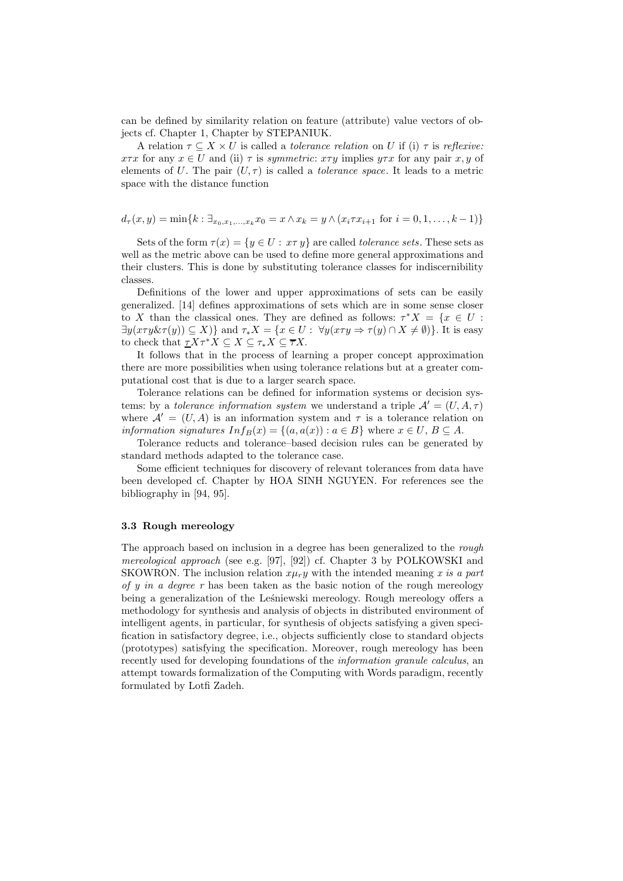can be defined by similarity relation on feature (attribute) value vectors of objects cf. Chapter 1, Chapter by STEPANIUK.

A relation  $\tau \subset X \times U$  is called a *tolerance relation* on U if (i)  $\tau$  is reflexive:  $x\tau x$  for any  $x \in U$  and (ii)  $\tau$  is *symmetric:*  $x\tau y$  implies  $y\tau x$  for any pair x, y of elements of U. The pair  $(U, \tau)$  is called a *tolerance space*. It leads to a metric space with the distance function

$$
d_{\tau}(x, y) = \min\{k : \exists_{x_0, x_1, \dots, x_k} x_0 = x \land x_k = y \land (x_i \tau x_{i+1} \text{ for } i = 0, 1, \dots, k-1)\}
$$

Sets of the form  $\tau(x) = \{y \in U : x \tau y\}$  are called *tolerance sets*. These sets as well as the metric above can be used to define more general approximations and their clusters. This is done by substituting tolerance classes for indiscernibility classes.

Definitions of the lower and upper approximations of sets can be easily generalized. [14] defines approximations of sets which are in some sense closer to X than the classical ones. They are defined as follows:  $\tau^* X = \{x \in U :$  $\exists y(x \tau y \& \tau(y)) \subseteq X$ } and  $\tau_* X = \{x \in U : \forall y(x \tau y \Rightarrow \tau(y) \cap X \neq \emptyset)\}\.$  It is easy to check that  $\tau X \tau^* X \subseteq X \subseteq \tau_* X \subseteq \overline{\tau} X$ .

It follows that in the process of learning a proper concept approximation there are more possibilities when using tolerance relations but at a greater computational cost that is due to a larger search space.

Tolerance relations can be defined for information systems or decision systems: by a tolerance information system we understand a triple  $\mathcal{A}' = (U, A, \tau)$ where  $\mathcal{A}' = (U, A)$  is an information system and  $\tau$  is a tolerance relation on information signatures  $Inf_B(x) = \{(a, a(x)) : a \in B\}$  where  $x \in U, B \subseteq A$ .

Tolerance reducts and tolerance–based decision rules can be generated by standard methods adapted to the tolerance case.

Some efficient techniques for discovery of relevant tolerances from data have been developed cf. Chapter by HOA SINH NGUYEN. For references see the bibliography in [94, 95].

## 3.3 Rough mereology

The approach based on inclusion in a degree has been generalized to the rough mereological approach (see e.g. [97], [92]) cf. Chapter 3 by POLKOWSKI and SKOWRON. The inclusion relation  $x\mu_{r}y$  with the intended meaning x is a part of y in a degree r has been taken as the basic notion of the rough mereology being a generalization of the Leśniewski mereology. Rough mereology offers a methodology for synthesis and analysis of objects in distributed environment of intelligent agents, in particular, for synthesis of objects satisfying a given specification in satisfactory degree, i.e., objects sufficiently close to standard objects (prototypes) satisfying the specification. Moreover, rough mereology has been recently used for developing foundations of the *information granule calculus*, an attempt towards formalization of the Computing with Words paradigm, recently formulated by Lotfi Zadeh.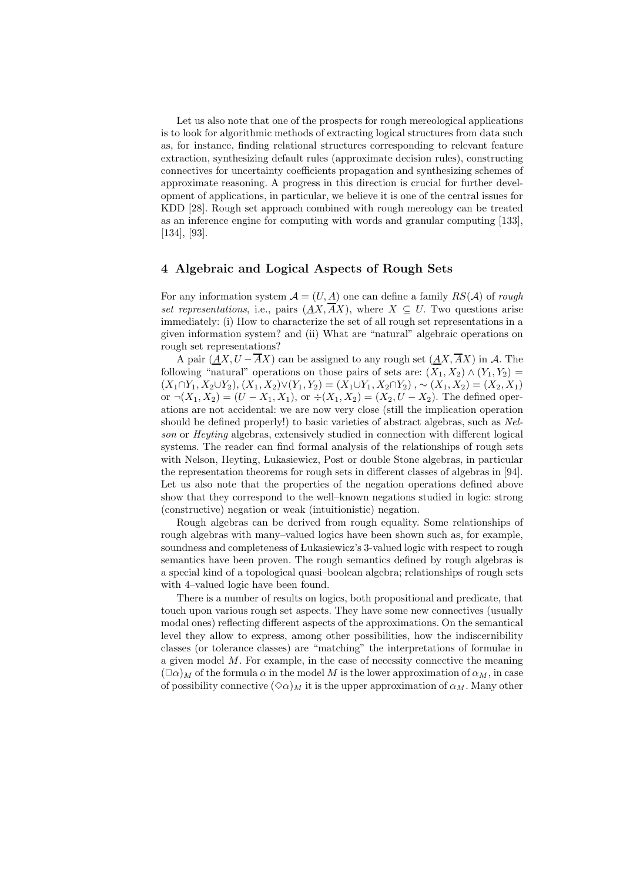Let us also note that one of the prospects for rough mereological applications is to look for algorithmic methods of extracting logical structures from data such as, for instance, finding relational structures corresponding to relevant feature extraction, synthesizing default rules (approximate decision rules), constructing connectives for uncertainty coefficients propagation and synthesizing schemes of approximate reasoning. A progress in this direction is crucial for further development of applications, in particular, we believe it is one of the central issues for KDD [28]. Rough set approach combined with rough mereology can be treated as an inference engine for computing with words and granular computing [133], [134], [93].

# 4 Algebraic and Logical Aspects of Rough Sets

For any information system  $A = (U, A)$  one can define a family  $RS(A)$  of rough set representations, i.e., pairs  $(AX, \overline{A}X)$ , where  $X \subseteq U$ . Two questions arise immediately: (i) How to characterize the set of all rough set representations in a given information system? and (ii) What are "natural" algebraic operations on rough set representations?

A pair  $(\underline{AX}, U - \overline{A}X)$  can be assigned to any rough set  $(\underline{AX}, \overline{A}X)$  in A. The following "natural" operations on those pairs of sets are:  $(X_1, X_2) \wedge (Y_1, Y_2) =$  $(X_1 \cap Y_1, X_2 \cup Y_2), (X_1, X_2) \vee (Y_1, Y_2) = (X_1 \cup Y_1, X_2 \cap Y_2), \sim (X_1, X_2) = (X_2, X_1)$ or  $\neg(X_1, X_2) = (U - X_1, X_1)$ , or  $\div(X_1, X_2) = (X_2, U - X_2)$ . The defined operations are not accidental: we are now very close (still the implication operation should be defined properly!) to basic varieties of abstract algebras, such as Nelson or Heyting algebras, extensively studied in connection with different logical systems. The reader can find formal analysis of the relationships of rough sets with Nelson, Heyting, Lukasiewicz, Post or double Stone algebras, in particular the representation theorems for rough sets in different classes of algebras in [94]. Let us also note that the properties of the negation operations defined above show that they correspond to the well–known negations studied in logic: strong (constructive) negation or weak (intuitionistic) negation.

Rough algebras can be derived from rough equality. Some relationships of rough algebras with many–valued logics have been shown such as, for example, soundness and completeness of Lukasiewicz's 3-valued logic with respect to rough semantics have been proven. The rough semantics defined by rough algebras is a special kind of a topological quasi–boolean algebra; relationships of rough sets with 4–valued logic have been found.

There is a number of results on logics, both propositional and predicate, that touch upon various rough set aspects. They have some new connectives (usually modal ones) reflecting different aspects of the approximations. On the semantical level they allow to express, among other possibilities, how the indiscernibility classes (or tolerance classes) are "matching" the interpretations of formulae in a given model M. For example, in the case of necessity connective the meaning  $(\Box \alpha)_M$  of the formula  $\alpha$  in the model M is the lower approximation of  $\alpha_M$ , in case of possibility connective  $(\Diamond \alpha)_M$  it is the upper approximation of  $\alpha_M$ . Many other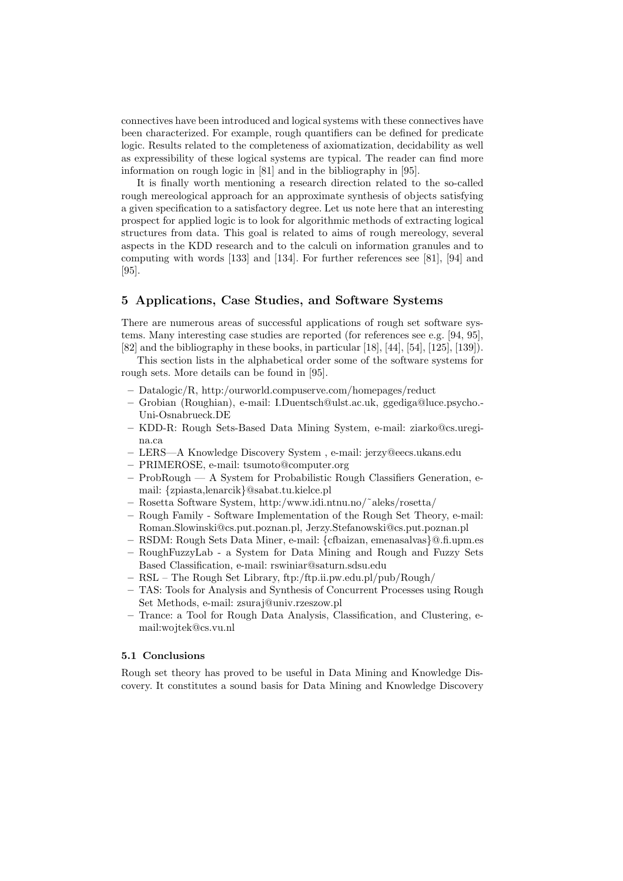connectives have been introduced and logical systems with these connectives have been characterized. For example, rough quantifiers can be defined for predicate logic. Results related to the completeness of axiomatization, decidability as well as expressibility of these logical systems are typical. The reader can find more information on rough logic in [81] and in the bibliography in [95].

It is finally worth mentioning a research direction related to the so-called rough mereological approach for an approximate synthesis of objects satisfying a given specification to a satisfactory degree. Let us note here that an interesting prospect for applied logic is to look for algorithmic methods of extracting logical structures from data. This goal is related to aims of rough mereology, several aspects in the KDD research and to the calculi on information granules and to computing with words [133] and [134]. For further references see [81], [94] and [95].

# 5 Applications, Case Studies, and Software Systems

There are numerous areas of successful applications of rough set software systems. Many interesting case studies are reported (for references see e.g. [94, 95], [82] and the bibliography in these books, in particular [18], [44], [54], [125], [139]).

This section lists in the alphabetical order some of the software systems for rough sets. More details can be found in [95].

- Datalogic/R, http:/ourworld.compuserve.com/homepages/reduct
- Grobian (Roughian), e-mail: I.Duentsch@ulst.ac.uk, ggediga@luce.psycho.- Uni-Osnabrueck.DE
- KDD-R: Rough Sets-Based Data Mining System, e-mail: ziarko@cs.uregina.ca
- LERS—A Knowledge Discovery System , e-mail: jerzy@eecs.ukans.edu
- PRIMEROSE, e-mail: tsumoto@computer.org
- $-$  ProbRough  $-$  A System for Probabilistic Rough Classifiers Generation, email: {zpiasta,lenarcik}@sabat.tu.kielce.pl
- Rosetta Software System, http:/www.idi.ntnu.no/˜aleks/rosetta/
- Rough Family Software Implementation of the Rough Set Theory, e-mail: Roman.Slowinski@cs.put.poznan.pl, Jerzy.Stefanowski@cs.put.poznan.pl
- RSDM: Rough Sets Data Miner, e-mail: {cfbaizan, emenasalvas}@.fi.upm.es
- RoughFuzzyLab a System for Data Mining and Rough and Fuzzy Sets Based Classification, e-mail: rswiniar@saturn.sdsu.edu
- RSL The Rough Set Library, ftp:/ftp.ii.pw.edu.pl/pub/Rough/
- TAS: Tools for Analysis and Synthesis of Concurrent Processes using Rough Set Methods, e-mail: zsuraj@univ.rzeszow.pl
- Trance: a Tool for Rough Data Analysis, Classification, and Clustering, email:wojtek@cs.vu.nl

## 5.1 Conclusions

Rough set theory has proved to be useful in Data Mining and Knowledge Discovery. It constitutes a sound basis for Data Mining and Knowledge Discovery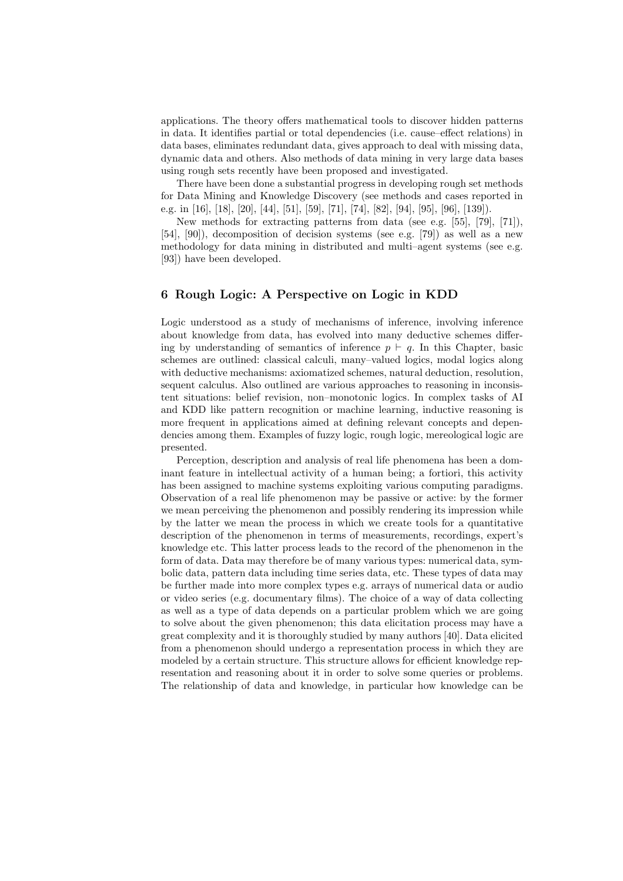applications. The theory offers mathematical tools to discover hidden patterns in data. It identifies partial or total dependencies (i.e. cause–effect relations) in data bases, eliminates redundant data, gives approach to deal with missing data, dynamic data and others. Also methods of data mining in very large data bases using rough sets recently have been proposed and investigated.

There have been done a substantial progress in developing rough set methods for Data Mining and Knowledge Discovery (see methods and cases reported in e.g. in [16], [18], [20], [44], [51], [59], [71], [74], [82], [94], [95], [96], [139]).

New methods for extracting patterns from data (see e.g. [55], [79], [71]), [54], [90]), decomposition of decision systems (see e.g. [79]) as well as a new methodology for data mining in distributed and multi–agent systems (see e.g. [93]) have been developed.

# 6 Rough Logic: A Perspective on Logic in KDD

Logic understood as a study of mechanisms of inference, involving inference about knowledge from data, has evolved into many deductive schemes differing by understanding of semantics of inference  $p \vdash q$ . In this Chapter, basic schemes are outlined: classical calculi, many–valued logics, modal logics along with deductive mechanisms: axiomatized schemes, natural deduction, resolution, sequent calculus. Also outlined are various approaches to reasoning in inconsistent situations: belief revision, non–monotonic logics. In complex tasks of AI and KDD like pattern recognition or machine learning, inductive reasoning is more frequent in applications aimed at defining relevant concepts and dependencies among them. Examples of fuzzy logic, rough logic, mereological logic are presented.

Perception, description and analysis of real life phenomena has been a dominant feature in intellectual activity of a human being; a fortiori, this activity has been assigned to machine systems exploiting various computing paradigms. Observation of a real life phenomenon may be passive or active: by the former we mean perceiving the phenomenon and possibly rendering its impression while by the latter we mean the process in which we create tools for a quantitative description of the phenomenon in terms of measurements, recordings, expert's knowledge etc. This latter process leads to the record of the phenomenon in the form of data. Data may therefore be of many various types: numerical data, symbolic data, pattern data including time series data, etc. These types of data may be further made into more complex types e.g. arrays of numerical data or audio or video series (e.g. documentary films). The choice of a way of data collecting as well as a type of data depends on a particular problem which we are going to solve about the given phenomenon; this data elicitation process may have a great complexity and it is thoroughly studied by many authors [40]. Data elicited from a phenomenon should undergo a representation process in which they are modeled by a certain structure. This structure allows for efficient knowledge representation and reasoning about it in order to solve some queries or problems. The relationship of data and knowledge, in particular how knowledge can be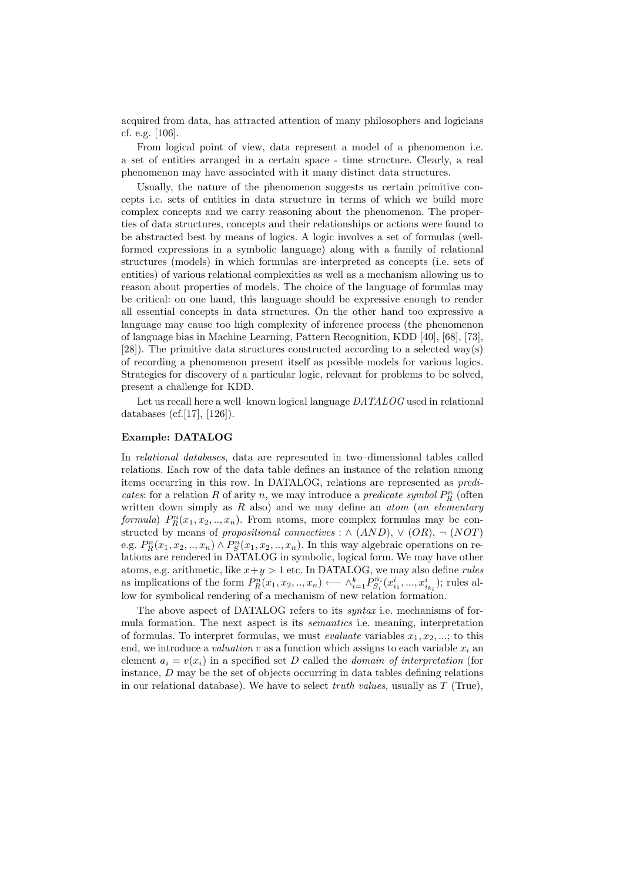acquired from data, has attracted attention of many philosophers and logicians cf. e.g. [106].

From logical point of view, data represent a model of a phenomenon i.e. a set of entities arranged in a certain space - time structure. Clearly, a real phenomenon may have associated with it many distinct data structures.

Usually, the nature of the phenomenon suggests us certain primitive concepts i.e. sets of entities in data structure in terms of which we build more complex concepts and we carry reasoning about the phenomenon. The properties of data structures, concepts and their relationships or actions were found to be abstracted best by means of logics. A logic involves a set of formulas (wellformed expressions in a symbolic language) along with a family of relational structures (models) in which formulas are interpreted as concepts (i.e. sets of entities) of various relational complexities as well as a mechanism allowing us to reason about properties of models. The choice of the language of formulas may be critical: on one hand, this language should be expressive enough to render all essential concepts in data structures. On the other hand too expressive a language may cause too high complexity of inference process (the phenomenon of language bias in Machine Learning, Pattern Recognition, KDD [40], [68], [73], [28]). The primitive data structures constructed according to a selected way(s) of recording a phenomenon present itself as possible models for various logics. Strategies for discovery of a particular logic, relevant for problems to be solved, present a challenge for KDD.

Let us recall here a well–known logical language DATALOG used in relational databases (cf.[17], [126]).

#### Example: DATALOG

In relational databases, data are represented in two–dimensional tables called relations. Each row of the data table defines an instance of the relation among items occurring in this row. In DATALOG, relations are represented as predi*cates:* for a relation R of arity n, we may introduce a *predicate symbol*  $P_R^n$  (often written down simply as  $R$  also) and we may define an *atom* (an elementary formula)  $P_R^n(x_1, x_2, \ldots, x_n)$ . From atoms, more complex formulas may be constructed by means of propositional connectives :  $\wedge$  (AND),  $\vee$  (OR),  $\neg$  (NOT) e.g.  $P_R^n(x_1, x_2, \ldots, x_n) \wedge P_S^n(x_1, x_2, \ldots, x_n)$ . In this way algebraic operations on relations are rendered in DATALOG in symbolic, logical form. We may have other atoms, e.g. arithmetic, like  $x+y > 1$  etc. In DATALOG, we may also define *rules* as implications of the form  $P_R^n(x_1, x_2, \ldots, x_n) \longleftarrow \wedge_{i=1}^k P_{S_i}^{n_i}(x_{i_1}^i, \ldots, x_{i_{k_i}}^i);$  rules allow for symbolical rendering of a mechanism of new relation formation.

The above aspect of DATALOG refers to its *syntax* i.e. mechanisms of formula formation. The next aspect is its semantics i.e. meaning, interpretation of formulas. To interpret formulas, we must *evaluate* variables  $x_1, x_2, ...$ ; to this end, we introduce a *valuation v* as a function which assigns to each variable  $x_i$  and element  $a_i = v(x_i)$  in a specified set D called the *domain of interpretation* (for instance,  $D$  may be the set of objects occurring in data tables defining relations in our relational database). We have to select *truth values*, usually as  $T$  (True),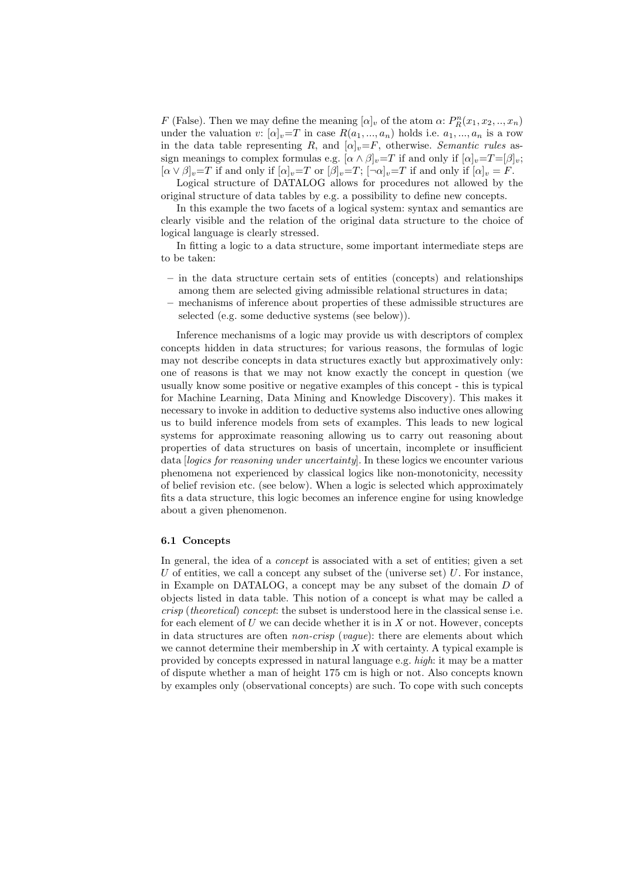F (False). Then we may define the meaning  $[\alpha]_v$  of the atom  $\alpha$ :  $P_R^n(x_1, x_2, \ldots, x_n)$ under the valuation v:  $[\alpha]_v = T$  in case  $R(a_1, ..., a_n)$  holds i.e.  $a_1, ..., a_n$  is a row in the data table representing R, and  $[\alpha]_v = F$ , otherwise. Semantic rules assign meanings to complex formulas e.g.  $[\alpha \wedge \beta]_v = T$  if and only if  $[\alpha]_v = T = [\beta]_v$ ;  $[\alpha \vee \beta]_v = T$  if and only if  $[\alpha]_v = T$  or  $[\beta]_v = T$ ;  $[\neg \alpha]_v = T$  if and only if  $[\alpha]_v = F$ .

Logical structure of DATALOG allows for procedures not allowed by the original structure of data tables by e.g. a possibility to define new concepts.

In this example the two facets of a logical system: syntax and semantics are clearly visible and the relation of the original data structure to the choice of logical language is clearly stressed.

In fitting a logic to a data structure, some important intermediate steps are to be taken:

- in the data structure certain sets of entities (concepts) and relationships among them are selected giving admissible relational structures in data;
- mechanisms of inference about properties of these admissible structures are selected (e.g. some deductive systems (see below)).

Inference mechanisms of a logic may provide us with descriptors of complex concepts hidden in data structures; for various reasons, the formulas of logic may not describe concepts in data structures exactly but approximatively only: one of reasons is that we may not know exactly the concept in question (we usually know some positive or negative examples of this concept - this is typical for Machine Learning, Data Mining and Knowledge Discovery). This makes it necessary to invoke in addition to deductive systems also inductive ones allowing us to build inference models from sets of examples. This leads to new logical systems for approximate reasoning allowing us to carry out reasoning about properties of data structures on basis of uncertain, incomplete or insufficient data [logics for reasoning under uncertainty]. In these logics we encounter various phenomena not experienced by classical logics like non-monotonicity, necessity of belief revision etc. (see below). When a logic is selected which approximately fits a data structure, this logic becomes an inference engine for using knowledge about a given phenomenon.

## 6.1 Concepts

In general, the idea of a *concept* is associated with a set of entities; given a set  $U$  of entities, we call a concept any subset of the (universe set)  $U$ . For instance, in Example on DATALOG, a concept may be any subset of the domain D of objects listed in data table. This notion of a concept is what may be called a crisp (theoretical) concept: the subset is understood here in the classical sense i.e. for each element of  $U$  we can decide whether it is in  $X$  or not. However, concepts in data structures are often non-crisp (vague): there are elements about which we cannot determine their membership in  $X$  with certainty. A typical example is provided by concepts expressed in natural language e.g. high: it may be a matter of dispute whether a man of height 175 cm is high or not. Also concepts known by examples only (observational concepts) are such. To cope with such concepts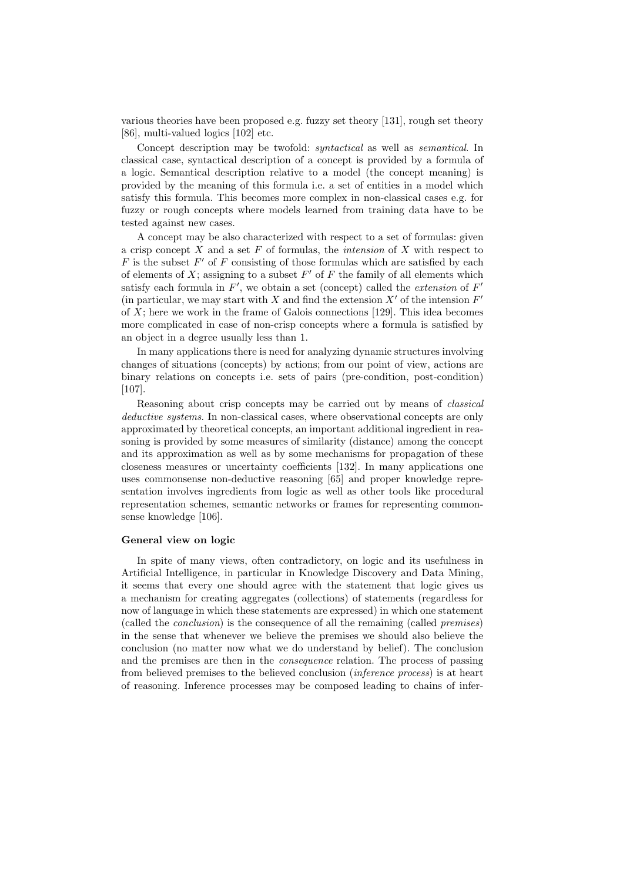various theories have been proposed e.g. fuzzy set theory [131], rough set theory [86], multi-valued logics [102] etc.

Concept description may be twofold: syntactical as well as semantical. In classical case, syntactical description of a concept is provided by a formula of a logic. Semantical description relative to a model (the concept meaning) is provided by the meaning of this formula i.e. a set of entities in a model which satisfy this formula. This becomes more complex in non-classical cases e.g. for fuzzy or rough concepts where models learned from training data have to be tested against new cases.

A concept may be also characterized with respect to a set of formulas: given a crisp concept X and a set F of formulas, the *intension* of X with respect to  $F$  is the subset  $F'$  of  $F$  consisting of those formulas which are satisfied by each of elements of  $X$ ; assigning to a subset  $F'$  of  $F$  the family of all elements which satisfy each formula in  $F'$ , we obtain a set (concept) called the *extension* of  $F'$ (in particular, we may start with  $X$  and find the extension  $X'$  of the intension  $F'$ of X; here we work in the frame of Galois connections [129]. This idea becomes more complicated in case of non-crisp concepts where a formula is satisfied by an object in a degree usually less than 1.

In many applications there is need for analyzing dynamic structures involving changes of situations (concepts) by actions; from our point of view, actions are binary relations on concepts i.e. sets of pairs (pre-condition, post-condition) [107].

Reasoning about crisp concepts may be carried out by means of classical deductive systems. In non-classical cases, where observational concepts are only approximated by theoretical concepts, an important additional ingredient in reasoning is provided by some measures of similarity (distance) among the concept and its approximation as well as by some mechanisms for propagation of these closeness measures or uncertainty coefficients [132]. In many applications one uses commonsense non-deductive reasoning [65] and proper knowledge representation involves ingredients from logic as well as other tools like procedural representation schemes, semantic networks or frames for representing commonsense knowledge [106].

#### General view on logic

In spite of many views, often contradictory, on logic and its usefulness in Artificial Intelligence, in particular in Knowledge Discovery and Data Mining, it seems that every one should agree with the statement that logic gives us a mechanism for creating aggregates (collections) of statements (regardless for now of language in which these statements are expressed) in which one statement (called the conclusion) is the consequence of all the remaining (called premises) in the sense that whenever we believe the premises we should also believe the conclusion (no matter now what we do understand by belief). The conclusion and the premises are then in the consequence relation. The process of passing from believed premises to the believed conclusion (inference process) is at heart of reasoning. Inference processes may be composed leading to chains of infer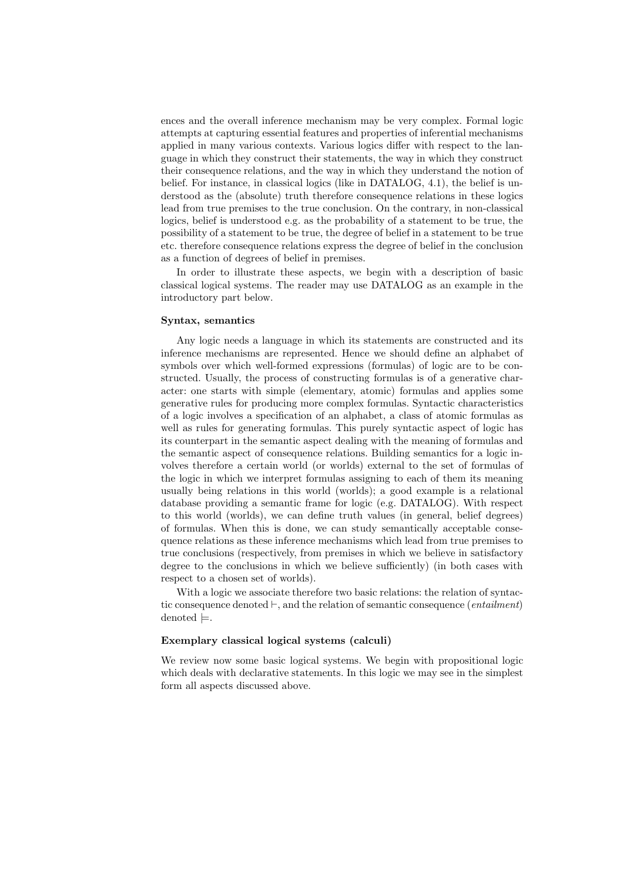ences and the overall inference mechanism may be very complex. Formal logic attempts at capturing essential features and properties of inferential mechanisms applied in many various contexts. Various logics differ with respect to the language in which they construct their statements, the way in which they construct their consequence relations, and the way in which they understand the notion of belief. For instance, in classical logics (like in DATALOG, 4.1), the belief is understood as the (absolute) truth therefore consequence relations in these logics lead from true premises to the true conclusion. On the contrary, in non-classical logics, belief is understood e.g. as the probability of a statement to be true, the possibility of a statement to be true, the degree of belief in a statement to be true etc. therefore consequence relations express the degree of belief in the conclusion as a function of degrees of belief in premises.

In order to illustrate these aspects, we begin with a description of basic classical logical systems. The reader may use DATALOG as an example in the introductory part below.

## Syntax, semantics

Any logic needs a language in which its statements are constructed and its inference mechanisms are represented. Hence we should define an alphabet of symbols over which well-formed expressions (formulas) of logic are to be constructed. Usually, the process of constructing formulas is of a generative character: one starts with simple (elementary, atomic) formulas and applies some generative rules for producing more complex formulas. Syntactic characteristics of a logic involves a specification of an alphabet, a class of atomic formulas as well as rules for generating formulas. This purely syntactic aspect of logic has its counterpart in the semantic aspect dealing with the meaning of formulas and the semantic aspect of consequence relations. Building semantics for a logic involves therefore a certain world (or worlds) external to the set of formulas of the logic in which we interpret formulas assigning to each of them its meaning usually being relations in this world (worlds); a good example is a relational database providing a semantic frame for logic (e.g. DATALOG). With respect to this world (worlds), we can define truth values (in general, belief degrees) of formulas. When this is done, we can study semantically acceptable consequence relations as these inference mechanisms which lead from true premises to true conclusions (respectively, from premises in which we believe in satisfactory degree to the conclusions in which we believe sufficiently) (in both cases with respect to a chosen set of worlds).

With a logic we associate therefore two basic relations: the relation of syntactic consequence denoted ⊢, and the relation of semantic consequence (entailment) denoted  $\models$ .

## Exemplary classical logical systems (calculi)

We review now some basic logical systems. We begin with propositional logic which deals with declarative statements. In this logic we may see in the simplest form all aspects discussed above.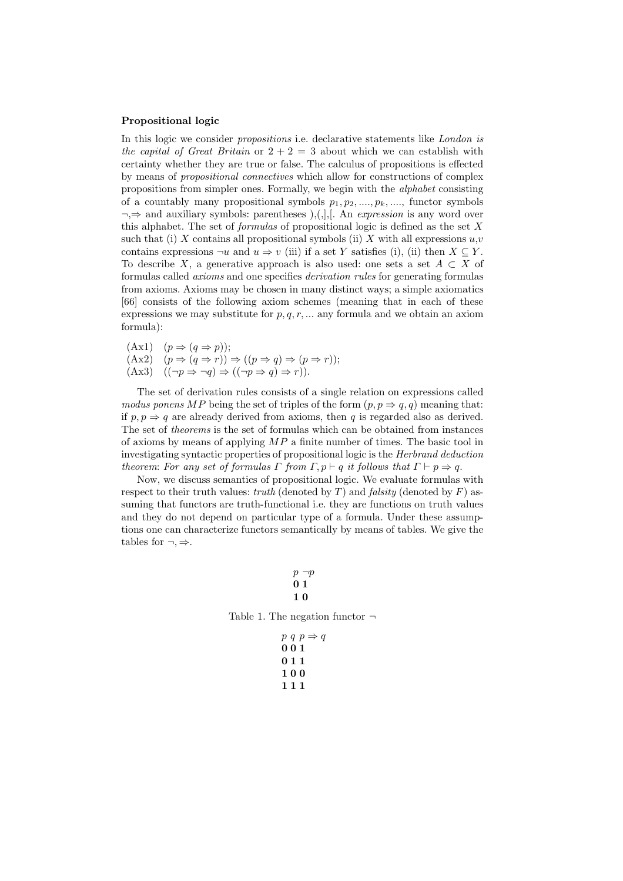# Propositional logic

In this logic we consider *propositions* i.e. declarative statements like *London is* the capital of Great Britain or  $2 + 2 = 3$  about which we can establish with certainty whether they are true or false. The calculus of propositions is effected by means of propositional connectives which allow for constructions of complex propositions from simpler ones. Formally, we begin with the alphabet consisting of a countably many propositional symbols  $p_1, p_2, ..., p_k, ...,$  functor symbols ¬,⇒ and auxiliary symbols: parentheses ),(,],[. An expression is any word over this alphabet. The set of *formulas* of propositional logic is defined as the set  $X$ such that (i) X contains all propositional symbols (ii) X with all expressions  $u,v$ contains expressions  $\neg u$  and  $u \Rightarrow v$  (iii) if a set Y satisfies (i), (ii) then  $X \subseteq Y$ . To describe X, a generative approach is also used: one sets a set  $A \subset X$  of formulas called axioms and one specifies derivation rules for generating formulas from axioms. Axioms may be chosen in many distinct ways; a simple axiomatics [66] consists of the following axiom schemes (meaning that in each of these expressions we may substitute for  $p, q, r, \dots$  any formula and we obtain an axiom formula):

(Ax1)  $(p \Rightarrow (q \Rightarrow p))$ ;  $(Ax2)$   $(p \Rightarrow (q \Rightarrow r)) \Rightarrow ((p \Rightarrow q) \Rightarrow (p \Rightarrow r));$  $(Ax3) \quad ((\neg p \Rightarrow \neg q) \Rightarrow ((\neg p \Rightarrow q) \Rightarrow r)).$ 

The set of derivation rules consists of a single relation on expressions called modus ponens MP being the set of triples of the form  $(p, p \Rightarrow q, q)$  meaning that: if  $p, p \Rightarrow q$  are already derived from axioms, then q is regarded also as derived. The set of theorems is the set of formulas which can be obtained from instances of axioms by means of applying  $MP$  a finite number of times. The basic tool in investigating syntactic properties of propositional logic is the Herbrand deduction theorem: For any set of formulas  $\Gamma$  from  $\Gamma$ ,  $p \vdash q$  it follows that  $\Gamma \vdash p \Rightarrow q$ .

Now, we discuss semantics of propositional logic. We evaluate formulas with respect to their truth values: truth (denoted by T) and falsity (denoted by F) assuming that functors are truth-functional i.e. they are functions on truth values and they do not depend on particular type of a formula. Under these assumptions one can characterize functors semantically by means of tables. We give the tables for  $\neg, \Rightarrow$ .

```
p \neg p0 1
1 0
```
Table 1. The negation functor  $\neg$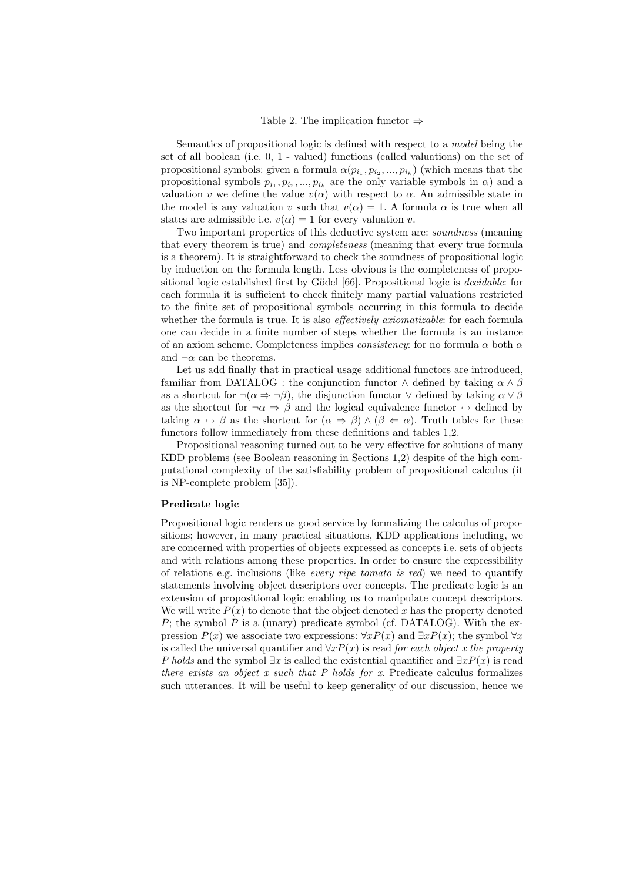Semantics of propositional logic is defined with respect to a model being the set of all boolean (i.e. 0, 1 - valued) functions (called valuations) on the set of propositional symbols: given a formula  $\alpha(p_{i_1}, p_{i_2}, ..., p_{i_k})$  (which means that the propositional symbols  $p_{i_1}, p_{i_2},..., p_{i_k}$  are the only variable symbols in  $\alpha$ ) and a valuation v we define the value  $v(\alpha)$  with respect to  $\alpha$ . An admissible state in the model is any valuation v such that  $v(\alpha) = 1$ . A formula  $\alpha$  is true when all states are admissible i.e.  $v(\alpha) = 1$  for every valuation v.

Two important properties of this deductive system are: soundness (meaning that every theorem is true) and completeness (meaning that every true formula is a theorem). It is straightforward to check the soundness of propositional logic by induction on the formula length. Less obvious is the completeness of propositional logic established first by Gödel  $[66]$ . Propositional logic is *decidable*: for each formula it is sufficient to check finitely many partial valuations restricted to the finite set of propositional symbols occurring in this formula to decide whether the formula is true. It is also *effectively axiomatizable*: for each formula one can decide in a finite number of steps whether the formula is an instance of an axiom scheme. Completeness implies *consistency*: for no formula  $\alpha$  both  $\alpha$ and  $\neg \alpha$  can be theorems.

Let us add finally that in practical usage additional functors are introduced, familiar from DATALOG : the conjunction functor  $\wedge$  defined by taking  $\alpha \wedge \beta$ as a shortcut for  $\neg(\alpha \Rightarrow \neg \beta)$ , the disjunction functor  $\vee$  defined by taking  $\alpha \vee \beta$ as the shortcut for  $\neg \alpha \Rightarrow \beta$  and the logical equivalence functor  $\leftrightarrow$  defined by taking  $\alpha \leftrightarrow \beta$  as the shortcut for  $(\alpha \Rightarrow \beta) \wedge (\beta \Leftarrow \alpha)$ . Truth tables for these functors follow immediately from these definitions and tables 1,2.

Propositional reasoning turned out to be very effective for solutions of many KDD problems (see Boolean reasoning in Sections 1,2) despite of the high computational complexity of the satisfiability problem of propositional calculus (it is NP-complete problem [35]).

## Predicate logic

Propositional logic renders us good service by formalizing the calculus of propositions; however, in many practical situations, KDD applications including, we are concerned with properties of objects expressed as concepts i.e. sets of objects and with relations among these properties. In order to ensure the expressibility of relations e.g. inclusions (like every ripe tomato is red) we need to quantify statements involving object descriptors over concepts. The predicate logic is an extension of propositional logic enabling us to manipulate concept descriptors. We will write  $P(x)$  to denote that the object denoted x has the property denoted  $P$ ; the symbol  $P$  is a (unary) predicate symbol (cf. DATALOG). With the expression  $P(x)$  we associate two expressions:  $\forall x P(x)$  and  $\exists x P(x)$ ; the symbol  $\forall x$ is called the universal quantifier and  $\forall x P(x)$  is read for each object x the property P holds and the symbol  $\exists x$  is called the existential quantifier and  $\exists x P(x)$  is read there exists an object x such that P holds for x. Predicate calculus formalizes such utterances. It will be useful to keep generality of our discussion, hence we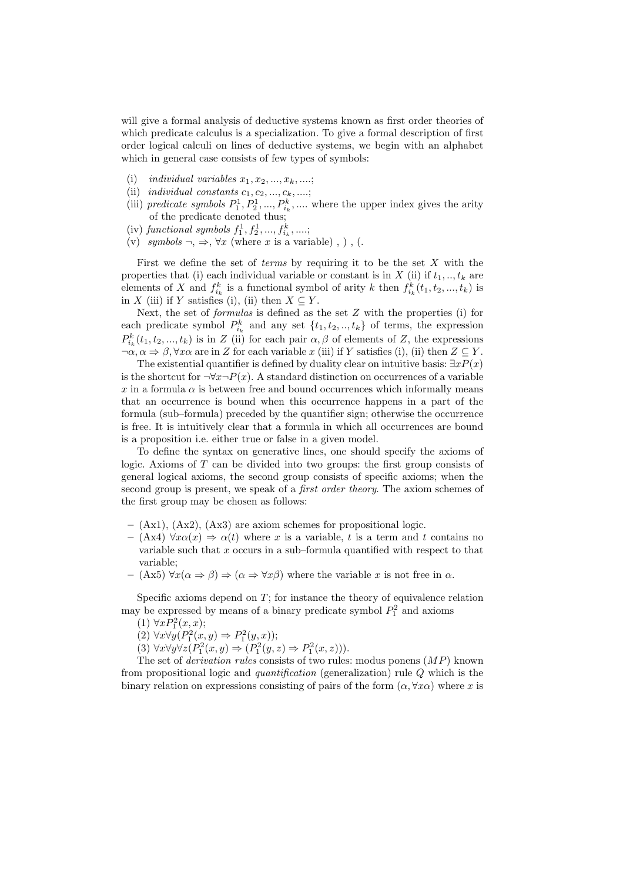will give a formal analysis of deductive systems known as first order theories of which predicate calculus is a specialization. To give a formal description of first order logical calculi on lines of deductive systems, we begin with an alphabet which in general case consists of few types of symbols:

- (i) individual variables  $x_1, x_2, ..., x_k, ...;$
- (ii) individual constants  $c_1, c_2, ..., c_k, ...;$
- (iii) predicate symbols  $P_1^1, P_2^1, ..., P_{i_k}^k, ...$  where the upper index gives the arity of the predicate denoted thus;
- (iv) functional symbols  $f_1^1, f_2^1, ..., f_{i_k}^k, ...,$
- (v) symbols  $\neg, \Rightarrow, \forall x$  (where x is a variable), ), (.

First we define the set of *terms* by requiring it to be the set  $X$  with the properties that (i) each individual variable or constant is in X (ii) if  $t_1, \ldots, t_k$  are elements of X and  $f_{i_k}^k$  is a functional symbol of arity k then  $f_{i_k}^k(t_1, t_2, ..., t_k)$  is in X (iii) if Y satisfies (i), (ii) then  $X \subseteq Y$ .

Next, the set of *formulas* is defined as the set  $Z$  with the properties (i) for each predicate symbol  $P_{i_k}^k$  and any set  $\{t_1, t_2, ..., t_k\}$  of terms, the expression  $P_{i_k}^k(t_1, t_2, ..., t_k)$  is in Z (ii) for each pair  $\alpha, \beta$  of elements of Z, the expressions  $\neg \alpha, \alpha \Rightarrow \beta, \forall x \alpha$  are in Z for each variable x (iii) if Y satisfies (i), (ii) then  $Z \subseteq Y$ .

The existential quantifier is defined by duality clear on intuitive basis:  $\exists x P(x)$ is the shortcut for  $\neg \forall x \neg P(x)$ . A standard distinction on occurrences of a variable  $x$  in a formula  $\alpha$  is between free and bound occurrences which informally means that an occurrence is bound when this occurrence happens in a part of the formula (sub–formula) preceded by the quantifier sign; otherwise the occurrence is free. It is intuitively clear that a formula in which all occurrences are bound is a proposition i.e. either true or false in a given model.

To define the syntax on generative lines, one should specify the axioms of logic. Axioms of T can be divided into two groups: the first group consists of general logical axioms, the second group consists of specific axioms; when the second group is present, we speak of a first order theory. The axiom schemes of the first group may be chosen as follows:

- $-$  (Ax1), (Ax2), (Ax3) are axiom schemes for propositional logic.
- $(Ax4) \forall x \alpha(x) \Rightarrow \alpha(t)$  where x is a variable, t is a term and t contains no variable such that  $x$  occurs in a sub-formula quantified with respect to that variable;
- (Ax5)  $\forall x(\alpha \Rightarrow \beta) \Rightarrow (\alpha \Rightarrow \forall x\beta)$  where the variable x is not free in  $\alpha$ .

Specific axioms depend on  $T$ ; for instance the theory of equivalence relation may be expressed by means of a binary predicate symbol  $P_1^2$  and axioms

(1) ∀ $xP_1^2(x,x);$ 

$$
(2) \forall x \forall y (P_1^2(x, y) \Rightarrow P_1^2(y, x));
$$

(2)  $\forall x \forall y (I_1(x, y) \rightarrow I_1(y, x)),$ <br>
(3)  $\forall x \forall y \forall z (P_1^2(x, y) \Rightarrow (P_1^2(y, z) \Rightarrow P_1^2(x, z))).$ 

The set of *derivation rules* consists of two rules: modus ponens  $(MP)$  known from propositional logic and quantification (generalization) rule Q which is the binary relation on expressions consisting of pairs of the form  $(\alpha, \forall x \alpha)$  where x is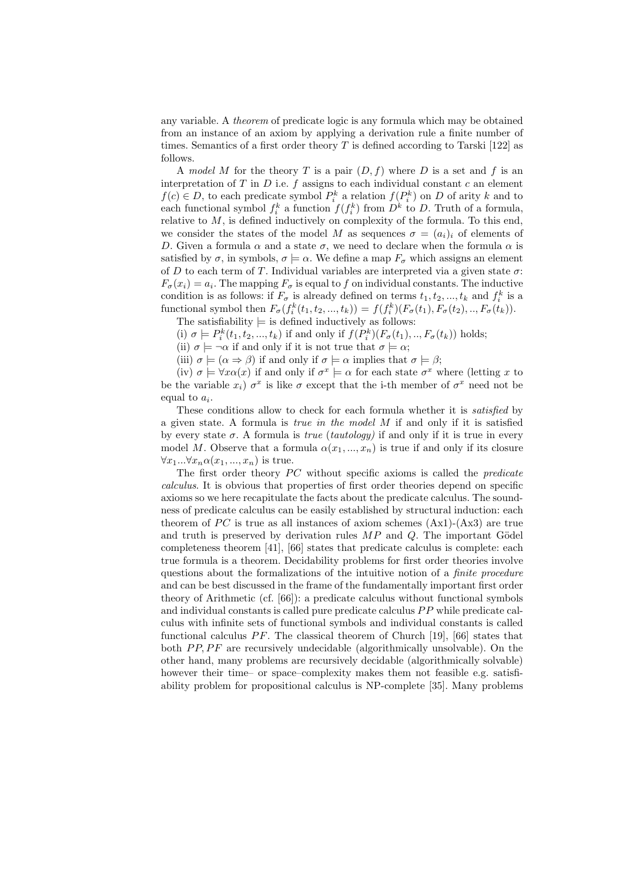any variable. A theorem of predicate logic is any formula which may be obtained from an instance of an axiom by applying a derivation rule a finite number of times. Semantics of a first order theory  $T$  is defined according to Tarski [122] as follows.

A model M for the theory T is a pair  $(D, f)$  where D is a set and f is an interpretation of  $T$  in  $D$  i.e.  $f$  assigns to each individual constant  $c$  an element  $f(c) \in D$ , to each predicate symbol  $P_i^k$  a relation  $f(P_i^k)$  on D of arity k and to each functional symbol  $f_i^k$  a function  $f(f_i^k)$  from  $D^k$  to D. Truth of a formula, relative to  $M$ , is defined inductively on complexity of the formula. To this end, we consider the states of the model M as sequences  $\sigma = (a_i)_i$  of elements of D. Given a formula  $\alpha$  and a state  $\sigma$ , we need to declare when the formula  $\alpha$  is satisfied by  $\sigma$ , in symbols,  $\sigma \models \alpha$ . We define a map  $F_{\sigma}$  which assigns an element of D to each term of T. Individual variables are interpreted via a given state  $\sigma$ :  $F_{\sigma}(x_i) = a_i$ . The mapping  $F_{\sigma}$  is equal to f on individual constants. The inductive condition is as follows: if  $F_{\sigma}$  is already defined on terms  $t_1, t_2, ..., t_k$  and  $f_i^k$  is a functional symbol then  $F_{\sigma}(f_i^k(t_1, t_2, ..., t_k)) = f(f_i^k)(F_{\sigma}(t_1), F_{\sigma}(t_2), ..., F_{\sigma}(t_k)).$ 

The satisfiability  $\models$  is defined inductively as follows:

(i)  $\sigma \models P_i^k(t_1, t_2, ..., t_k)$  if and only if  $f(P_i^k)(F_{\sigma}(t_1), ..., F_{\sigma}(t_k))$  holds;

(ii)  $\sigma \models \neg \alpha$  if and only if it is not true that  $\sigma \models \alpha$ ;

(iii)  $\sigma \models (\alpha \Rightarrow \beta)$  if and only if  $\sigma \models \alpha$  implies that  $\sigma \models \beta$ ;

(iv)  $\sigma \models \forall x \alpha(x)$  if and only if  $\sigma^x \models \alpha$  for each state  $\sigma^x$  where (letting x to be the variable  $x_i$ )  $\sigma^x$  is like  $\sigma$  except that the i-th member of  $\sigma^x$  need not be equal to  $a_i$ .

These conditions allow to check for each formula whether it is satisfied by a given state. A formula is *true in the model M* if and only if it is satisfied by every state  $\sigma$ . A formula is *true* (*tautology*) if and only if it is true in every model M. Observe that a formula  $\alpha(x_1, ..., x_n)$  is true if and only if its closure  $\forall x_1...\forall x_n\alpha(x_1,...,x_n)$  is true.

The first order theory  $PC$  without specific axioms is called the *predicate* calculus. It is obvious that properties of first order theories depend on specific axioms so we here recapitulate the facts about the predicate calculus. The soundness of predicate calculus can be easily established by structural induction: each theorem of PC is true as all instances of axiom schemes  $(Ax1)-(Ax3)$  are true and truth is preserved by derivation rules  $MP$  and  $Q$ . The important Gödel completeness theorem [41], [66] states that predicate calculus is complete: each true formula is a theorem. Decidability problems for first order theories involve questions about the formalizations of the intuitive notion of a finite procedure and can be best discussed in the frame of the fundamentally important first order theory of Arithmetic (cf. [66]): a predicate calculus without functional symbols and individual constants is called pure predicate calculus  $PP$  while predicate calculus with infinite sets of functional symbols and individual constants is called functional calculus  $PF$ . The classical theorem of Church [19], [66] states that both  $PP, PF$  are recursively undecidable (algorithmically unsolvable). On the other hand, many problems are recursively decidable (algorithmically solvable) however their time– or space–complexity makes them not feasible e.g. satisfiability problem for propositional calculus is NP-complete [35]. Many problems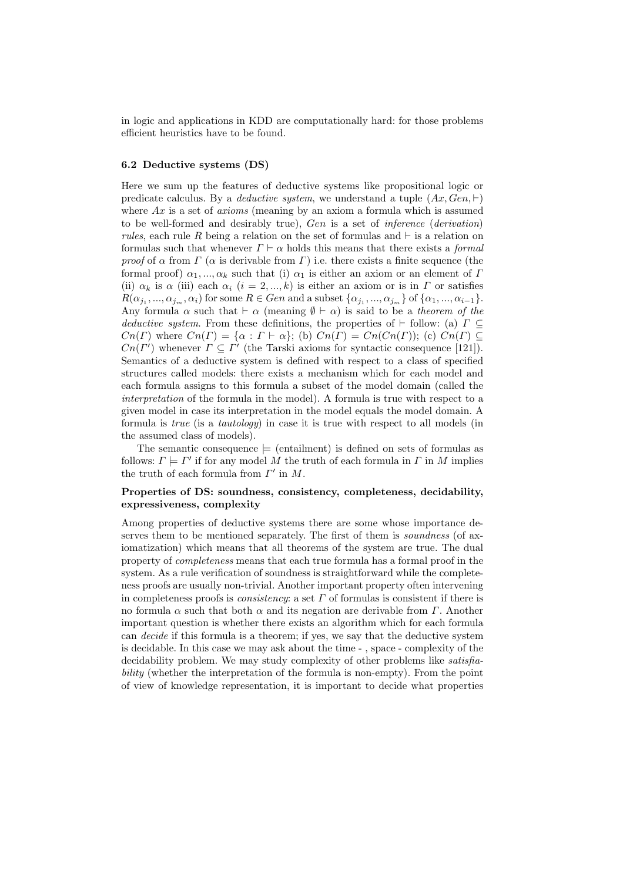in logic and applications in KDD are computationally hard: for those problems efficient heuristics have to be found.

### 6.2 Deductive systems (DS)

Here we sum up the features of deductive systems like propositional logic or predicate calculus. By a *deductive system*, we understand a tuple  $(Ax, Gen, \vdash)$ where  $Ax$  is a set of *axioms* (meaning by an axiom a formula which is assumed to be well-formed and desirably true), Gen is a set of inference (derivation) rules, each rule R being a relation on the set of formulas and  $\vdash$  is a relation on formulas such that whenever  $\Gamma \vdash \alpha$  holds this means that there exists a *formal* proof of  $\alpha$  from  $\Gamma$  ( $\alpha$  is derivable from  $\Gamma$ ) i.e. there exists a finite sequence (the formal proof)  $\alpha_1, ..., \alpha_k$  such that (i)  $\alpha_1$  is either an axiom or an element of  $\Gamma$ (ii)  $\alpha_k$  is  $\alpha$  (iii) each  $\alpha_i$  (i = 2, ..., k) is either an axiom or is in  $\Gamma$  or satisfies  $R(\alpha_{j_1},...,\alpha_{j_m},\alpha_i)$  for some  $R \in Gen$  and a subset  $\{\alpha_{j_1},...,\alpha_{j_m}\}\$  of  $\{\alpha_1,...,\alpha_{i-1}\}.$ Any formula  $\alpha$  such that  $\vdash \alpha$  (meaning  $\emptyset \vdash \alpha$ ) is said to be a theorem of the deductive system. From these definitions, the properties of ⊢ follow: (a)  $\Gamma \subseteq$  $Cn(\Gamma)$  where  $Cn(\Gamma) = {\alpha : \Gamma \vdash \alpha};$  (b)  $Cn(\Gamma) = Cn(Cn(\Gamma));$  (c)  $Cn(\Gamma) \subseteq$  $Cn(\Gamma')$  whenever  $\Gamma \subseteq \Gamma'$  (the Tarski axioms for syntactic consequence [121]). Semantics of a deductive system is defined with respect to a class of specified structures called models: there exists a mechanism which for each model and each formula assigns to this formula a subset of the model domain (called the interpretation of the formula in the model). A formula is true with respect to a given model in case its interpretation in the model equals the model domain. A formula is true (is a tautology) in case it is true with respect to all models (in the assumed class of models).

The semantic consequence  $\models$  (entailment) is defined on sets of formulas as follows:  $\Gamma \models \Gamma'$  if for any model M the truth of each formula in  $\Gamma$  in M implies the truth of each formula from  $\Gamma'$  in  $M$ .

## Properties of DS: soundness, consistency, completeness, decidability, expressiveness, complexity

Among properties of deductive systems there are some whose importance deserves them to be mentioned separately. The first of them is soundness (of axiomatization) which means that all theorems of the system are true. The dual property of completeness means that each true formula has a formal proof in the system. As a rule verification of soundness is straightforward while the completeness proofs are usually non-trivial. Another important property often intervening in completeness proofs is *consistency*: a set  $\Gamma$  of formulas is consistent if there is no formula  $\alpha$  such that both  $\alpha$  and its negation are derivable from  $\Gamma$ . Another important question is whether there exists an algorithm which for each formula can decide if this formula is a theorem; if yes, we say that the deductive system is decidable. In this case we may ask about the time - , space - complexity of the decidability problem. We may study complexity of other problems like satisfiability (whether the interpretation of the formula is non-empty). From the point of view of knowledge representation, it is important to decide what properties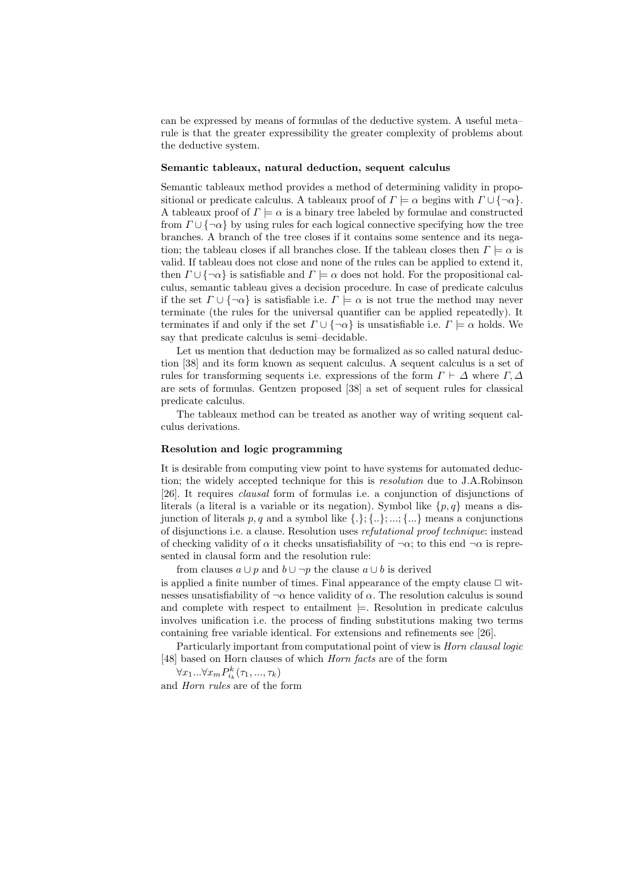can be expressed by means of formulas of the deductive system. A useful meta– rule is that the greater expressibility the greater complexity of problems about the deductive system.

#### Semantic tableaux, natural deduction, sequent calculus

Semantic tableaux method provides a method of determining validity in propositional or predicate calculus. A tableaux proof of  $\Gamma \models \alpha$  begins with  $\Gamma \cup {\neg \alpha}$ . A tableaux proof of  $\Gamma \models \alpha$  is a binary tree labeled by formulae and constructed from  $\Gamma \cup \{\neg \alpha\}$  by using rules for each logical connective specifying how the tree branches. A branch of the tree closes if it contains some sentence and its negation; the tableau closes if all branches close. If the tableau closes then  $\Gamma \models \alpha$  is valid. If tableau does not close and none of the rules can be applied to extend it, then  $\Gamma \cup {\neg \alpha}$  is satisfiable and  $\Gamma \models \alpha$  does not hold. For the propositional calculus, semantic tableau gives a decision procedure. In case of predicate calculus if the set  $\Gamma \cup \{\neg \alpha\}$  is satisfiable i.e.  $\Gamma \models \alpha$  is not true the method may never terminate (the rules for the universal quantifier can be applied repeatedly). It terminates if and only if the set  $\Gamma \cup \{\neg \alpha\}$  is unsatisfiable i.e.  $\Gamma \models \alpha$  holds. We say that predicate calculus is semi–decidable.

Let us mention that deduction may be formalized as so called natural deduction [38] and its form known as sequent calculus. A sequent calculus is a set of rules for transforming sequents i.e. expressions of the form  $\Gamma \vdash \Delta$  where  $\Gamma, \Delta$ are sets of formulas. Gentzen proposed [38] a set of sequent rules for classical predicate calculus.

The tableaux method can be treated as another way of writing sequent calculus derivations.

## Resolution and logic programming

It is desirable from computing view point to have systems for automated deduction; the widely accepted technique for this is resolution due to J.A.Robinson [26]. It requires clausal form of formulas i.e. a conjunction of disjunctions of literals (a literal is a variable or its negation). Symbol like  $\{p, q\}$  means a disjunction of literals  $p, q$  and a symbol like  $\{.\}; \{..\}; \ldots; \{...\}$  means a conjunctions of disjunctions i.e. a clause. Resolution uses refutational proof technique: instead of checking validity of  $\alpha$  it checks unsatisfiability of  $\neg \alpha$ ; to this end  $\neg \alpha$  is represented in clausal form and the resolution rule:

from clauses  $a \cup p$  and  $b \cup \neg p$  the clause  $a \cup b$  is derived is applied a finite number of times. Final appearance of the empty clause  $\Box$  witnesses unsatisfiability of  $\neg \alpha$  hence validity of  $\alpha$ . The resolution calculus is sound and complete with respect to entailment  $\models$ . Resolution in predicate calculus involves unification i.e. the process of finding substitutions making two terms containing free variable identical. For extensions and refinements see [26].

Particularly important from computational point of view is *Horn clausal logic* [48] based on Horn clauses of which Horn facts are of the form

 $\forall x_1...\forall x_m P_{i_k}^k(\tau_1, ..., \tau_k)$ 

and Horn rules are of the form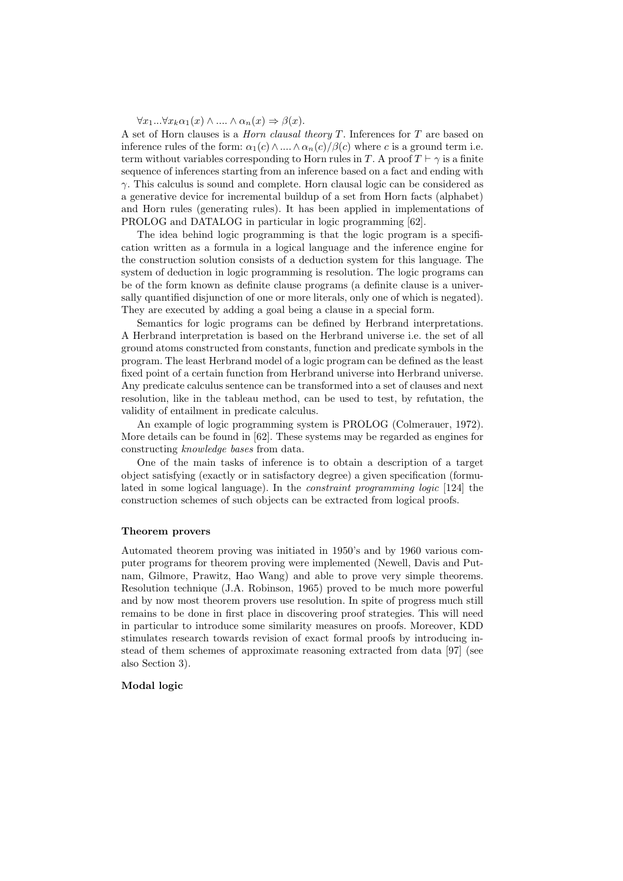$\forall x_1...\forall x_k \alpha_1(x) \wedge ... \wedge \alpha_n(x) \Rightarrow \beta(x).$ 

A set of Horn clauses is a *Horn clausal theory T*. Inferences for  $T$  are based on inference rules of the form:  $\alpha_1(c) \wedge ... \wedge \alpha_n(c)/\beta(c)$  where c is a ground term i.e. term without variables corresponding to Horn rules in T. A proof  $T \vdash \gamma$  is a finite sequence of inferences starting from an inference based on a fact and ending with  $\gamma$ . This calculus is sound and complete. Horn clausal logic can be considered as a generative device for incremental buildup of a set from Horn facts (alphabet) and Horn rules (generating rules). It has been applied in implementations of PROLOG and DATALOG in particular in logic programming [62].

The idea behind logic programming is that the logic program is a specification written as a formula in a logical language and the inference engine for the construction solution consists of a deduction system for this language. The system of deduction in logic programming is resolution. The logic programs can be of the form known as definite clause programs (a definite clause is a universally quantified disjunction of one or more literals, only one of which is negated). They are executed by adding a goal being a clause in a special form.

Semantics for logic programs can be defined by Herbrand interpretations. A Herbrand interpretation is based on the Herbrand universe i.e. the set of all ground atoms constructed from constants, function and predicate symbols in the program. The least Herbrand model of a logic program can be defined as the least fixed point of a certain function from Herbrand universe into Herbrand universe. Any predicate calculus sentence can be transformed into a set of clauses and next resolution, like in the tableau method, can be used to test, by refutation, the validity of entailment in predicate calculus.

An example of logic programming system is PROLOG (Colmerauer, 1972). More details can be found in [62]. These systems may be regarded as engines for constructing knowledge bases from data.

One of the main tasks of inference is to obtain a description of a target object satisfying (exactly or in satisfactory degree) a given specification (formulated in some logical language). In the constraint programming logic [124] the construction schemes of such objects can be extracted from logical proofs.

## Theorem provers

Automated theorem proving was initiated in 1950's and by 1960 various computer programs for theorem proving were implemented (Newell, Davis and Putnam, Gilmore, Prawitz, Hao Wang) and able to prove very simple theorems. Resolution technique (J.A. Robinson, 1965) proved to be much more powerful and by now most theorem provers use resolution. In spite of progress much still remains to be done in first place in discovering proof strategies. This will need in particular to introduce some similarity measures on proofs. Moreover, KDD stimulates research towards revision of exact formal proofs by introducing instead of them schemes of approximate reasoning extracted from data [97] (see also Section 3).

# Modal logic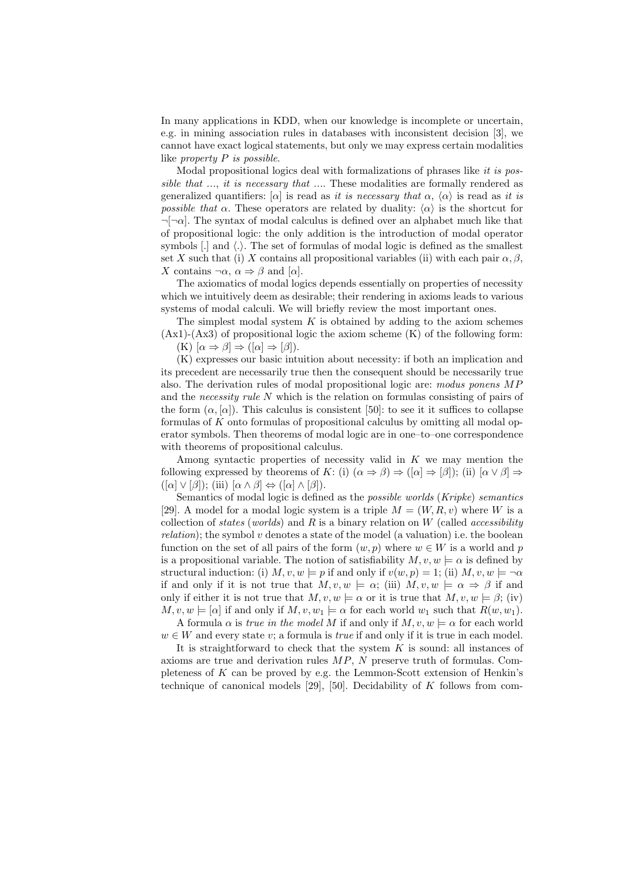In many applications in KDD, when our knowledge is incomplete or uncertain, e.g. in mining association rules in databases with inconsistent decision [3], we cannot have exact logical statements, but only we may express certain modalities like property  $P$  is possible.

Modal propositional logics deal with formalizations of phrases like *it is pos*sible that ..., it is necessary that .... These modalities are formally rendered as generalized quantifiers:  $\alpha$  is read as it is necessary that  $\alpha$ ,  $\langle \alpha \rangle$  is read as it is possible that  $\alpha$ . These operators are related by duality:  $\langle \alpha \rangle$  is the shortcut for  $\neg$ [ $\neg \alpha$ ]. The syntax of modal calculus is defined over an alphabet much like that of propositional logic: the only addition is the introduction of modal operator symbols  $[.]$  and  $\langle . \rangle$ . The set of formulas of modal logic is defined as the smallest set X such that (i) X contains all propositional variables (ii) with each pair  $\alpha$ ,  $\beta$ , X contains  $\neg \alpha$ ,  $\alpha \Rightarrow \beta$  and  $[\alpha]$ .

The axiomatics of modal logics depends essentially on properties of necessity which we intuitively deem as desirable; their rendering in axioms leads to various systems of modal calculi. We will briefly review the most important ones.

The simplest modal system  $K$  is obtained by adding to the axiom schemes  $(Ax1)-(Ax3)$  of propositional logic the axiom scheme  $(K)$  of the following form: (K)  $[\alpha \Rightarrow \beta] \Rightarrow ([\alpha] \Rightarrow [\beta]).$ 

(K) expresses our basic intuition about necessity: if both an implication and its precedent are necessarily true then the consequent should be necessarily true also. The derivation rules of modal propositional logic are: modus ponens MP and the necessity rule N which is the relation on formulas consisting of pairs of the form  $(\alpha, [\alpha])$ . This calculus is consistent [50]: to see it it suffices to collapse formulas of K onto formulas of propositional calculus by omitting all modal operator symbols. Then theorems of modal logic are in one–to–one correspondence with theorems of propositional calculus.

Among syntactic properties of necessity valid in  $K$  we may mention the following expressed by theorems of K: (i)  $(\alpha \Rightarrow \beta) \Rightarrow ([\alpha] \Rightarrow [\beta])$ ; (ii)  $[\alpha \vee \beta] \Rightarrow$  $([\alpha] \vee [\beta])$ ; (iii)  $[\alpha \wedge \beta] \Leftrightarrow ([\alpha] \wedge [\beta])$ .

Semantics of modal logic is defined as the *possible worlds* (Kripke) semantics [29]. A model for a modal logic system is a triple  $M = (W, R, v)$  where W is a collection of states (worlds) and R is a binary relation on W (called *accessibility relation*); the symbol  $v$  denotes a state of the model (a valuation) i.e. the boolean function on the set of all pairs of the form  $(w, p)$  where  $w \in W$  is a world and p is a propositional variable. The notion of satisfiability  $M, v, w \models \alpha$  is defined by structural induction: (i)  $M, v, w \models p$  if and only if  $v(w, p) = 1$ ; (ii)  $M, v, w \models \neg \alpha$ if and only if it is not true that  $M, v, w \models \alpha$ ; (iii)  $M, v, w \models \alpha \Rightarrow \beta$  if and only if either it is not true that  $M, v, w \models \alpha$  or it is true that  $M, v, w \models \beta$ ; (iv)  $M, v, w \models [\alpha]$  if and only if  $M, v, w_1 \models \alpha$  for each world  $w_1$  such that  $R(w, w_1)$ .

A formula  $\alpha$  is *true in the model M* if and only if  $M, v, w \models \alpha$  for each world  $w \in W$  and every state v; a formula is *true* if and only if it is true in each model.

It is straightforward to check that the system  $K$  is sound: all instances of axioms are true and derivation rules MP, N preserve truth of formulas. Completeness of  $K$  can be proved by e.g. the Lemmon-Scott extension of Henkin's technique of canonical models  $[29]$ ,  $[50]$ . Decidability of K follows from com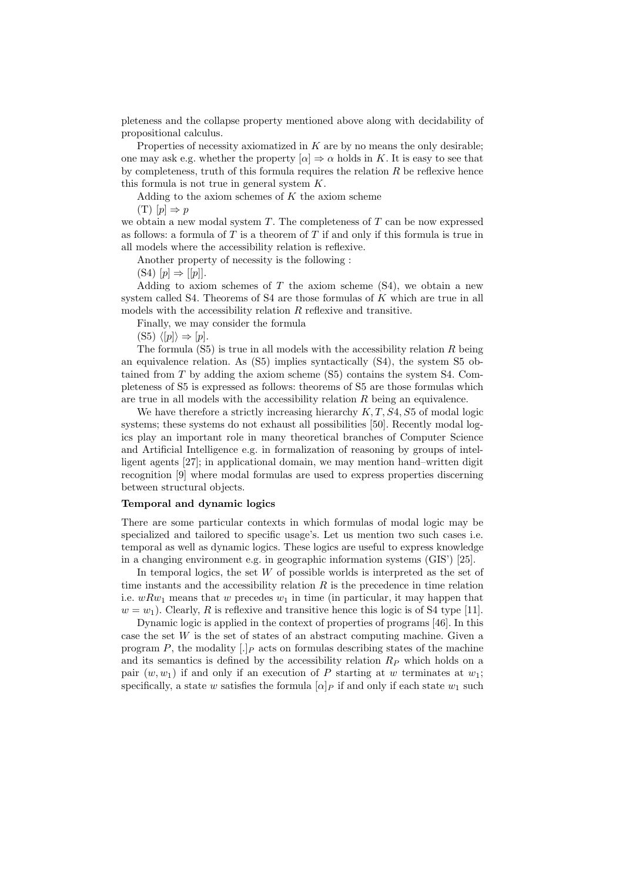pleteness and the collapse property mentioned above along with decidability of propositional calculus.

Properties of necessity axiomatized in  $K$  are by no means the only desirable: one may ask e.g. whether the property  $[\alpha] \Rightarrow \alpha$  holds in K. It is easy to see that by completeness, truth of this formula requires the relation  $R$  be reflexive hence this formula is not true in general system K.

Adding to the axiom schemes of  $K$  the axiom scheme

 $(T)$   $[p] \Rightarrow p$ 

we obtain a new modal system  $T$ . The completeness of  $T$  can be now expressed as follows: a formula of  $T$  is a theorem of  $T$  if and only if this formula is true in all models where the accessibility relation is reflexive.

Another property of necessity is the following :

 $(S4)$   $[p] \Rightarrow [[p]]$ .

Adding to axiom schemes of  $T$  the axiom scheme  $(S4)$ , we obtain a new system called S4. Theorems of S4 are those formulas of K which are true in all models with the accessibility relation R reflexive and transitive.

Finally, we may consider the formula

 $(S5) \langle [p] \rangle \Rightarrow [p].$ 

The formula  $(S5)$  is true in all models with the accessibility relation R being an equivalence relation. As (S5) implies syntactically (S4), the system S5 obtained from T by adding the axiom scheme (S5) contains the system S4. Completeness of S5 is expressed as follows: theorems of S5 are those formulas which are true in all models with the accessibility relation  $R$  being an equivalence.

We have therefore a strictly increasing hierarchy  $K, T, S4, S5$  of modal logic systems; these systems do not exhaust all possibilities [50]. Recently modal logics play an important role in many theoretical branches of Computer Science and Artificial Intelligence e.g. in formalization of reasoning by groups of intelligent agents [27]; in applicational domain, we may mention hand–written digit recognition [9] where modal formulas are used to express properties discerning between structural objects.

# Temporal and dynamic logics

There are some particular contexts in which formulas of modal logic may be specialized and tailored to specific usage's. Let us mention two such cases i.e. temporal as well as dynamic logics. These logics are useful to express knowledge in a changing environment e.g. in geographic information systems (GIS') [25].

In temporal logics, the set  $W$  of possible worlds is interpreted as the set of time instants and the accessibility relation  $R$  is the precedence in time relation i.e.  $wRw_1$  means that w precedes  $w_1$  in time (in particular, it may happen that  $w = w_1$ ). Clearly, R is reflexive and transitive hence this logic is of S4 type [11].

Dynamic logic is applied in the context of properties of programs [46]. In this case the set W is the set of states of an abstract computing machine. Given a program P, the modality  $[.]$  p acts on formulas describing states of the machine and its semantics is defined by the accessibility relation  $R_P$  which holds on a pair  $(w, w_1)$  if and only if an execution of P starting at w terminates at  $w_1$ ; specifically, a state w satisfies the formula  $[\alpha]_P$  if and only if each state  $w_1$  such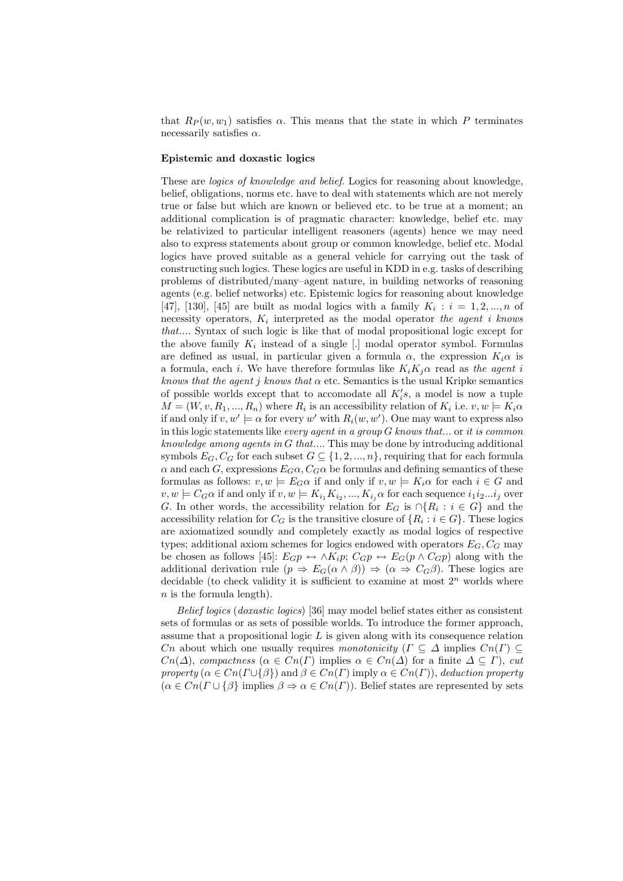that  $R_P(w, w_1)$  satisfies  $\alpha$ . This means that the state in which P terminates necessarily satisfies  $\alpha$ .

### Epistemic and doxastic logics

These are logics of knowledge and belief. Logics for reasoning about knowledge, belief, obligations, norms etc. have to deal with statements which are not merely true or false but which are known or believed etc. to be true at a moment; an additional complication is of pragmatic character: knowledge, belief etc. may be relativized to particular intelligent reasoners (agents) hence we may need also to express statements about group or common knowledge, belief etc. Modal logics have proved suitable as a general vehicle for carrying out the task of constructing such logics. These logics are useful in KDD in e.g. tasks of describing problems of distributed/many–agent nature, in building networks of reasoning agents (e.g. belief networks) etc. Epistemic logics for reasoning about knowledge [47], [130], [45] are built as modal logics with a family  $K_i : i = 1, 2, ..., n$  of necessity operators,  $K_i$  interpreted as the modal operator the agent i knows that.... Syntax of such logic is like that of modal propositional logic except for the above family  $K_i$  instead of a single [.] modal operator symbol. Formulas are defined as usual, in particular given a formula  $\alpha$ , the expression  $K_i\alpha$  is a formula, each i. We have therefore formulas like  $K_iK_j\alpha$  read as the agent i knows that the agent j knows that  $\alpha$  etc. Semantics is the usual Kripke semantics of possible worlds except that to accomodate all  $K_i's$ , a model is now a tuple  $M = (W, v, R_1, ..., R_n)$  where  $R_i$  is an accessibility relation of  $K_i$  i.e.  $v, w \models K_i \alpha$ if and only if  $v, w' \models \alpha$  for every w' with  $R_i(w, w')$ . One may want to express also in this logic statements like *every agent in a group G knows that...* or it is common knowledge among agents in  $G$  that.... This may be done by introducing additional symbols  $E_G, C_G$  for each subset  $G \subseteq \{1, 2, ..., n\}$ , requiring that for each formula  $\alpha$  and each G, expressions  $E_G \alpha$ ,  $C_G \alpha$  be formulas and defining semantics of these formulas as follows:  $v, w \models E_G \alpha$  if and only if  $v, w \models K_i \alpha$  for each  $i \in G$  and  $v, w \models C_G \alpha$  if and only if  $v, w \models K_{i_1} K_{i_2}, ..., K_{i_j} \alpha$  for each sequence  $i_1 i_2...i_j$  over G. In other words, the accessibility relation for  $E_G$  is  $\cap \{R_i : i \in G\}$  and the accessibility relation for  $C_G$  is the transitive closure of  $\{R_i : i \in G\}$ . These logics are axiomatized soundly and completely exactly as modal logics of respective types; additional axiom schemes for logics endowed with operators  $E_G$ ,  $C_G$  may be chosen as follows [45]:  $E_{GP} \leftrightarrow \wedge K_i p$ ;  $C_{GP} \leftrightarrow E_G(p \wedge C_{GP})$  along with the additional derivation rule  $(p \Rightarrow E_G(\alpha \wedge \beta)) \Rightarrow (\alpha \Rightarrow C_G\beta)$ . These logics are decidable (to check validity it is sufficient to examine at most  $2^n$  worlds where  $n$  is the formula length).

Belief logics (doxastic logics) [36] may model belief states either as consistent sets of formulas or as sets of possible worlds. To introduce the former approach, assume that a propositional logic  $L$  is given along with its consequence relation Cn about which one usually requires monotonicity ( $\Gamma \subset \Delta$  implies  $C_n(\Gamma) \subset$  $Cn(\Delta)$ , compactness  $(\alpha \in Cn(\Gamma))$  implies  $\alpha \in Cn(\Delta)$  for a finite  $\Delta \subseteq \Gamma$ ), cut property  $(\alpha \in C_n(\Gamma \cup \{\beta\})$  and  $\beta \in C_n(\Gamma)$  imply  $\alpha \in C_n(\Gamma)$ , deduction property  $(\alpha \in C_n(\Gamma \cup {\{\beta\}}))$  implies  $\beta \Rightarrow \alpha \in C_n(\Gamma)$ . Belief states are represented by sets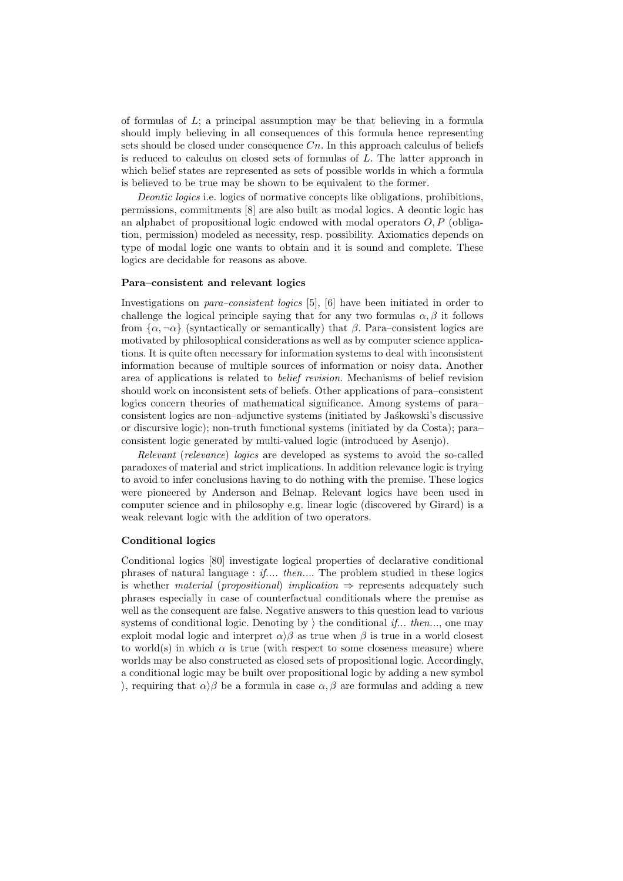of formulas of  $L$ ; a principal assumption may be that believing in a formula should imply believing in all consequences of this formula hence representing sets should be closed under consequence  $C_n$ . In this approach calculus of beliefs is reduced to calculus on closed sets of formulas of L. The latter approach in which belief states are represented as sets of possible worlds in which a formula is believed to be true may be shown to be equivalent to the former.

Deontic logics i.e. logics of normative concepts like obligations, prohibitions, permissions, commitments [8] are also built as modal logics. A deontic logic has an alphabet of propositional logic endowed with modal operators  $O, P$  (obligation, permission) modeled as necessity, resp. possibility. Axiomatics depends on type of modal logic one wants to obtain and it is sound and complete. These logics are decidable for reasons as above.

## Para–consistent and relevant logics

Investigations on para–consistent logics [5], [6] have been initiated in order to challenge the logical principle saying that for any two formulas  $\alpha, \beta$  it follows from  $\{\alpha, \neg \alpha\}$  (syntactically or semantically) that  $\beta$ . Para–consistent logics are motivated by philosophical considerations as well as by computer science applications. It is quite often necessary for information systems to deal with inconsistent information because of multiple sources of information or noisy data. Another area of applications is related to belief revision. Mechanisms of belief revision should work on inconsistent sets of beliefs. Other applications of para–consistent logics concern theories of mathematical significance. Among systems of para– consistent logics are non–adjunctive systems (initiated by Jaskowski's discussive or discursive logic); non-truth functional systems (initiated by da Costa); para– consistent logic generated by multi-valued logic (introduced by Asenjo).

Relevant (relevance) logics are developed as systems to avoid the so-called paradoxes of material and strict implications. In addition relevance logic is trying to avoid to infer conclusions having to do nothing with the premise. These logics were pioneered by Anderson and Belnap. Relevant logics have been used in computer science and in philosophy e.g. linear logic (discovered by Girard) is a weak relevant logic with the addition of two operators.

## Conditional logics

Conditional logics [80] investigate logical properties of declarative conditional phrases of natural language :  $if...$  then.... The problem studied in these logics is whether material (propositional) implication  $\Rightarrow$  represents adequately such phrases especially in case of counterfactual conditionals where the premise as well as the consequent are false. Negative answers to this question lead to various systems of conditional logic. Denoting by  $\rangle$  the conditional if... then..., one may exploit modal logic and interpret  $\alpha$ ) $\beta$  as true when  $\beta$  is true in a world closest to world(s) in which  $\alpha$  is true (with respect to some closeness measure) where worlds may be also constructed as closed sets of propositional logic. Accordingly, a conditional logic may be built over propositional logic by adding a new symbol ), requiring that  $\alpha$ ) $\beta$  be a formula in case  $\alpha$ ,  $\beta$  are formulas and adding a new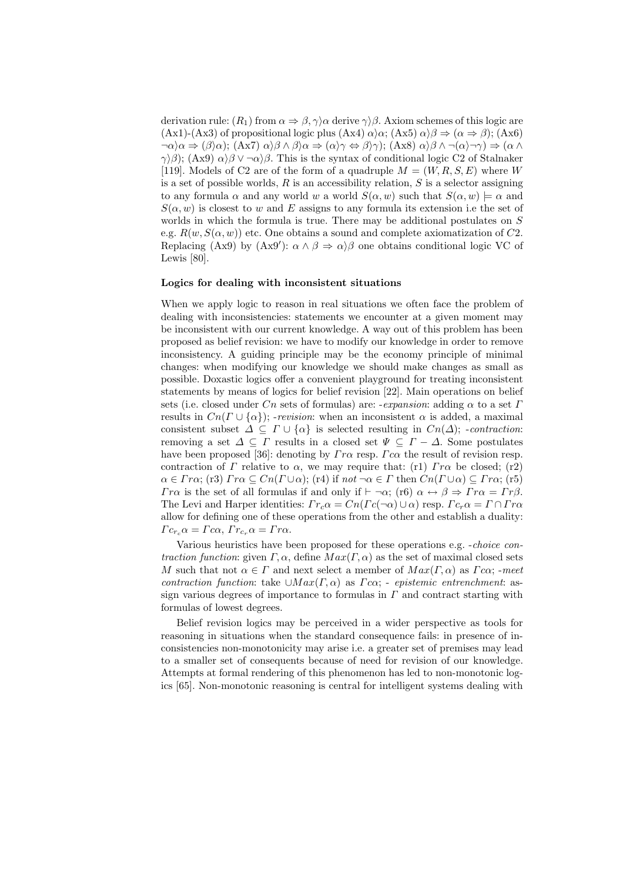derivation rule:  $(R_1)$  from  $\alpha \Rightarrow \beta, \gamma \alpha$  derive  $\gamma \beta$ . Axiom schemes of this logic are (Ax1)-(Ax3) of propositional logic plus (Ax4)  $\alpha$ ) $\alpha$ ; (Ax5)  $\alpha$ ) $\beta \Rightarrow (\alpha \Rightarrow \beta)$ ; (Ax6)  $\neg \alpha \rangle \alpha \Rightarrow (\beta \rangle \alpha);$   $(\text{Ax7}) \ \alpha \rangle \beta \land \beta \rangle \alpha \Rightarrow (\alpha \rangle \gamma \Leftrightarrow \beta \rangle \gamma);$   $(\text{Ax8}) \ \alpha \rangle \beta \land \neg (\alpha \rangle \neg \gamma) \Rightarrow (\alpha \land \beta \land \beta \land \neg (\alpha \rangle \neg \gamma))$  $\gamma(\beta)$ ; (Ax9)  $\alpha(\beta) \vee \neg \alpha(\beta)$ . This is the syntax of conditional logic C2 of Stalnaker [119]. Models of C2 are of the form of a quadruple  $M = (W, R, S, E)$  where W is a set of possible worlds,  $R$  is an accessibility relation,  $S$  is a selector assigning to any formula  $\alpha$  and any world w a world  $S(\alpha, w)$  such that  $S(\alpha, w) \models \alpha$  and  $S(\alpha, w)$  is closest to w and E assigns to any formula its extension i.e the set of worlds in which the formula is true. There may be additional postulates on S e.g.  $R(w, S(\alpha, w))$  etc. One obtains a sound and complete axiomatization of C2. Replacing (Ax9) by (Ax9'):  $\alpha \wedge \beta \Rightarrow \alpha$ ) $\beta$  one obtains conditional logic VC of Lewis [80].

## Logics for dealing with inconsistent situations

When we apply logic to reason in real situations we often face the problem of dealing with inconsistencies: statements we encounter at a given moment may be inconsistent with our current knowledge. A way out of this problem has been proposed as belief revision: we have to modify our knowledge in order to remove inconsistency. A guiding principle may be the economy principle of minimal changes: when modifying our knowledge we should make changes as small as possible. Doxastic logics offer a convenient playground for treating inconsistent statements by means of logics for belief revision [22]. Main operations on belief sets (i.e. closed under Cn sets of formulas) are: -expansion: adding  $\alpha$  to a set  $\Gamma$ results in  $Cn(\Gamma \cup \{\alpha\})$ ; -revision: when an inconsistent  $\alpha$  is added, a maximal consistent subset  $\Delta \subseteq \Gamma \cup \{\alpha\}$  is selected resulting in  $C_n(\Delta)$ ; -contraction: removing a set  $\Delta \subseteq \Gamma$  results in a closed set  $\Psi \subseteq \Gamma - \Delta$ . Some postulates have been proposed [36]: denoting by  $Tr\alpha$  resp.  $Tr\alpha$  the result of revision resp. contraction of  $\Gamma$  relative to  $\alpha$ , we may require that: (r1)  $\Gamma r \alpha$  be closed; (r2)  $\alpha \in \Gamma$ r $\alpha$ ; (r3)  $\Gamma$ r $\alpha \subseteq Cn(\Gamma \cup \alpha)$ ; (r4) if  $not \neg \alpha \in \Gamma$  then  $Cn(\Gamma \cup \alpha) \subseteq \Gamma$ r $\alpha$ ; (r5) Tra is the set of all formulas if and only if  $\vdash \neg \alpha$ ; (r6)  $\alpha \leftrightarrow \beta \Rightarrow \Gamma r \alpha = \Gamma r \beta$ . The Levi and Harper identities:  $\Gamma r_c \alpha = C n (\Gamma c (\neg \alpha) \cup \alpha)$  resp.  $\Gamma c_r \alpha = \Gamma \cap \Gamma r \alpha$ allow for defining one of these operations from the other and establish a duality:  $\Gamma c_{r_c} \alpha = \Gamma c \alpha$ ,  $\Gamma r_{c_r} \alpha = \Gamma r \alpha$ .

Various heuristics have been proposed for these operations e.g. -choice contraction function: given  $\Gamma, \alpha$ , define  $Max(\Gamma, \alpha)$  as the set of maximal closed sets M such that not  $\alpha \in \Gamma$  and next select a member of  $Max(\Gamma, \alpha)$  as  $T c \alpha$ ; -meet contraction function: take  $\cup Max(\Gamma, \alpha)$  as  $Tca$ ; - epistemic entrenchment: assign various degrees of importance to formulas in  $\Gamma$  and contract starting with formulas of lowest degrees.

Belief revision logics may be perceived in a wider perspective as tools for reasoning in situations when the standard consequence fails: in presence of inconsistencies non-monotonicity may arise i.e. a greater set of premises may lead to a smaller set of consequents because of need for revision of our knowledge. Attempts at formal rendering of this phenomenon has led to non-monotonic logics [65]. Non-monotonic reasoning is central for intelligent systems dealing with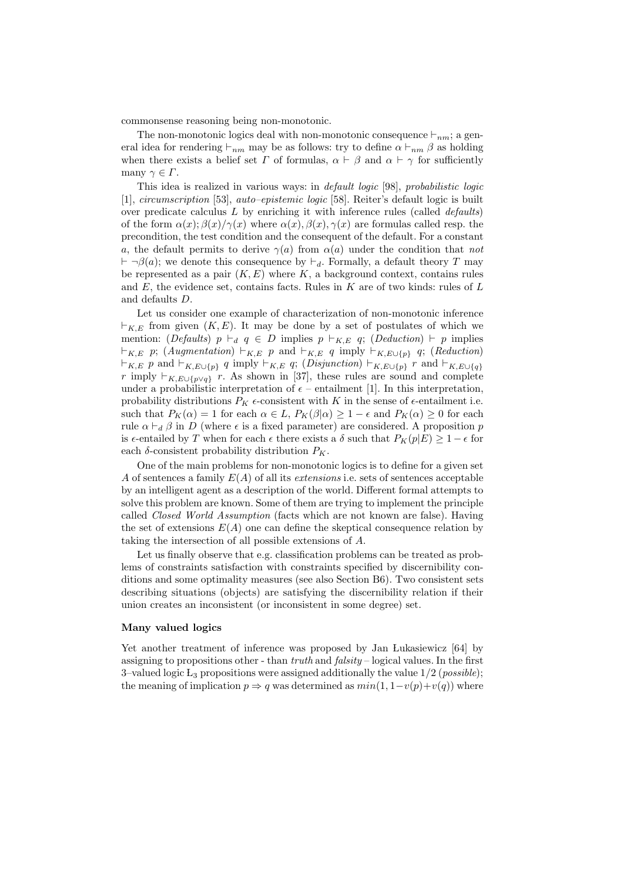commonsense reasoning being non-monotonic.

The non-monotonic logics deal with non-monotonic consequence  $\vdash_{nm}$ ; a general idea for rendering  $\vdash_{nm}$  may be as follows: try to define  $\alpha \vdash_{nm} \beta$  as holding when there exists a belief set  $\Gamma$  of formulas,  $\alpha \vdash \beta$  and  $\alpha \vdash \gamma$  for sufficiently many  $\gamma \in \Gamma$ .

This idea is realized in various ways: in default logic [98], probabilistic logic [1], circumscription [53], auto–epistemic logic [58]. Reiter's default logic is built over predicate calculus  $L$  by enriching it with inference rules (called *defaults*) of the form  $\alpha(x)$ ;  $\beta(x)/\gamma(x)$  where  $\alpha(x)$ ,  $\beta(x)$ ,  $\gamma(x)$  are formulas called resp. the precondition, the test condition and the consequent of the default. For a constant a, the default permits to derive  $\gamma(a)$  from  $\alpha(a)$  under the condition that not  $\vdash \neg \beta(a)$ ; we denote this consequence by  $\vdash_d$ . Formally, a default theory T may be represented as a pair  $(K, E)$  where K, a background context, contains rules and  $E$ , the evidence set, contains facts. Rules in  $K$  are of two kinds: rules of  $L$ and defaults D.

Let us consider one example of characterization of non-monotonic inference  $\vdash_{K,E}$  from given  $(K,E)$ . It may be done by a set of postulates of which we mention: (Defaults)  $p \vdash_d q \in D$  implies  $p \vdash_{K,E} q$ ; (Deduction) ⊢ p implies  $\vdash_{K,E} p$ ; (Augmentation)  $\vdash_{K,E} p$  and  $\vdash_{K,E} q$  imply  $\vdash_{K,E\cup\{p\}} q$ ; (Reduction)  $\vdash_{K,E} p$  and  $\vdash_{K,E\cup\{p\}} q$  imply  $\vdash_{K,E} q$ ; (Disjunction)  $\vdash_{K,E\cup\{p\}} r$  and  $\vdash_{K,E\cup\{q\}}$ r imply  $\vdash_{K,E\cup\{p\vee q\}} r$ . As shown in [37], these rules are sound and complete under a probabilistic interpretation of  $\epsilon$  – entailment [1]. In this interpretation, probability distributions  $P_K$   $\epsilon$ -consistent with K in the sense of  $\epsilon$ -entailment i.e. such that  $P_K(\alpha) = 1$  for each  $\alpha \in L$ ,  $P_K(\beta|\alpha) \geq 1 - \epsilon$  and  $P_K(\alpha) \geq 0$  for each rule  $\alpha \vdash_d \beta$  in D (where  $\epsilon$  is a fixed parameter) are considered. A proposition p is  $\epsilon$ -entailed by T when for each  $\epsilon$  there exists a  $\delta$  such that  $P_K(p|E) \geq 1 - \epsilon$  for each  $\delta$ -consistent probability distribution  $P_K$ .

One of the main problems for non-monotonic logics is to define for a given set A of sentences a family  $E(A)$  of all its *extensions* i.e. sets of sentences acceptable by an intelligent agent as a description of the world. Different formal attempts to solve this problem are known. Some of them are trying to implement the principle called Closed World Assumption (facts which are not known are false). Having the set of extensions  $E(A)$  one can define the skeptical consequence relation by taking the intersection of all possible extensions of A.

Let us finally observe that e.g. classification problems can be treated as problems of constraints satisfaction with constraints specified by discernibility conditions and some optimality measures (see also Section B6). Two consistent sets describing situations (objects) are satisfying the discernibility relation if their union creates an inconsistent (or inconsistent in some degree) set.

#### Many valued logics

Yet another treatment of inference was proposed by Jan Lukasiewicz [64] by assigning to propositions other - than  $truth$  and  $falsity$  – logical values. In the first 3–valued logic  $L_3$  propositions were assigned additionally the value  $1/2$  (*possible*); the meaning of implication  $p \Rightarrow q$  was determined as  $min(1, 1-v(p)+v(q))$  where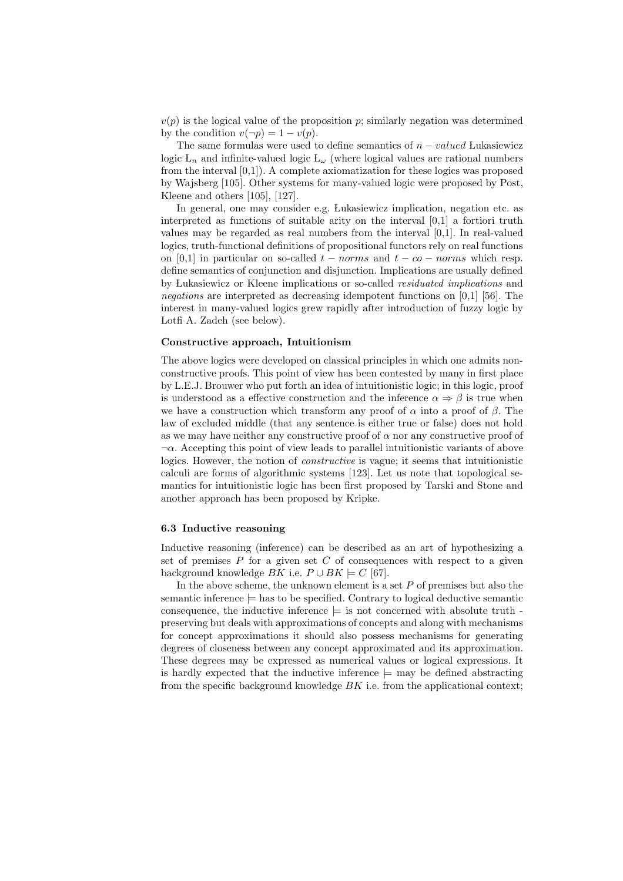$v(p)$  is the logical value of the proposition p; similarly negation was determined by the condition  $v(\neg p) = 1 - v(p)$ .

The same formulas were used to define semantics of  $n - valued$  Lukasiewicz logic  $L_n$  and infinite-valued logic  $L_\omega$  (where logical values are rational numbers from the interval [0,1]). A complete axiomatization for these logics was proposed by Wajsberg [105]. Other systems for many-valued logic were proposed by Post, Kleene and others [105], [127].

In general, one may consider e.g. Lukasiewicz implication, negation etc. as interpreted as functions of suitable arity on the interval [0,1] a fortiori truth values may be regarded as real numbers from the interval [0,1]. In real-valued logics, truth-functional definitions of propositional functors rely on real functions on [0,1] in particular on so-called  $t - norms$  and  $t - co - norms$  which resp. define semantics of conjunction and disjunction. Implications are usually defined by Lukasiewicz or Kleene implications or so-called residuated implications and negations are interpreted as decreasing idempotent functions on [0,1] [56]. The interest in many-valued logics grew rapidly after introduction of fuzzy logic by Lotfi A. Zadeh (see below).

#### Constructive approach, Intuitionism

The above logics were developed on classical principles in which one admits nonconstructive proofs. This point of view has been contested by many in first place by L.E.J. Brouwer who put forth an idea of intuitionistic logic; in this logic, proof is understood as a effective construction and the inference  $\alpha \Rightarrow \beta$  is true when we have a construction which transform any proof of  $\alpha$  into a proof of  $\beta$ . The law of excluded middle (that any sentence is either true or false) does not hold as we may have neither any constructive proof of  $\alpha$  nor any constructive proof of  $\neg \alpha$ . Accepting this point of view leads to parallel intuitionistic variants of above logics. However, the notion of constructive is vague; it seems that intuitionistic calculi are forms of algorithmic systems [123]. Let us note that topological semantics for intuitionistic logic has been first proposed by Tarski and Stone and another approach has been proposed by Kripke.

## 6.3 Inductive reasoning

Inductive reasoning (inference) can be described as an art of hypothesizing a set of premises  $P$  for a given set  $C$  of consequences with respect to a given background knowledge BK i.e.  $P \cup BK \models C$  [67].

In the above scheme, the unknown element is a set  $P$  of premises but also the semantic inference  $\models$  has to be specified. Contrary to logical deductive semantic consequence, the inductive inference  $\models$  is not concerned with absolute truth preserving but deals with approximations of concepts and along with mechanisms for concept approximations it should also possess mechanisms for generating degrees of closeness between any concept approximated and its approximation. These degrees may be expressed as numerical values or logical expressions. It is hardly expected that the inductive inference  $\models$  may be defined abstracting from the specific background knowledge  $BK$  i.e. from the applicational context;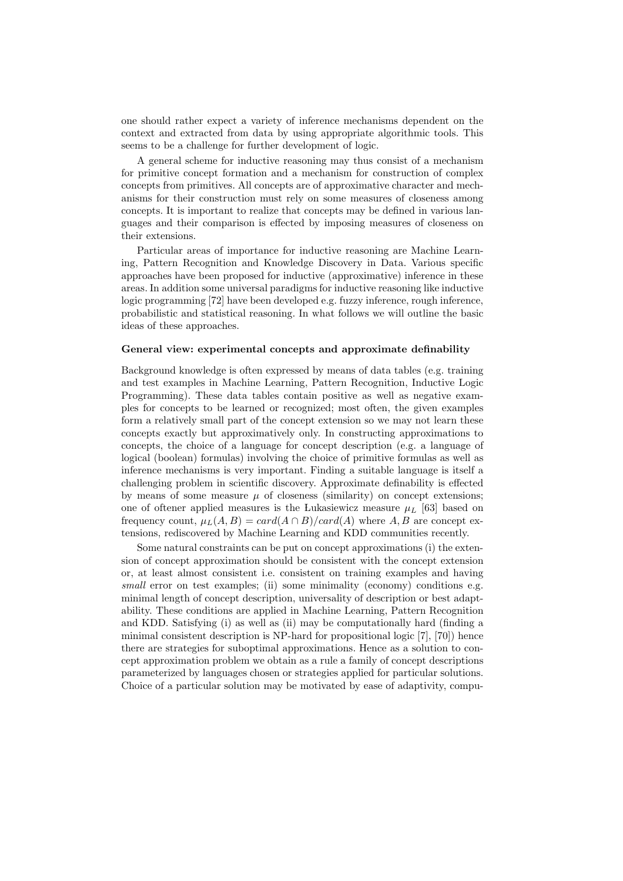one should rather expect a variety of inference mechanisms dependent on the context and extracted from data by using appropriate algorithmic tools. This seems to be a challenge for further development of logic.

A general scheme for inductive reasoning may thus consist of a mechanism for primitive concept formation and a mechanism for construction of complex concepts from primitives. All concepts are of approximative character and mechanisms for their construction must rely on some measures of closeness among concepts. It is important to realize that concepts may be defined in various languages and their comparison is effected by imposing measures of closeness on their extensions.

Particular areas of importance for inductive reasoning are Machine Learning, Pattern Recognition and Knowledge Discovery in Data. Various specific approaches have been proposed for inductive (approximative) inference in these areas. In addition some universal paradigms for inductive reasoning like inductive logic programming [72] have been developed e.g. fuzzy inference, rough inference, probabilistic and statistical reasoning. In what follows we will outline the basic ideas of these approaches.

# General view: experimental concepts and approximate definability

Background knowledge is often expressed by means of data tables (e.g. training and test examples in Machine Learning, Pattern Recognition, Inductive Logic Programming). These data tables contain positive as well as negative examples for concepts to be learned or recognized; most often, the given examples form a relatively small part of the concept extension so we may not learn these concepts exactly but approximatively only. In constructing approximations to concepts, the choice of a language for concept description (e.g. a language of logical (boolean) formulas) involving the choice of primitive formulas as well as inference mechanisms is very important. Finding a suitable language is itself a challenging problem in scientific discovery. Approximate definability is effected by means of some measure  $\mu$  of closeness (similarity) on concept extensions; one of oftener applied measures is the Lukasiewicz measure  $\mu_L$  [63] based on frequency count,  $\mu_L(A, B) = \text{card}(A \cap B)/\text{card}(A)$  where A, B are concept extensions, rediscovered by Machine Learning and KDD communities recently.

Some natural constraints can be put on concept approximations (i) the extension of concept approximation should be consistent with the concept extension or, at least almost consistent i.e. consistent on training examples and having small error on test examples; (ii) some minimality (economy) conditions e.g. minimal length of concept description, universality of description or best adaptability. These conditions are applied in Machine Learning, Pattern Recognition and KDD. Satisfying (i) as well as (ii) may be computationally hard (finding a minimal consistent description is NP-hard for propositional logic [7], [70]) hence there are strategies for suboptimal approximations. Hence as a solution to concept approximation problem we obtain as a rule a family of concept descriptions parameterized by languages chosen or strategies applied for particular solutions. Choice of a particular solution may be motivated by ease of adaptivity, compu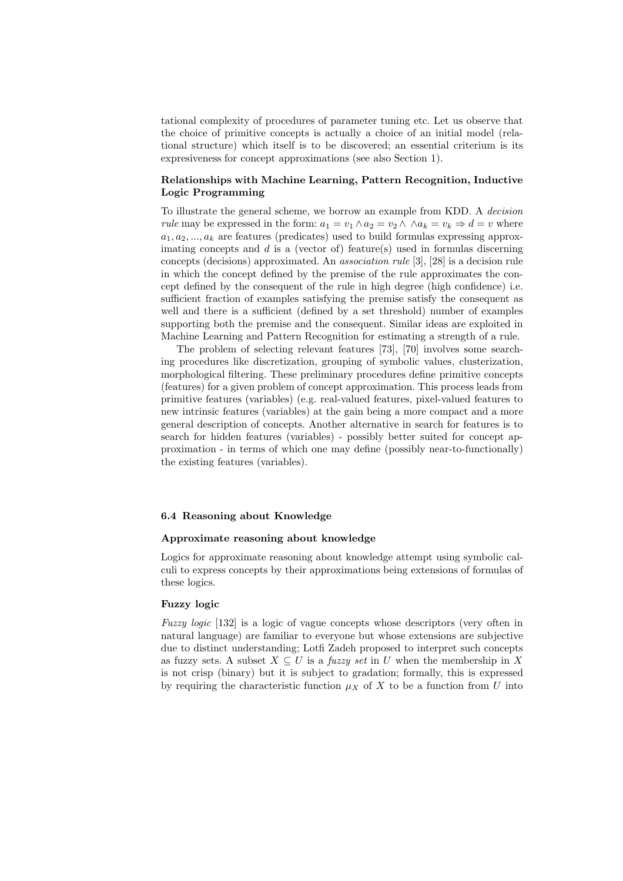tational complexity of procedures of parameter tuning etc. Let us observe that the choice of primitive concepts is actually a choice of an initial model (relational structure) which itself is to be discovered; an essential criterium is its expresiveness for concept approximations (see also Section 1).

# Relationships with Machine Learning, Pattern Recognition, Inductive Logic Programming

To illustrate the general scheme, we borrow an example from KDD. A decision *rule* may be expressed in the form:  $a_1 = v_1 \wedge a_2 = v_2 \wedge \wedge a_k = v_k \Rightarrow d = v$  where  $a_1, a_2, \ldots, a_k$  are features (predicates) used to build formulas expressing approximating concepts and  $d$  is a (vector of) feature(s) used in formulas discerning concepts (decisions) approximated. An association rule [3], [28] is a decision rule in which the concept defined by the premise of the rule approximates the concept defined by the consequent of the rule in high degree (high confidence) i.e. sufficient fraction of examples satisfying the premise satisfy the consequent as well and there is a sufficient (defined by a set threshold) number of examples supporting both the premise and the consequent. Similar ideas are exploited in Machine Learning and Pattern Recognition for estimating a strength of a rule.

The problem of selecting relevant features [73], [70] involves some searching procedures like discretization, grouping of symbolic values, clusterization, morphological filtering. These preliminary procedures define primitive concepts (features) for a given problem of concept approximation. This process leads from primitive features (variables) (e.g. real-valued features, pixel-valued features to new intrinsic features (variables) at the gain being a more compact and a more general description of concepts. Another alternative in search for features is to search for hidden features (variables) - possibly better suited for concept approximation - in terms of which one may define (possibly near-to-functionally) the existing features (variables).

#### 6.4 Reasoning about Knowledge

## Approximate reasoning about knowledge

Logics for approximate reasoning about knowledge attempt using symbolic calculi to express concepts by their approximations being extensions of formulas of these logics.

## Fuzzy logic

Fuzzy logic [132] is a logic of vague concepts whose descriptors (very often in natural language) are familiar to everyone but whose extensions are subjective due to distinct understanding; Lotfi Zadeh proposed to interpret such concepts as fuzzy sets. A subset  $X \subseteq U$  is a *fuzzy set* in U when the membership in X is not crisp (binary) but it is subject to gradation; formally, this is expressed by requiring the characteristic function  $\mu_X$  of X to be a function from U into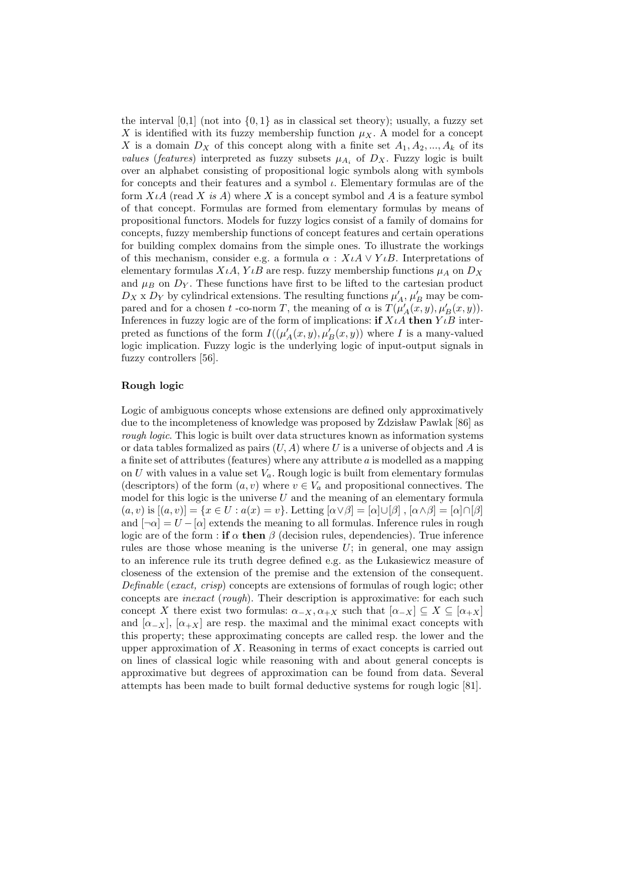the interval  $[0,1]$  (not into  $\{0,1\}$  as in classical set theory); usually, a fuzzy set X is identified with its fuzzy membership function  $\mu_X$ . A model for a concept X is a domain  $D_X$  of this concept along with a finite set  $A_1, A_2, ..., A_k$  of its *values (features)* interpreted as fuzzy subsets  $\mu_{A_i}$  of  $D_X$ . Fuzzy logic is built over an alphabet consisting of propositional logic symbols along with symbols for concepts and their features and a symbol  $\iota$ . Elementary formulas are of the form  $X\iota A$  (read X is A) where X is a concept symbol and A is a feature symbol of that concept. Formulas are formed from elementary formulas by means of propositional functors. Models for fuzzy logics consist of a family of domains for concepts, fuzzy membership functions of concept features and certain operations for building complex domains from the simple ones. To illustrate the workings of this mechanism, consider e.g. a formula  $\alpha$  :  $X\iota A \vee Y\iota B$ . Interpretations of elementary formulas  $X \iota A$ ,  $Y \iota B$  are resp. fuzzy membership functions  $\mu_A$  on  $D_X$ and  $\mu_B$  on  $D_Y$ . These functions have first to be lifted to the cartesian product  $D_X \times D_Y$  by cylindrical extensions. The resulting functions  $\mu'_A$ ,  $\mu'_B$  may be compared and for a chosen t-co-norm T, the meaning of  $\alpha$  is  $T(\mu'_{A}(x, y), \mu'_{B}(x, y)).$ Inferences in fuzzy logic are of the form of implications: if  $X_iA$  then  $Y_iB$  interpreted as functions of the form  $I((\mu'_A(x,y), \mu'_B(x,y))$  where I is a many-valued logic implication. Fuzzy logic is the underlying logic of input-output signals in fuzzy controllers [56].

## Rough logic

Logic of ambiguous concepts whose extensions are defined only approximatively due to the incompleteness of knowledge was proposed by Zdzisław Pawlak [86] as rough logic. This logic is built over data structures known as information systems or data tables formalized as pairs  $(U, A)$  where U is a universe of objects and A is a finite set of attributes (features) where any attribute a is modelled as a mapping on  $U$  with values in a value set  $V_a$ . Rough logic is built from elementary formulas (descriptors) of the form  $(a, v)$  where  $v \in V_a$  and propositional connectives. The model for this logic is the universe  $U$  and the meaning of an elementary formula  $(a, v)$  is  $[(a, v)] = \{x \in U : a(x) = v\}$ . Letting  $[\alpha \vee \beta] = [\alpha] \cup [\beta]$ ,  $[\alpha \wedge \beta] = [\alpha] \cap [\beta]$ and  $[\neg \alpha] = U - [\alpha]$  extends the meaning to all formulas. Inference rules in rough logic are of the form : if  $\alpha$  then  $\beta$  (decision rules, dependencies). True inference rules are those whose meaning is the universe  $U$ ; in general, one may assign to an inference rule its truth degree defined e.g. as the Lukasiewicz measure of closeness of the extension of the premise and the extension of the consequent. Definable (exact, crisp) concepts are extensions of formulas of rough logic; other concepts are inexact (rough). Their description is approximative: for each such concept X there exist two formulas:  $\alpha_{-X}, \alpha_{+X}$  such that  $[\alpha_{-X}] \subseteq X \subseteq [\alpha_{+X}]$ and  $[\alpha_{-X}], [\alpha_{+X}]$  are resp. the maximal and the minimal exact concepts with this property; these approximating concepts are called resp. the lower and the upper approximation of  $X$ . Reasoning in terms of exact concepts is carried out on lines of classical logic while reasoning with and about general concepts is approximative but degrees of approximation can be found from data. Several attempts has been made to built formal deductive systems for rough logic [81].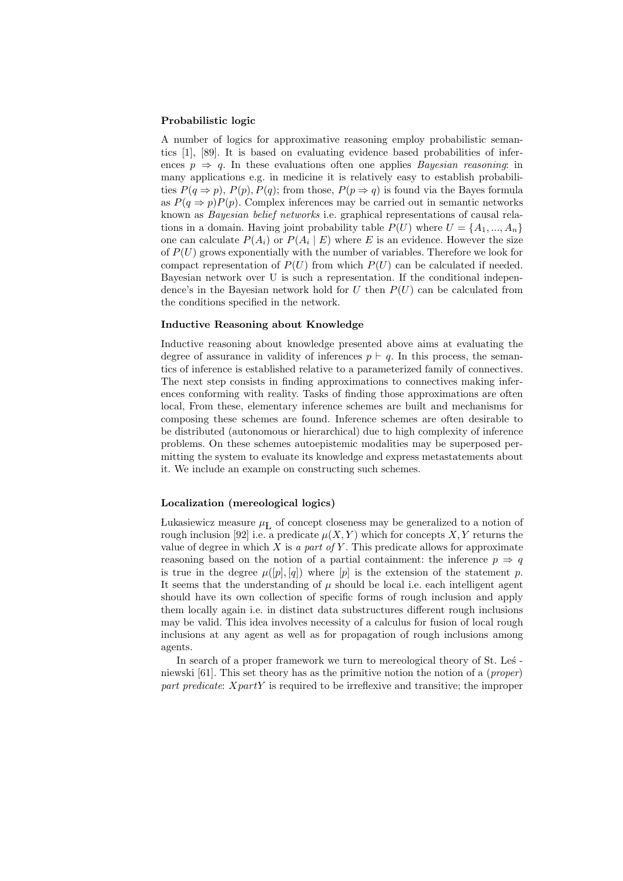# Probabilistic logic

A number of logics for approximative reasoning employ probabilistic semantics [1], [89]. It is based on evaluating evidence based probabilities of inferences  $p \Rightarrow q$ . In these evaluations often one applies *Bayesian reasoning*: in many applications e.g. in medicine it is relatively easy to establish probabilities  $P(q \Rightarrow p)$ ,  $P(p)$ ,  $P(q)$ ; from those,  $P(p \Rightarrow q)$  is found via the Bayes formula as  $P(q \Rightarrow p)P(p)$ . Complex inferences may be carried out in semantic networks known as Bayesian belief networks i.e. graphical representations of causal relations in a domain. Having joint probability table  $P(U)$  where  $U = \{A_1, ..., A_n\}$ one can calculate  $P(A_i)$  or  $P(A_i | E)$  where E is an evidence. However the size of  $P(U)$  grows exponentially with the number of variables. Therefore we look for compact representation of  $P(U)$  from which  $P(U)$  can be calculated if needed. Bayesian network over U is such a representation. If the conditional independence's in the Bayesian network hold for U then  $P(U)$  can be calculated from the conditions specified in the network.

## Inductive Reasoning about Knowledge

Inductive reasoning about knowledge presented above aims at evaluating the degree of assurance in validity of inferences  $p \vdash q$ . In this process, the semantics of inference is established relative to a parameterized family of connectives. The next step consists in finding approximations to connectives making inferences conforming with reality. Tasks of finding those approximations are often local, From these, elementary inference schemes are built and mechanisms for composing these schemes are found. Inference schemes are often desirable to be distributed (autonomous or hierarchical) due to high complexity of inference problems. On these schemes autoepistemic modalities may be superposed permitting the system to evaluate its knowledge and express metastatements about it. We include an example on constructing such schemes.

## Localization (mereological logics)

Lukasiewicz measure  $\mu$ <sub>L</sub> of concept closeness may be generalized to a notion of rough inclusion [92] i.e. a predicate  $\mu(X, Y)$  which for concepts X, Y returns the value of degree in which  $X$  is a part of Y. This predicate allows for approximate reasoning based on the notion of a partial containment: the inference  $p \Rightarrow q$ is true in the degree  $\mu([p], [q])$  where  $[p]$  is the extension of the statement p. It seems that the understanding of  $\mu$  should be local i.e. each intelligent agent should have its own collection of specific forms of rough inclusion and apply them locally again i.e. in distinct data substructures different rough inclusions may be valid. This idea involves necessity of a calculus for fusion of local rough inclusions at any agent as well as for propagation of rough inclusions among agents.

In search of a proper framework we turn to mereological theory of St. Les niewski [61]. This set theory has as the primitive notion the notion of a (proper) part predicate:  $XpartY$  is required to be irreflexive and transitive; the improper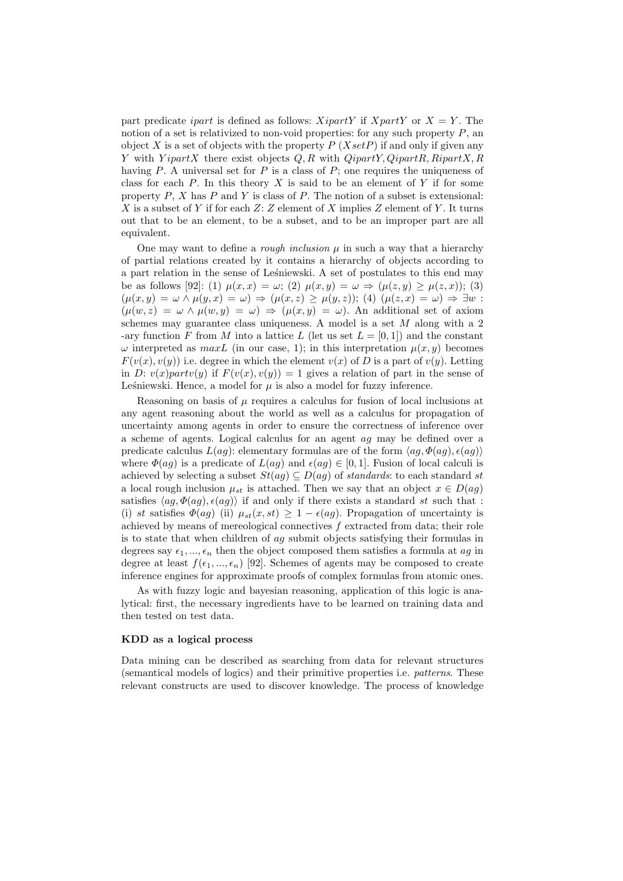part predicate *ipart* is defined as follows: *XipartY* if *XpartY* or  $X = Y$ . The notion of a set is relativized to non-void properties: for any such property  $P$ , an object X is a set of objects with the property  $P(XsetP)$  if and only if given any Y with YipartX there exist objects  $Q, R$  with  $QipartY, QipartR, RipartX, R$ having  $P$ . A universal set for  $P$  is a class of  $P$ ; one requires the uniqueness of class for each  $P$ . In this theory  $X$  is said to be an element of  $Y$  if for some property  $P$ ,  $X$  has  $P$  and  $Y$  is class of  $P$ . The notion of a subset is extensional: X is a subset of Y if for each Z: Z element of X implies Z element of Y. It turns out that to be an element, to be a subset, and to be an improper part are all equivalent.

One may want to define a *rough inclusion*  $\mu$  in such a way that a hierarchy of partial relations created by it contains a hierarchy of objects according to a part relation in the sense of Lesniewski. A set of postulates to this end may be as follows [92]: (1)  $\mu(x,x) = \omega$ ; (2)  $\mu(x,y) = \omega \Rightarrow (\mu(z,y) \ge \mu(z,x))$ ; (3)  $(\mu(x, y) = \omega \wedge \mu(y, x) = \omega) \Rightarrow (\mu(x, z) \ge \mu(y, z));$  (4)  $(\mu(z, x) = \omega) \Rightarrow \exists w$ :  $(\mu(w, z) = \omega \wedge \mu(w, y) = \omega) \Rightarrow (\mu(x, y) = \omega)$ . An additional set of axiom schemes may guarantee class uniqueness. A model is a set M along with a 2 -ary function F from M into a lattice L (let us set  $L = [0, 1]$ ) and the constant  $\omega$  interpreted as maxL (in our case, 1); in this interpretation  $\mu(x, y)$  becomes  $F(v(x), v(y))$  i.e. degree in which the element  $v(x)$  of D is a part of  $v(y)$ . Letting in D:  $v(x)$  part $v(y)$  if  $F(v(x), v(y)) = 1$  gives a relation of part in the sense of Leśniewski. Hence, a model for  $\mu$  is also a model for fuzzy inference.

Reasoning on basis of  $\mu$  requires a calculus for fusion of local inclusions at any agent reasoning about the world as well as a calculus for propagation of uncertainty among agents in order to ensure the correctness of inference over a scheme of agents. Logical calculus for an agent ag may be defined over a predicate calculus  $L(ag)$ : elementary formulas are of the form  $\langle ag, \Phi(gg), \epsilon(gg) \rangle$ where  $\Phi(ag)$  is a predicate of  $L(ag)$  and  $\epsilon(ag) \in [0, 1]$ . Fusion of local calculi is achieved by selecting a subset  $St(ag) \subseteq D(ag)$  of standards: to each standard st a local rough inclusion  $\mu_{st}$  is attached. Then we say that an object  $x \in D(ag)$ satisfies  $\langle ag, \Phi(ag), \epsilon(ag)\rangle$  if and only if there exists a standard st such that : (i) st satisfies  $\Phi(ag)$  (ii)  $\mu_{st}(x, st) \geq 1 - \epsilon(ag)$ . Propagation of uncertainty is achieved by means of mereological connectives  $f$  extracted from data; their role is to state that when children of ag submit objects satisfying their formulas in degrees say  $\epsilon_1, ..., \epsilon_n$  then the object composed them satisfies a formula at ag in degree at least  $f(\epsilon_1, ..., \epsilon_n)$  [92]. Schemes of agents may be composed to create inference engines for approximate proofs of complex formulas from atomic ones.

As with fuzzy logic and bayesian reasoning, application of this logic is analytical: first, the necessary ingredients have to be learned on training data and then tested on test data.

## KDD as a logical process

Data mining can be described as searching from data for relevant structures (semantical models of logics) and their primitive properties i.e. patterns. These relevant constructs are used to discover knowledge. The process of knowledge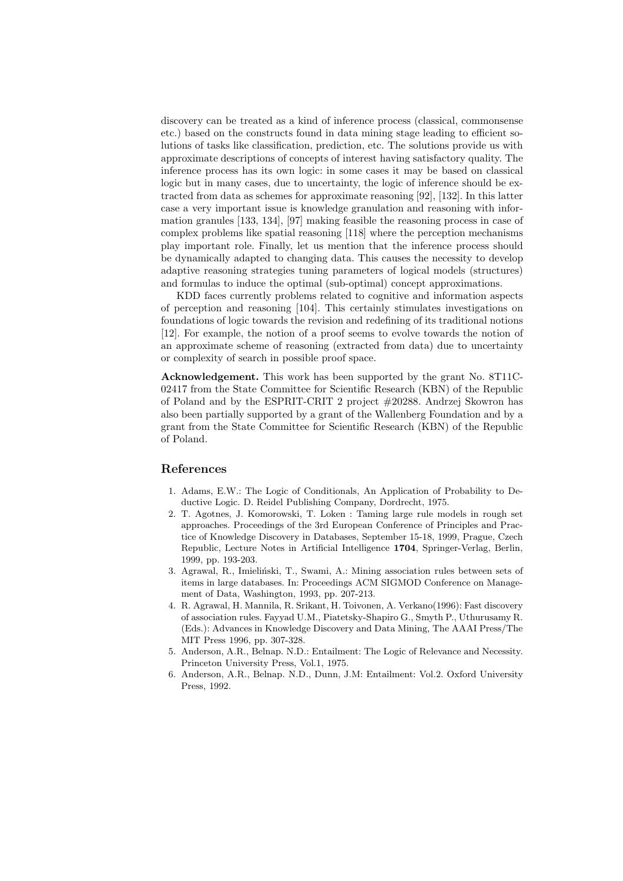discovery can be treated as a kind of inference process (classical, commonsense etc.) based on the constructs found in data mining stage leading to efficient solutions of tasks like classification, prediction, etc. The solutions provide us with approximate descriptions of concepts of interest having satisfactory quality. The inference process has its own logic: in some cases it may be based on classical logic but in many cases, due to uncertainty, the logic of inference should be extracted from data as schemes for approximate reasoning [92], [132]. In this latter case a very important issue is knowledge granulation and reasoning with information granules [133, 134], [97] making feasible the reasoning process in case of complex problems like spatial reasoning [118] where the perception mechanisms play important role. Finally, let us mention that the inference process should be dynamically adapted to changing data. This causes the necessity to develop adaptive reasoning strategies tuning parameters of logical models (structures) and formulas to induce the optimal (sub-optimal) concept approximations.

KDD faces currently problems related to cognitive and information aspects of perception and reasoning [104]. This certainly stimulates investigations on foundations of logic towards the revision and redefining of its traditional notions [12]. For example, the notion of a proof seems to evolve towards the notion of an approximate scheme of reasoning (extracted from data) due to uncertainty or complexity of search in possible proof space.

Acknowledgement. This work has been supported by the grant No. 8T11C-02417 from the State Committee for Scientific Research (KBN) of the Republic of Poland and by the ESPRIT-CRIT 2 project #20288. Andrzej Skowron has also been partially supported by a grant of the Wallenberg Foundation and by a grant from the State Committee for Scientific Research (KBN) of the Republic of Poland.

## References

- 1. Adams, E.W.: The Logic of Conditionals, An Application of Probability to Deductive Logic. D. Reidel Publishing Company, Dordrecht, 1975.
- 2. T. Agotnes, J. Komorowski, T. Loken : Taming large rule models in rough set approaches. Proceedings of the 3rd European Conference of Principles and Practice of Knowledge Discovery in Databases, September 15-18, 1999, Prague, Czech Republic, Lecture Notes in Artificial Intelligence 1704, Springer-Verlag, Berlin, 1999, pp. 193-203.
- 3. Agrawal, R., Imieliński, T., Swami, A.: Mining association rules between sets of items in large databases. In: Proceedings ACM SIGMOD Conference on Management of Data, Washington, 1993, pp. 207-213.
- 4. R. Agrawal, H. Mannila, R. Srikant, H. Toivonen, A. Verkano(1996): Fast discovery of association rules. Fayyad U.M., Piatetsky-Shapiro G., Smyth P., Uthurusamy R. (Eds.): Advances in Knowledge Discovery and Data Mining, The AAAI Press/The MIT Press 1996, pp. 307-328.
- 5. Anderson, A.R., Belnap. N.D.: Entailment: The Logic of Relevance and Necessity. Princeton University Press, Vol.1, 1975.
- 6. Anderson, A.R., Belnap. N.D., Dunn, J.M: Entailment: Vol.2. Oxford University Press, 1992.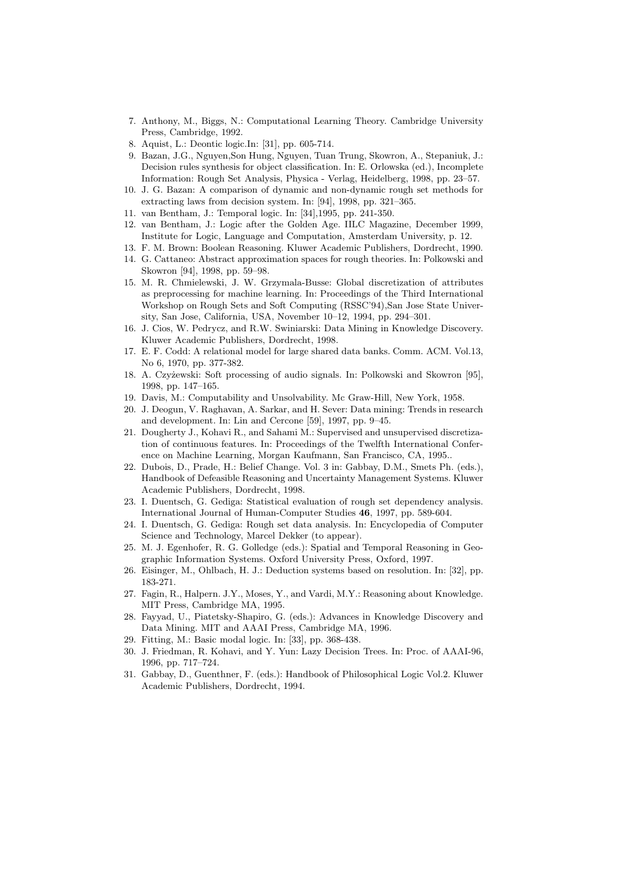- 7. Anthony, M., Biggs, N.: Computational Learning Theory. Cambridge University Press, Cambridge, 1992.
- 8. Aquist, L.: Deontic logic.In: [31], pp. 605-714.
- 9. Bazan, J.G., Nguyen,Son Hung, Nguyen, Tuan Trung, Skowron, A., Stepaniuk, J.: Decision rules synthesis for object classification. In: E. Orlowska (ed.), Incomplete Information: Rough Set Analysis, Physica - Verlag, Heidelberg, 1998, pp. 23–57.
- 10. J. G. Bazan: A comparison of dynamic and non-dynamic rough set methods for extracting laws from decision system. In: [94], 1998, pp. 321–365.
- 11. van Bentham, J.: Temporal logic. In: [34],1995, pp. 241-350.
- 12. van Bentham, J.: Logic after the Golden Age. IILC Magazine, December 1999, Institute for Logic, Language and Computation, Amsterdam University, p. 12.
- 13. F. M. Brown: Boolean Reasoning. Kluwer Academic Publishers, Dordrecht, 1990. 14. G. Cattaneo: Abstract approximation spaces for rough theories. In: Polkowski and Skowron [94], 1998, pp. 59–98.
- 15. M. R. Chmielewski, J. W. Grzymala-Busse: Global discretization of attributes as preprocessing for machine learning. In: Proceedings of the Third International Workshop on Rough Sets and Soft Computing (RSSC'94),San Jose State University, San Jose, California, USA, November 10–12, 1994, pp. 294–301.
- 16. J. Cios, W. Pedrycz, and R.W. Swiniarski: Data Mining in Knowledge Discovery. Kluwer Academic Publishers, Dordrecht, 1998.
- 17. E. F. Codd: A relational model for large shared data banks. Comm. ACM. Vol.13, No 6, 1970, pp. 377-382.
- 18. A. Czyżewski: Soft processing of audio signals. In: Polkowski and Skowron [95], 1998, pp. 147–165.
- 19. Davis, M.: Computability and Unsolvability. Mc Graw-Hill, New York, 1958.
- 20. J. Deogun, V. Raghavan, A. Sarkar, and H. Sever: Data mining: Trends in research and development. In: Lin and Cercone [59], 1997, pp. 9–45.
- 21. Dougherty J., Kohavi R., and Sahami M.: Supervised and unsupervised discretization of continuous features. In: Proceedings of the Twelfth International Conference on Machine Learning, Morgan Kaufmann, San Francisco, CA, 1995..
- 22. Dubois, D., Prade, H.: Belief Change. Vol. 3 in: Gabbay, D.M., Smets Ph. (eds.), Handbook of Defeasible Reasoning and Uncertainty Management Systems. Kluwer Academic Publishers, Dordrecht, 1998.
- 23. I. Duentsch, G. Gediga: Statistical evaluation of rough set dependency analysis. International Journal of Human-Computer Studies 46, 1997, pp. 589-604.
- 24. I. Duentsch, G. Gediga: Rough set data analysis. In: Encyclopedia of Computer Science and Technology, Marcel Dekker (to appear).
- 25. M. J. Egenhofer, R. G. Golledge (eds.): Spatial and Temporal Reasoning in Geographic Information Systems. Oxford University Press, Oxford, 1997.
- 26. Eisinger, M., Ohlbach, H. J.: Deduction systems based on resolution. In: [32], pp. 183-271.
- 27. Fagin, R., Halpern. J.Y., Moses, Y., and Vardi, M.Y.: Reasoning about Knowledge. MIT Press, Cambridge MA, 1995.
- 28. Fayyad, U., Piatetsky-Shapiro, G. (eds.): Advances in Knowledge Discovery and Data Mining. MIT and AAAI Press, Cambridge MA, 1996.
- 29. Fitting, M.: Basic modal logic. In: [33], pp. 368-438.
- 30. J. Friedman, R. Kohavi, and Y. Yun: Lazy Decision Trees. In: Proc. of AAAI-96, 1996, pp. 717–724.
- 31. Gabbay, D., Guenthner, F. (eds.): Handbook of Philosophical Logic Vol.2. Kluwer Academic Publishers, Dordrecht, 1994.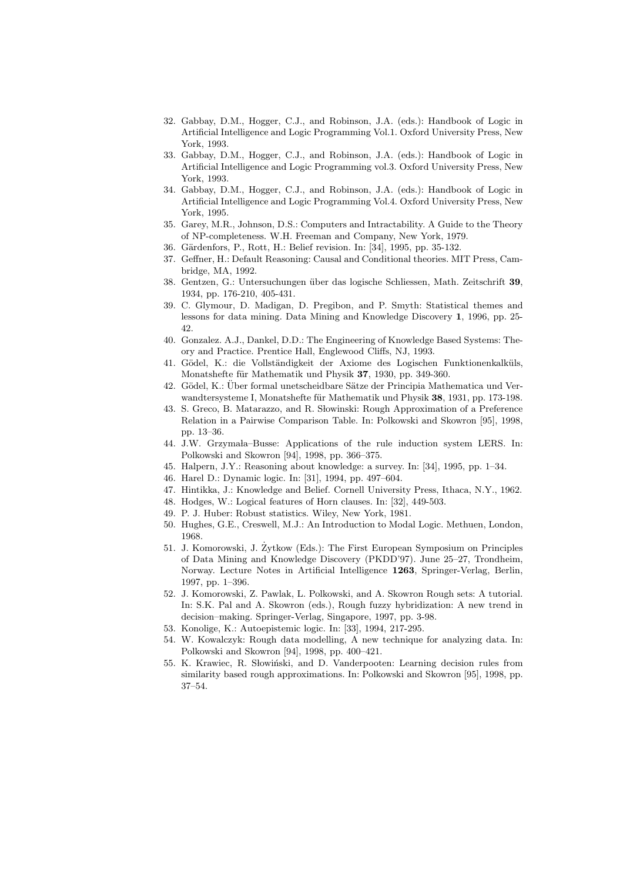- 32. Gabbay, D.M., Hogger, C.J., and Robinson, J.A. (eds.): Handbook of Logic in Artificial Intelligence and Logic Programming Vol.1. Oxford University Press, New York, 1993.
- 33. Gabbay, D.M., Hogger, C.J., and Robinson, J.A. (eds.): Handbook of Logic in Artificial Intelligence and Logic Programming vol.3. Oxford University Press, New York, 1993.
- 34. Gabbay, D.M., Hogger, C.J., and Robinson, J.A. (eds.): Handbook of Logic in Artificial Intelligence and Logic Programming Vol.4. Oxford University Press, New York, 1995.
- 35. Garey, M.R., Johnson, D.S.: Computers and Intractability. A Guide to the Theory of NP-completeness. W.H. Freeman and Company, New York, 1979.
- 36. Gärdenfors, P., Rott, H.: Belief revision. In: [34], 1995, pp. 35-132.
- 37. Geffner, H.: Default Reasoning: Causal and Conditional theories. MIT Press, Cambridge, MA, 1992.
- 38. Gentzen, G.: Untersuchungen ¨uber das logische Schliessen, Math. Zeitschrift 39, 1934, pp. 176-210, 405-431.
- 39. C. Glymour, D. Madigan, D. Pregibon, and P. Smyth: Statistical themes and lessons for data mining. Data Mining and Knowledge Discovery 1, 1996, pp. 25- 42.
- 40. Gonzalez. A.J., Dankel, D.D.: The Engineering of Knowledge Based Systems: Theory and Practice. Prentice Hall, Englewood Cliffs, NJ, 1993.
- 41. Gödel, K.: die Vollständigkeit der Axiome des Logischen Funktionenkalküls, Monatshefte für Mathematik und Physik 37, 1930, pp. 349-360.
- 42. Gödel, K.: Uber formal unetscheidbare Sätze der Principia Mathematica und Verwandtersysteme I, Monatshefte für Mathematik und Physik 38, 1931, pp. 173-198.
- 43. S. Greco, B. Matarazzo, and R. Slowinski: Rough Approximation of a Preference Relation in a Pairwise Comparison Table. In: Polkowski and Skowron [95], 1998, pp. 13–36.
- 44. J.W. Grzymała–Busse: Applications of the rule induction system LERS. In: Polkowski and Skowron [94], 1998, pp. 366–375.
- 45. Halpern, J.Y.: Reasoning about knowledge: a survey. In: [34], 1995, pp. 1–34.
- 46. Harel D.: Dynamic logic. In: [31], 1994, pp. 497–604.
- 47. Hintikka, J.: Knowledge and Belief. Cornell University Press, Ithaca, N.Y., 1962.
- 48. Hodges, W.: Logical features of Horn clauses. In: [32], 449-503.
- 49. P. J. Huber: Robust statistics. Wiley, New York, 1981.
- 50. Hughes, G.E., Creswell, M.J.: An Introduction to Modal Logic. Methuen, London, 1968.
- 51. J. Komorowski, J. Zytkow (Eds.): The First European Symposium on Principles ˙ of Data Mining and Knowledge Discovery (PKDD'97). June 25–27, Trondheim, Norway. Lecture Notes in Artificial Intelligence 1263, Springer-Verlag, Berlin, 1997, pp. 1–396.
- 52. J. Komorowski, Z. Pawlak, L. Polkowski, and A. Skowron Rough sets: A tutorial. In: S.K. Pal and A. Skowron (eds.), Rough fuzzy hybridization: A new trend in decision–making. Springer-Verlag, Singapore, 1997, pp. 3-98.
- 53. Konolige, K.: Autoepistemic logic. In: [33], 1994, 217-295.
- 54. W. Kowalczyk: Rough data modelling, A new technique for analyzing data. In: Polkowski and Skowron [94], 1998, pp. 400–421.
- 55. K. Krawiec, R. Słowiński, and D. Vanderpooten: Learning decision rules from similarity based rough approximations. In: Polkowski and Skowron [95], 1998, pp. 37–54.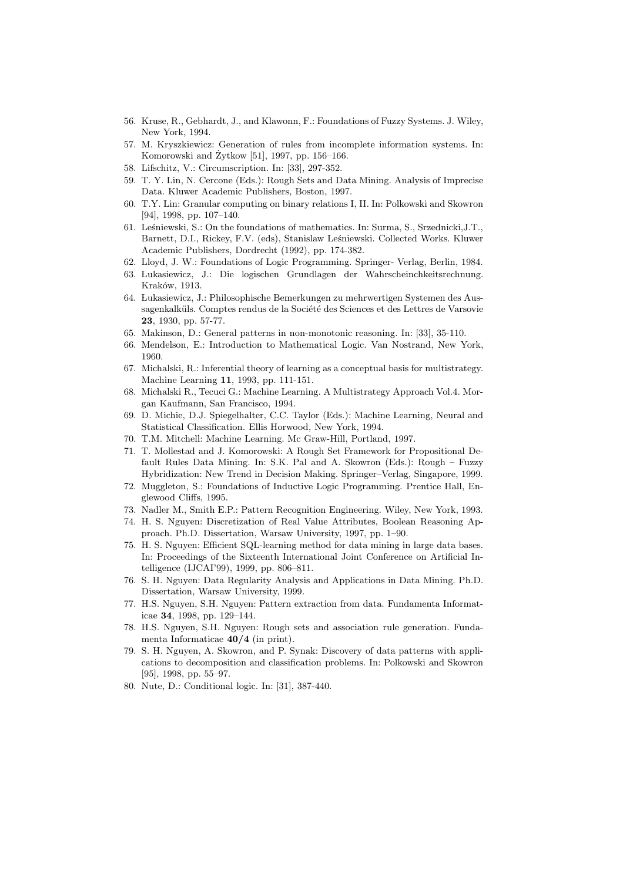- 56. Kruse, R., Gebhardt, J., and Klawonn, F.: Foundations of Fuzzy Systems. J. Wiley, New York, 1994.
- 57. M. Kryszkiewicz: Generation of rules from incomplete information systems. In: Komorowski and  $\dot{Z}$ ytkow [51], 1997, pp. 156–166.
- 58. Lifschitz, V.: Circumscription. In: [33], 297-352.
- 59. T. Y. Lin, N. Cercone (Eds.): Rough Sets and Data Mining. Analysis of Imprecise Data. Kluwer Academic Publishers, Boston, 1997.
- 60. T.Y. Lin: Granular computing on binary relations I, II. In: Polkowski and Skowron [94], 1998, pp. 107–140.
- 61. Lesniewski, S.: On the foundations of mathematics. In: Surma, S., Srzednicki, J.T., Barnett, D.I., Rickey, F.V. (eds), Stanislaw Leśniewski. Collected Works. Kluwer Academic Publishers, Dordrecht (1992), pp. 174-382.
- 62. Lloyd, J. W.: Foundations of Logic Programming. Springer- Verlag, Berlin, 1984.
- 63. Lukasiewicz, J.: Die logischen Grundlagen der Wahrscheinchkeitsrechnung. Kraków, 1913.
- 64. Lukasiewicz, J.: Philosophische Bemerkungen zu mehrwertigen Systemen des Aussagenkalküls. Comptes rendus de la Société des Sciences et des Lettres de Varsovie 23, 1930, pp. 57-77.
- 65. Makinson, D.: General patterns in non-monotonic reasoning. In: [33], 35-110.
- 66. Mendelson, E.: Introduction to Mathematical Logic. Van Nostrand, New York, 1960.
- 67. Michalski, R.: Inferential theory of learning as a conceptual basis for multistrategy. Machine Learning 11, 1993, pp. 111-151.
- 68. Michalski R., Tecuci G.: Machine Learning. A Multistrategy Approach Vol.4. Morgan Kaufmann, San Francisco, 1994.
- 69. D. Michie, D.J. Spiegelhalter, C.C. Taylor (Eds.): Machine Learning, Neural and Statistical Classification. Ellis Horwood, New York, 1994.
- 70. T.M. Mitchell: Machine Learning. Mc Graw-Hill, Portland, 1997.
- 71. T. Mollestad and J. Komorowski: A Rough Set Framework for Propositional Default Rules Data Mining. In: S.K. Pal and A. Skowron (Eds.): Rough – Fuzzy Hybridization: New Trend in Decision Making. Springer–Verlag, Singapore, 1999.
- 72. Muggleton, S.: Foundations of Inductive Logic Programming. Prentice Hall, Englewood Cliffs, 1995.
- 73. Nadler M., Smith E.P.: Pattern Recognition Engineering. Wiley, New York, 1993.
- 74. H. S. Nguyen: Discretization of Real Value Attributes, Boolean Reasoning Approach. Ph.D. Dissertation, Warsaw University, 1997, pp. 1–90.
- 75. H. S. Nguyen: Efficient SQL-learning method for data mining in large data bases. In: Proceedings of the Sixteenth International Joint Conference on Artificial Intelligence (IJCAI'99), 1999, pp. 806–811.
- 76. S. H. Nguyen: Data Regularity Analysis and Applications in Data Mining. Ph.D. Dissertation, Warsaw University, 1999.
- 77. H.S. Nguyen, S.H. Nguyen: Pattern extraction from data. Fundamenta Informaticae 34, 1998, pp. 129–144.
- 78. H.S. Nguyen, S.H. Nguyen: Rough sets and association rule generation. Fundamenta Informaticae 40/4 (in print).
- 79. S. H. Nguyen, A. Skowron, and P. Synak: Discovery of data patterns with applications to decomposition and classification problems. In: Polkowski and Skowron [95], 1998, pp. 55–97.
- 80. Nute, D.: Conditional logic. In: [31], 387-440.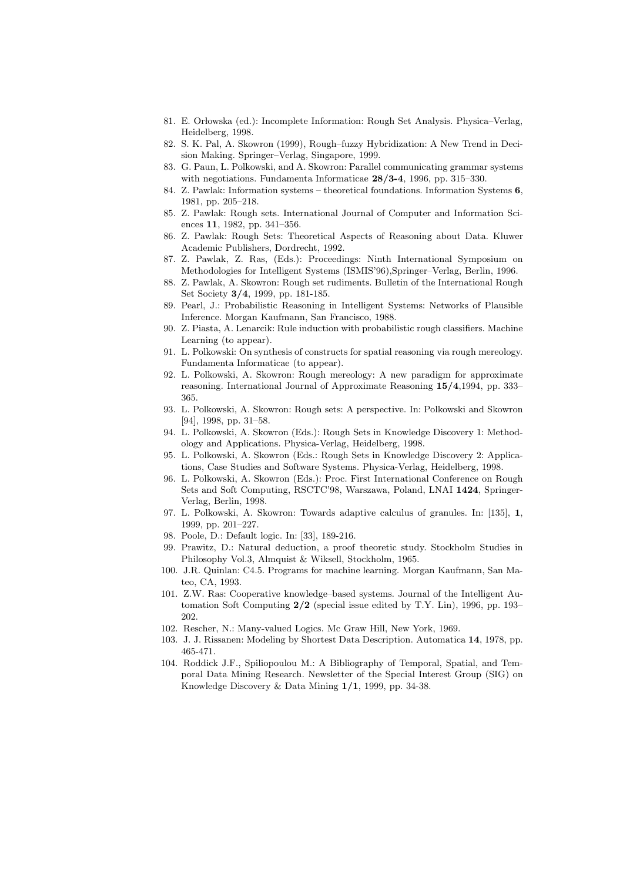- 81. E. Orłowska (ed.): Incomplete Information: Rough Set Analysis. Physica–Verlag, Heidelberg, 1998.
- 82. S. K. Pal, A. Skowron (1999), Rough–fuzzy Hybridization: A New Trend in Decision Making. Springer–Verlag, Singapore, 1999.
- 83. G. Paun, L. Polkowski, and A. Skowron: Parallel communicating grammar systems with negotiations. Fundamenta Informaticae 28/3-4, 1996, pp. 315–330.
- 84. Z. Pawlak: Information systems theoretical foundations. Information Systems 6, 1981, pp. 205–218.
- 85. Z. Pawlak: Rough sets. International Journal of Computer and Information Sciences 11, 1982, pp. 341–356.
- 86. Z. Pawlak: Rough Sets: Theoretical Aspects of Reasoning about Data. Kluwer Academic Publishers, Dordrecht, 1992.
- 87. Z. Pawlak, Z. Ras, (Eds.): Proceedings: Ninth International Symposium on Methodologies for Intelligent Systems (ISMIS'96),Springer–Verlag, Berlin, 1996.
- 88. Z. Pawlak, A. Skowron: Rough set rudiments. Bulletin of the International Rough Set Society 3/4, 1999, pp. 181-185.
- 89. Pearl, J.: Probabilistic Reasoning in Intelligent Systems: Networks of Plausible Inference. Morgan Kaufmann, San Francisco, 1988.
- 90. Z. Piasta, A. Lenarcik: Rule induction with probabilistic rough classifiers. Machine Learning (to appear).
- 91. L. Polkowski: On synthesis of constructs for spatial reasoning via rough mereology. Fundamenta Informaticae (to appear).
- 92. L. Polkowski, A. Skowron: Rough mereology: A new paradigm for approximate reasoning. International Journal of Approximate Reasoning 15/4,1994, pp. 333– 365.
- 93. L. Polkowski, A. Skowron: Rough sets: A perspective. In: Polkowski and Skowron [94], 1998, pp. 31–58.
- 94. L. Polkowski, A. Skowron (Eds.): Rough Sets in Knowledge Discovery 1: Methodology and Applications. Physica-Verlag, Heidelberg, 1998.
- 95. L. Polkowski, A. Skowron (Eds.: Rough Sets in Knowledge Discovery 2: Applications, Case Studies and Software Systems. Physica-Verlag, Heidelberg, 1998.
- 96. L. Polkowski, A. Skowron (Eds.): Proc. First International Conference on Rough Sets and Soft Computing, RSCTC'98, Warszawa, Poland, LNAI 1424, Springer-Verlag, Berlin, 1998.
- 97. L. Polkowski, A. Skowron: Towards adaptive calculus of granules. In: [135], 1, 1999, pp. 201–227.
- 98. Poole, D.: Default logic. In: [33], 189-216.
- 99. Prawitz, D.: Natural deduction, a proof theoretic study. Stockholm Studies in Philosophy Vol.3, Almquist & Wiksell, Stockholm, 1965.
- 100. J.R. Quinlan: C4.5. Programs for machine learning. Morgan Kaufmann, San Mateo, CA, 1993.
- 101. Z.W. Ras: Cooperative knowledge–based systems. Journal of the Intelligent Automation Soft Computing 2/2 (special issue edited by T.Y. Lin), 1996, pp. 193– 202.
- 102. Rescher, N.: Many-valued Logics. Mc Graw Hill, New York, 1969.
- 103. J. J. Rissanen: Modeling by Shortest Data Description. Automatica 14, 1978, pp. 465-471.
- 104. Roddick J.F., Spiliopoulou M.: A Bibliography of Temporal, Spatial, and Temporal Data Mining Research. Newsletter of the Special Interest Group (SIG) on Knowledge Discovery & Data Mining 1/1, 1999, pp. 34-38.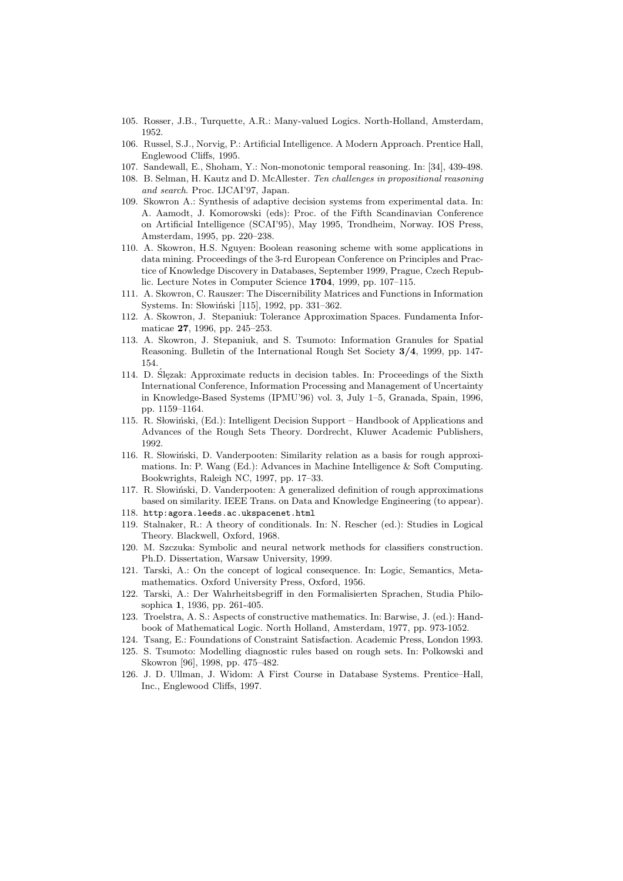- 105. Rosser, J.B., Turquette, A.R.: Many-valued Logics. North-Holland, Amsterdam, 1952.
- 106. Russel, S.J., Norvig, P.: Artificial Intelligence. A Modern Approach. Prentice Hall, Englewood Cliffs, 1995.
- 107. Sandewall, E., Shoham, Y.: Non-monotonic temporal reasoning. In: [34], 439-498.
- 108. B. Selman, H. Kautz and D. McAllester. Ten challenges in propositional reasoning and search. Proc. IJCAI'97, Japan.
- 109. Skowron A.: Synthesis of adaptive decision systems from experimental data. In: A. Aamodt, J. Komorowski (eds): Proc. of the Fifth Scandinavian Conference on Artificial Intelligence (SCAI'95), May 1995, Trondheim, Norway. IOS Press, Amsterdam, 1995, pp. 220–238.
- 110. A. Skowron, H.S. Nguyen: Boolean reasoning scheme with some applications in data mining. Proceedings of the 3-rd European Conference on Principles and Practice of Knowledge Discovery in Databases, September 1999, Prague, Czech Republic. Lecture Notes in Computer Science 1704, 1999, pp. 107–115.
- 111. A. Skowron, C. Rauszer: The Discernibility Matrices and Functions in Information Systems. In: Słowiński [115], 1992, pp. 331–362.
- 112. A. Skowron, J. Stepaniuk: Tolerance Approximation Spaces. Fundamenta Informaticae 27, 1996, pp. 245–253.
- 113. A. Skowron, J. Stepaniuk, and S. Tsumoto: Information Granules for Spatial Reasoning. Bulletin of the International Rough Set Society 3/4, 1999, pp. 147- 154.
- 114. D. Slezak: Approximate reducts in decision tables. In: Proceedings of the Sixth International Conference, Information Processing and Management of Uncertainty in Knowledge-Based Systems (IPMU'96) vol. 3, July 1–5, Granada, Spain, 1996, pp. 1159–1164.
- 115. R. Słowiński, (Ed.): Intelligent Decision Support Handbook of Applications and Advances of the Rough Sets Theory. Dordrecht, Kluwer Academic Publishers, 1992.
- 116. R. Słowiński, D. Vanderpooten: Similarity relation as a basis for rough approximations. In: P. Wang (Ed.): Advances in Machine Intelligence & Soft Computing. Bookwrights, Raleigh NC, 1997, pp. 17–33.
- 117. R. Słowiński, D. Vanderpooten: A generalized definition of rough approximations based on similarity. IEEE Trans. on Data and Knowledge Engineering (to appear).
- 118. http:agora.leeds.ac.ukspacenet.html
- 119. Stalnaker, R.: A theory of conditionals. In: N. Rescher (ed.): Studies in Logical Theory. Blackwell, Oxford, 1968.
- 120. M. Szczuka: Symbolic and neural network methods for classifiers construction. Ph.D. Dissertation, Warsaw University, 1999.
- 121. Tarski, A.: On the concept of logical consequence. In: Logic, Semantics, Metamathematics. Oxford University Press, Oxford, 1956.
- 122. Tarski, A.: Der Wahrheitsbegriff in den Formalisierten Sprachen, Studia Philosophica 1, 1936, pp. 261-405.
- 123. Troelstra, A. S.: Aspects of constructive mathematics. In: Barwise, J. (ed.): Handbook of Mathematical Logic. North Holland, Amsterdam, 1977, pp. 973-1052.
- 124. Tsang, E.: Foundations of Constraint Satisfaction. Academic Press, London 1993.
- 125. S. Tsumoto: Modelling diagnostic rules based on rough sets. In: Polkowski and Skowron [96], 1998, pp. 475–482.
- 126. J. D. Ullman, J. Widom: A First Course in Database Systems. Prentice–Hall, Inc., Englewood Cliffs, 1997.